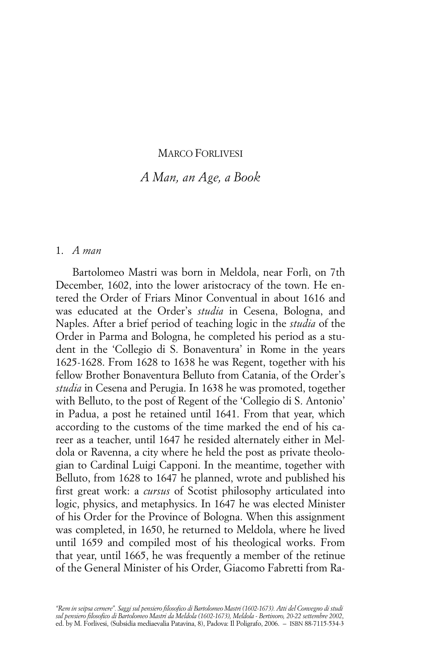### MARCO FORLIVESI

# *A Man, an Age, a Book*

### 1. *A man*

Bartolomeo Mastri was born in Meldola, near Forlì, on 7th December, 1602, into the lower aristocracy of the town. He entered the Order of Friars Minor Conventual in about 1616 and was educated at the Order's *studia* in Cesena, Bologna, and Naples. After a brief period of teaching logic in the *studia* of the Order in Parma and Bologna, he completed his period as a student in the 'Collegio di S. Bonaventura' in Rome in the years 1625-1628. From 1628 to 1638 he was Regent, together with his fellow Brother Bonaventura Belluto from Catania, of the Order's *studia* in Cesena and Perugia. In 1638 he was promoted, together with Belluto, to the post of Regent of the 'Collegio di S. Antonio' in Padua, a post he retained until 1641. From that year, which according to the customs of the time marked the end of his career as a teacher, until 1647 he resided alternately either in Meldola or Ravenna, a city where he held the post as private theologian to Cardinal Luigi Capponi. In the meantime, together with Belluto, from 1628 to 1647 he planned, wrote and published his first great work: a *cursus* of Scotist philosophy articulated into logic, physics, and metaphysics. In 1647 he was elected Minister of his Order for the Province of Bologna. When this assignment was completed, in 1650, he returned to Meldola, where he lived until 1659 and compiled most of his theological works. From that year, until 1665, he was frequently a member of the retinue of the General Minister of his Order, Giacomo Fabretti from Ra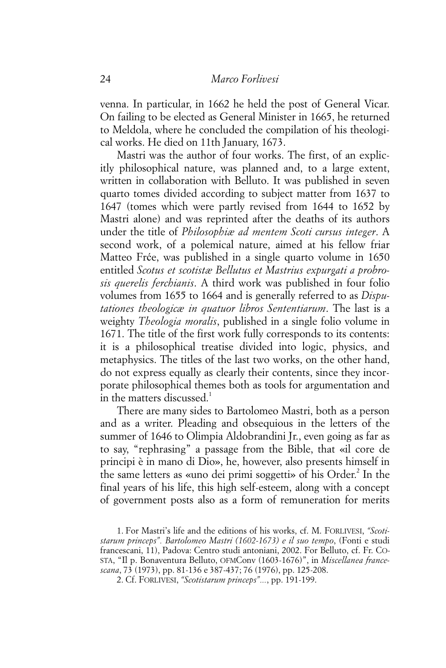venna. In particular, in 1662 he held the post of General Vicar. On failing to be elected as General Minister in 1665, he returned to Meldola, where he concluded the compilation of his theological works. He died on 11th January, 1673.

Mastri was the author of four works. The first, of an explicitly philosophical nature, was planned and, to a large extent, written in collaboration with Belluto. It was published in seven quarto tomes divided according to subject matter from 1637 to 1647 (tomes which were partly revised from 1644 to 1652 by Mastri alone) and was reprinted after the deaths of its authors under the title of *Philosophiæ ad mentem Scoti cursus integer*. A second work, of a polemical nature, aimed at his fellow friar Matteo Frće, was published in a single quarto volume in 1650 entitled *Scotus et scotistæ Bellutus et Mastrius expurgati a probrosis querelis ferchianis*. A third work was published in four folio volumes from 1655 to 1664 and is generally referred to as *Disputationes theologicæ in quatuor libros Sententiarum*. The last is a weighty *Theologia moralis*, published in a single folio volume in 1671. The title of the first work fully corresponds to its contents: it is a philosophical treatise divided into logic, physics, and metaphysics. The titles of the last two works, on the other hand, do not express equally as clearly their contents, since they incorporate philosophical themes both as tools for argumentation and in the matters discussed.<sup>1</sup>

There are many sides to Bartolomeo Mastri, both as a person and as a writer. Pleading and obsequious in the letters of the summer of 1646 to Olimpia Aldobrandini Jr., even going as far as to say, "rephrasing" a passage from the Bible, that «il core de principi è in mano di Dio», he, however, also presents himself in the same letters as «uno dei primi soggetti» of his Order.<sup>2</sup> In the final years of his life, this high self-esteem, along with a concept of government posts also as a form of remuneration for merits

<sup>1.</sup> For Mastri's life and the editions of his works, cf. M. FORLIVESI, *"Scotistarum princeps". Bartolomeo Mastri (1602-1673) e il suo tempo*, (Fonti e studi francescani, 11), Padova: Centro studi antoniani, 2002. For Belluto, cf. Fr. CO-STA, "Il p. Bonaventura Belluto, OFMConv (1603-1676)", in *Miscellanea francescana*, 73 (1973), pp. 81-136 e 387-437; 76 (1976), pp. 125-208.

<sup>2.</sup> Cf. FORLIVESI, *"Scotistarum princeps"...*, pp. 191-199.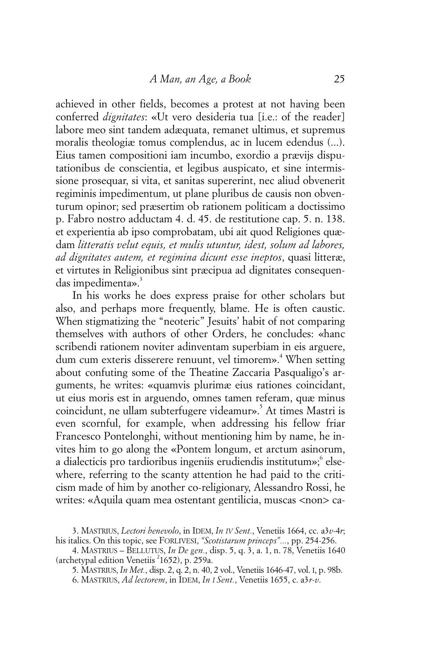achieved in other fields, becomes a protest at not having been conferred *dignitates*: «Ut vero desideria tua [i.e.: of the reader] labore meo sint tandem adæquata, remanet ultimus, et supremus moralis theologiæ tomus complendus, ac in lucem edendus (...). Eius tamen compositioni iam incumbo, exordio a prævijs disputationibus de conscientia, et legibus auspicato, et sine intermissione prosequar, si vita, et sanitas supererint, nec aliud obvenerit regiminis impedimentum, ut plane pluribus de causis non obventurum opinor; sed præsertim ob rationem politicam a doctissimo p. Fabro nostro adductam 4. d. 45. de restitutione cap. 5. n. 138. et experientia ab ipso comprobatam, ubi ait quod Religiones quædam *litteratis velut equis, et mulis utuntur, idest, solum ad labores, ad dignitates autem, et regimina dicunt esse ineptos*, quasi litteræ, et virtutes in Religionibus sint præcipua ad dignitates consequendas impedimenta».<sup>3</sup>

In his works he does express praise for other scholars but also, and perhaps more frequently, blame. He is often caustic. When stigmatizing the "neoteric" Jesuits' habit of not comparing themselves with authors of other Orders, he concludes: «hanc scribendi rationem noviter adinventam superbiam in eis arguere, dum cum exteris disserere renuunt, vel timorem».<sup>4</sup> When setting about confuting some of the Theatine Zaccaria Pasqualigo's arguments, he writes: «quamvis plurimæ eius rationes coincidant, ut eius moris est in arguendo, omnes tamen referam, quæ minus coincidunt, ne ullam subterfugere videamur».<sup>5</sup> At times Mastri is even scornful, for example, when addressing his fellow friar Francesco Pontelonghi, without mentioning him by name, he invites him to go along the «Pontem longum, et arctum asinorum, a dialecticis pro tardioribus ingeniis erudiendis institutum»;<sup>6</sup> elsewhere, referring to the scanty attention he had paid to the criticism made of him by another co-religionary, Alessandro Rossi, he writes: «Aquila quam mea ostentant gentilicia, muscas <non> ca-

<sup>3.</sup> MASTRIUS, *Lectori benevolo*, in IDEM, *In IV Sent.*, Venetiis 1664, cc. a3*v*-4*r*; his italics. On this topic, see FORLIVESI, *"Scotistarum princeps"...*, pp. 254-256.

<sup>4.</sup> MASTRIUS – BELLUTUS, *In De gen.*, disp. 5, q. 3, a. 1, n. 78, Venetiis 1640 (archetypal edition Venetiis <sup>2</sup>1652), p. 259a.

<sup>5.</sup> MASTRIUS, *In Met.*, disp. 2, q. 2, n. 40, 2 vol., Venetiis 1646-47, vol. I, p. 98b.

<sup>6.</sup> MASTRIUS, *Ad lectorem*, in IDEM, *In I Sent.*, Venetiis 1655, c. a3*r*-*v*.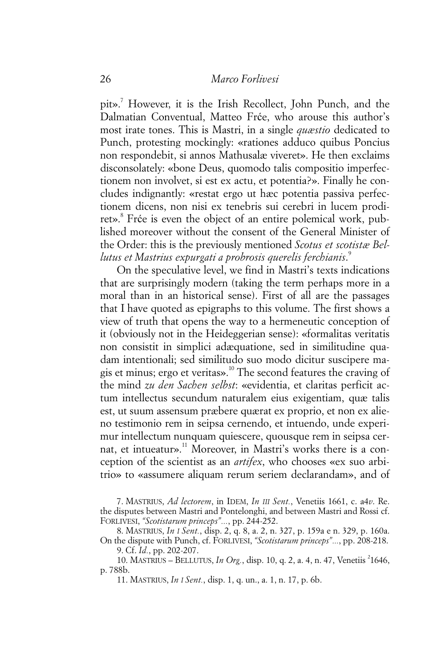pit».<sup>7</sup> However, it is the Irish Recollect, John Punch, and the Dalmatian Conventual, Matteo Frće, who arouse this author's most irate tones. This is Mastri, in a single *quæstio* dedicated to Punch, protesting mockingly: «rationes adduco quibus Poncius non respondebit, si annos Mathusalæ viveret». He then exclaims disconsolately: «bone Deus, quomodo talis compositio imperfectionem non involvet, si est ex actu, et potentia?». Finally he concludes indignantly: «restat ergo ut hæc potentia passiva perfectionem dicens, non nisi ex tenebris sui cerebri in lucem prodiret».<sup>8</sup> Frće is even the object of an entire polemical work, published moreover without the consent of the General Minister of the Order: this is the previously mentioned *Scotus et scotistæ Bellutus et Mastrius expurgati a probrosis querelis ferchianis*. 9

On the speculative level, we find in Mastri's texts indications that are surprisingly modern (taking the term perhaps more in a moral than in an historical sense). First of all are the passages that I have quoted as epigraphs to this volume. The first shows a view of truth that opens the way to a hermeneutic conception of it (obviously not in the Heideggerian sense): «formalitas veritatis non consistit in simplici adæquatione, sed in similitudine quadam intentionali; sed similitudo suo modo dicitur suscipere magis et minus; ergo et veritas».10 The second features the craving of the mind *zu den Sachen selbst*: «evidentia, et claritas perficit actum intellectus secundum naturalem eius exigentiam, quæ talis est, ut suum assensum præbere quærat ex proprio, et non ex alieno testimonio rem in seipsa cernendo, et intuendo, unde experimur intellectum nunquam quiescere, quousque rem in seipsa cernat, et intueatur».<sup>11</sup> Moreover, in Mastri's works there is a conception of the scientist as an *artifex*, who chooses «ex suo arbitrio» to «assumere aliquam rerum seriem declarandam», and of

11. MASTRIUS, *In I Sent.*, disp. 1, q. un., a. 1, n. 17, p. 6b.

<sup>7.</sup> MASTRIUS, *Ad lectorem*, in IDEM, *In III Sent.*, Venetiis 1661, c. a4*v*. Re. the disputes between Mastri and Pontelonghi, and between Mastri and Rossi cf. FORLIVESI, *"Scotistarum princeps"...*, pp. 244-252.

<sup>8.</sup> MASTRIUS, *In I Sent.*, disp. 2, q. 8, a. 2, n. 327, p. 159a e n. 329, p. 160a. On the dispute with Punch, cf. FORLIVESI, *"Scotistarum princeps"...*, pp. 208-218. 9. Cf. *Id.*, pp. 202-207.

<sup>10.</sup> MASTRIUS – BELLUTUS, *In Org.*, disp. 10, q. 2, a. 4, n. 47, Venetiis <sup>2</sup>1646, p. 788b.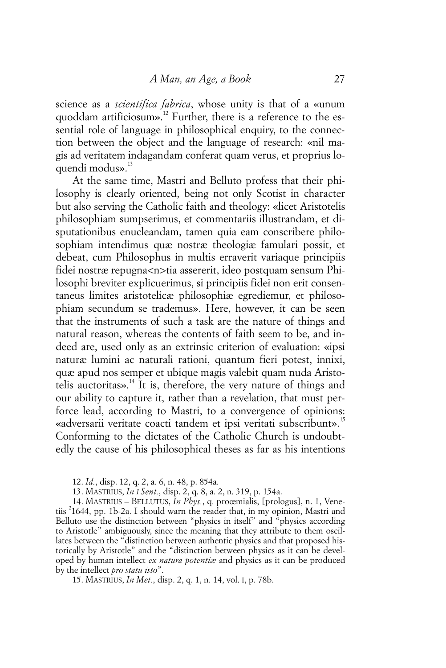science as a *scientifica fabrica*, whose unity is that of a «unum quoddam artificiosum».<sup>12</sup> Further, there is a reference to the essential role of language in philosophical enquiry, to the connection between the object and the language of research: «nil magis ad veritatem indagandam conferat quam verus, et proprius loquendi modus».<sup>13</sup>

At the same time, Mastri and Belluto profess that their philosophy is clearly oriented, being not only Scotist in character but also serving the Catholic faith and theology: «licet Aristotelis philosophiam sumpserimus, et commentariis illustrandam, et disputationibus enucleandam, tamen quia eam conscribere philosophiam intendimus quæ nostræ theologiæ famulari possit, et debeat, cum Philosophus in multis erraverit variaque principiis fidei nostræ repugna<n>tia assererit, ideo postquam sensum Philosophi breviter explicuerimus, si principiis fidei non erit consentaneus limites aristotelicæ philosophiæ egrediemur, et philosophiam secundum se trademus». Here, however, it can be seen that the instruments of such a task are the nature of things and natural reason, whereas the contents of faith seem to be, and indeed are, used only as an extrinsic criterion of evaluation: «ipsi naturæ lumini ac naturali rationi, quantum fieri potest, innixi, quæ apud nos semper et ubique magis valebit quam nuda Aristotelis auctoritas».<sup>14</sup> It is, therefore, the very nature of things and our ability to capture it, rather than a revelation, that must perforce lead, according to Mastri, to a convergence of opinions: «adversarii veritate coacti tandem et ipsi veritati subscribunt».<sup>15</sup> Conforming to the dictates of the Catholic Church is undoubtedly the cause of his philosophical theses as far as his intentions

14. MASTRIUS – BELLUTUS, *In Phys.*, q. proœmialis, [prologus], n. 1, Venetiis <sup>2</sup> 1644, pp. 1b-2a. I should warn the reader that, in my opinion, Mastri and Belluto use the distinction between "physics in itself" and "physics according to Aristotle" ambiguously, since the meaning that they attribute to them oscillates between the "distinction between authentic physics and that proposed historically by Aristotle" and the "distinction between physics as it can be developed by human intellect *ex natura potentiæ* and physics as it can be produced by the intellect *pro statu isto*".

15. MASTRIUS, *In Met.*, disp. 2, q. 1, n. 14, vol. I, p. 78b.

<sup>12.</sup> *Id.*, disp. 12, q. 2, a. 6, n. 48, p. 854a.

<sup>13.</sup> MASTRIUS, *In I Sent.*, disp. 2, q. 8, a. 2, n. 319, p. 154a.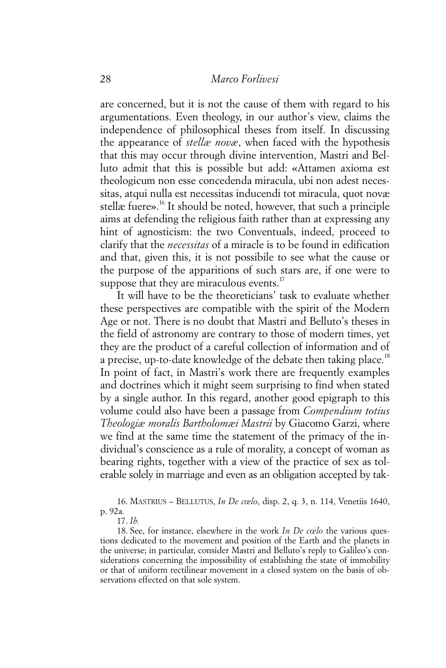are concerned, but it is not the cause of them with regard to his argumentations. Even theology, in our author's view, claims the independence of philosophical theses from itself. In discussing the appearance of *stellæ novæ*, when faced with the hypothesis that this may occur through divine intervention, Mastri and Belluto admit that this is possible but add: «Attamen axioma est theologicum non esse concedenda miracula, ubi non adest necessitas, atqui nulla est necessitas inducendi tot miracula, quot novæ stellæ fuere».<sup>16</sup> It should be noted, however, that such a principle aims at defending the religious faith rather than at expressing any hint of agnosticism: the two Conventuals, indeed, proceed to clarify that the *necessitas* of a miracle is to be found in edification and that, given this, it is not possibile to see what the cause or the purpose of the apparitions of such stars are, if one were to suppose that they are miraculous events. $17$ 

It will have to be the theoreticians' task to evaluate whether these perspectives are compatible with the spirit of the Modern Age or not. There is no doubt that Mastri and Belluto's theses in the field of astronomy are contrary to those of modern times, yet they are the product of a careful collection of information and of a precise, up-to-date knowledge of the debate then taking place.<sup>18</sup> In point of fact, in Mastri's work there are frequently examples and doctrines which it might seem surprising to find when stated by a single author. In this regard, another good epigraph to this volume could also have been a passage from *Compendium totius Theologiæ moralis Bartholomæi Mastrii* by Giacomo Garzi, where we find at the same time the statement of the primacy of the individual's conscience as a rule of morality, a concept of woman as bearing rights, together with a view of the practice of sex as tolerable solely in marriage and even as an obligation accepted by tak-

16. MASTRIUS – BELLUTUS, *In De cœlo*, disp. 2, q. 3, n. 114, Venetiis 1640, p. 92a.

18. See, for instance, elsewhere in the work *In De cœlo* the various questions dedicated to the movement and position of the Earth and the planets in the universe; in particular, consider Mastri and Belluto's reply to Galileo's considerations concerning the impossibility of establishing the state of immobility or that of uniform rectilinear movement in a closed system on the basis of observations effected on that sole system.

<sup>17.</sup> *Ib.*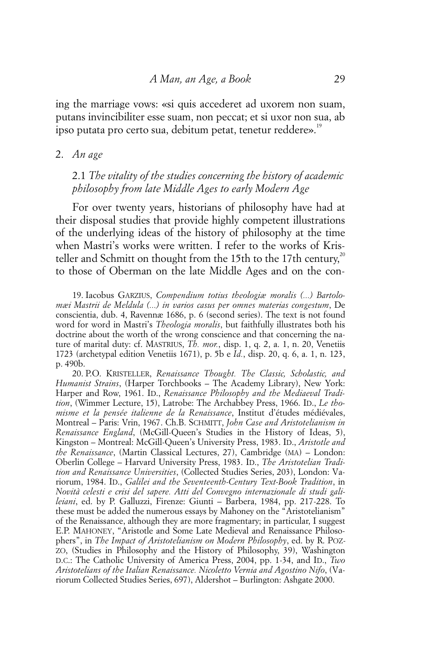ing the marriage vows: «si quis accederet ad uxorem non suam, putans invincibiliter esse suam, non peccat; et si uxor non sua, ab ipso putata pro certo sua, debitum petat, tenetur reddere».<sup>19</sup>

#### 2. *An age*

## 2.1 *The vitality of the studies concerning the history of academic philosophy from late Middle Ages to early Modern Age*

For over twenty years, historians of philosophy have had at their disposal studies that provide highly competent illustrations of the underlying ideas of the history of philosophy at the time when Mastri's works were written. I refer to the works of Kristeller and Schmitt on thought from the 15th to the 17th century,<sup>20</sup> to those of Oberman on the late Middle Ages and on the con-

19. Iacobus GARZIUS, *Compendium totius theologiæ moralis (...) Bartolomæi Mastrii de Meldula (...) in varios casus per omnes materias congestum*, De conscientia, dub. 4, Ravennæ 1686, p. 6 (second series). The text is not found word for word in Mastri's *Theologia moralis*, but faithfully illustrates both his doctrine about the worth of the wrong conscience and that concerning the nature of marital duty: cf. MASTRIUS, *Th. mor.*, disp. 1, q. 2, a. 1, n. 20, Venetiis 1723 (archetypal edition Venetiis 1671), p. 5b e *Id.*, disp. 20, q. 6, a. 1, n. 123, p. 490b.

20. P.O. KRISTELLER, *Renaissance Thought. The Classic, Scholastic, and Humanist Strains*, (Harper Torchbooks – The Academy Library), New York: Harper and Row, 1961. ID., *Renaissance Philosophy and the Mediaeval Tradition*, (Wimmer Lecture, 15), Latrobe: The Archabbey Press, 1966. ID., *Le thomisme et la pensée italienne de la Renaissance*, Institut d'études médiévales, Montreal – Paris: Vrin, 1967. Ch.B. SCHMITT, *John Case and Aristotelianism in Renaissance England*, (McGill-Queen's Studies in the History of Ideas, 5), Kingston – Montreal: McGill-Queen's University Press, 1983. ID., *Aristotle and the Renaissance*, (Martin Classical Lectures, 27), Cambridge (MA) – London: Oberlin College – Harvard University Press, 1983. ID., *The Aristotelian Tradition and Renaissance Universities*, (Collected Studies Series, 203), London: Variorum, 1984. ID., *Galilei and the Seventeenth-Century Text-Book Tradition*, in *Novità celesti e crisi del sapere. Atti del Convegno internazionale di studi galileiani*, ed. by P. Galluzzi, Firenze: Giunti – Barbera, 1984, pp. 217-228. To these must be added the numerous essays by Mahoney on the "Aristotelianism" of the Renaissance, although they are more fragmentary; in particular, I suggest E.P. MAHONEY, "Aristotle and Some Late Medieval and Renaissance Philosophers", in *The Impact of Aristotelianism on Modern Philosophy*, ed. by R. POZ-ZO, (Studies in Philosophy and the History of Philosophy, 39), Washington D.C.: The Catholic University of America Press, 2004, pp. 1-34, and ID., *Two Aristotelians of the Italian Renaissance. Nicoletto Vernia and Agostino Nifo*, (Variorum Collected Studies Series, 697), Aldershot – Burlington: Ashgate 2000.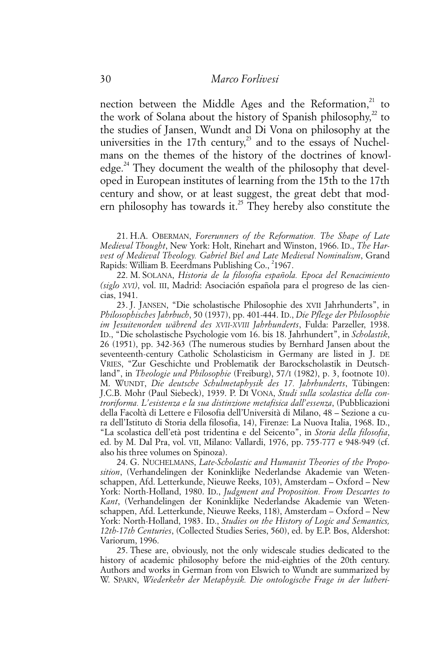nection between the Middle Ages and the Reformation,<sup>21</sup> to the work of Solana about the history of Spanish philosophy, $^{2}$  to the studies of Jansen, Wundt and Di Vona on philosophy at the universities in the 17th century, $^{23}$  and to the essays of Nuchelmans on the themes of the history of the doctrines of knowledge.<sup>24</sup> They document the wealth of the philosophy that developed in European institutes of learning from the 15th to the 17th century and show, or at least suggest, the great debt that modern philosophy has towards it.<sup>25</sup> They hereby also constitute the

21. H.A. OBERMAN, *Forerunners of the Reformation. The Shape of Late Medieval Thought*, New York: Holt, Rinehart and Winston, 1966. ID., *The Harvest of Medieval Theology. Gabriel Biel and Late Medieval Nominalism*, Grand Rapids: William B. Eeerdmans Publishing Co., <sup>2</sup>1967.

22. M. SOLANA, *Historia de la filosofia española. Epoca del Renacimiento (siglo XVI)*, vol. III, Madrid: Asociación española para el progreso de las ciencias, 1941.

23. J. JANSEN, "Die scholastische Philosophie des XVII Jahrhunderts", in *Philosophisches Jahrbuch*, 50 (1937), pp. 401-444. ID., *Die Pflege der Philosophie im Jesuitenorden während des XVII-XVIII Jahrhunderts*, Fulda: Parzeller, 1938. ID., "Die scholastische Psychologie vom 16. bis 18. Jahrhundert", in *Scholastik*, 26 (1951), pp. 342-363 (The numerous studies by Bernhard Jansen about the seventeenth-century Catholic Scholasticism in Germany are listed in J. DE VRIES, "Zur Geschichte und Problematik der Barockscholastik in Deutschland", in *Theologie und Philosophie* (Freiburg), 57/I (1982), p. 3, footnote 10). M. WUNDT, *Die deutsche Schulmetaphysik des 17. Jahrhunderts*, Tübingen: J.C.B. Mohr (Paul Siebeck), 1939. P. DI VONA, *Studi sulla scolastica della controriforma. L'esistenza e la sua distinzione metafisica dall'essenza*, (Pubblicazioni della Facoltà di Lettere e Filosofia dell'Università di Milano, 48 – Sezione a cura dell'Istituto di Storia della filosofia, 14), Firenze: La Nuova Italia, 1968. ID., "La scolastica dell'età post tridentina e del Seicento", in *Storia della filosofia*, ed. by M. Dal Pra, vol. VII, Milano: Vallardi, 1976, pp. 755-777 e 948-949 (cf. also his three volumes on Spinoza).

24. G. NUCHELMANS, *Late-Scholastic and Humanist Theories of the Proposition*, (Verhandelingen der Koninklijke Nederlandse Akademie van Wetenschappen, Afd. Letterkunde, Nieuwe Reeks, 103), Amsterdam – Oxford – New York: North-Holland, 1980. ID., *Judgment and Proposition. From Descartes to Kant*, (Verhandelingen der Koninklijke Nederlandse Akademie van Wetenschappen, Afd. Letterkunde, Nieuwe Reeks, 118), Amsterdam – Oxford – New York: North-Holland, 1983. ID., *Studies on the History of Logic and Semantics, 12th-17th Centuries*, (Collected Studies Series, 560), ed. by E.P. Bos, Aldershot: Variorum, 1996.

25. These are, obviously, not the only widescale studies dedicated to the history of academic philosophy before the mid-eighties of the 20th century. Authors and works in German from von Elswich to Wundt are summarized by W. SPARN, *Wiederkehr der Metaphysik. Die ontologische Frage in der lutheri-*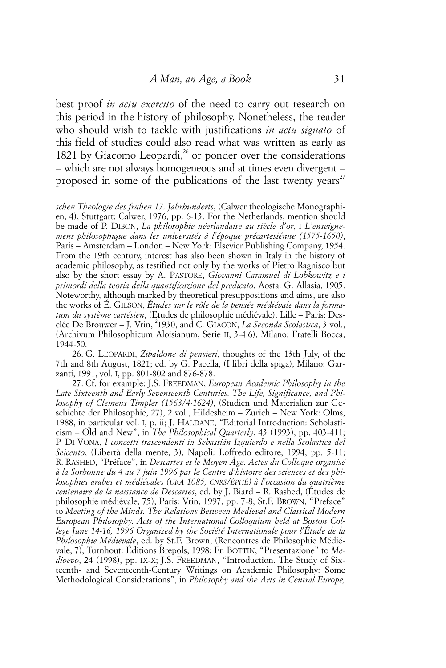best proof *in actu exercito* of the need to carry out research on this period in the history of philosophy. Nonetheless, the reader who should wish to tackle with justifications *in actu signato* of this field of studies could also read what was written as early as 1821 by Giacomo Leopardi, $^{26}$  or ponder over the considerations – which are not always homogeneous and at times even divergent – proposed in some of the publications of the last twenty years<sup>27</sup>

*schen Theologie des frühen 17. Jahrhunderts*, (Calwer theologische Monographien, 4), Stuttgart: Calwer, 1976, pp. 6-13. For the Netherlands, mention should be made of P. DIBON, *La philosophie néerlandaise au siècle d'or*, I *L'enseignement philosophique dans les universités à l'époque précartesiénne (1575-1650)*, Paris – Amsterdam – London – New York: Elsevier Publishing Company, 1954. From the 19th century, interest has also been shown in Italy in the history of academic philosophy, as testified not only by the works of Pietro Ragnisco but also by the short essay by A. PASTORE, *Giovanni Caramuel di Lobkowitz e i primordi della teoria della quantificazione del predicato*, Aosta: G. Allasia, 1905. Noteworthy, although marked by theoretical presuppositions and aims, are also the works of É. GILSON, *Études sur le rôle de la pensée médiévale dans la formation du système cartésien*, (Etudes de philosophie médiévale), Lille – Paris: Desclée De Brouwer - J. Vrin, <sup>2</sup>1930, and C. GIACON, La Seconda Scolastica, 3 vol., (Archivum Philosophicum Aloisianum, Serie II, 3-4.6), Milano: Fratelli Bocca, 1944-50.

26. G. LEOPARDI, *Zibaldone di pensieri*, thoughts of the 13th July, of the 7th and 8th August, 1821; ed. by G. Pacella, (I libri della spiga), Milano: Garzanti, 1991, vol. I, pp. 801-802 and 876-878.

27. Cf. for example: J.S. FREEDMAN, *European Academic Philosophy in the Late Sixteenth and Early Seventeenth Centuries. The Life, Significance, and Philosophy of Clemens Timpler (1563/4-1624)*, (Studien und Materialien zur Geschichte der Philosophie, 27), 2 vol., Hildesheim – Zurich – New York: Olms, 1988, in particular vol. I, p. ii; J. HALDANE, "Editorial Introduction: Scholasticism – Old and New", in *The Philosophical Quarterly*, 43 (1993), pp. 403-411; P. DI VONA, *I concetti trascendenti in Sebastián Izquierdo e nella Scolastica del Seicento*, (Libertà della mente, 3), Napoli: Loffredo editore, 1994, pp. 5-11; R. RASHED, "Préface", in *Descartes et le Moyen Âge. Actes du Colloque organisé à la Sorbonne du 4 au 7 juin 1996 par le Centre d'histoire des sciences et des philosophies arabes et médiévales (URA 1085, CNRS/ÉPHÉ) à l'occasion du quatrième centenaire de la naissance de Descartes*, ed. by J. Biard – R. Rashed, (Études de philosophie médiévale, 75), Paris: Vrin, 1997, pp. 7-8; St.F. BROWN, "Preface" to *Meeting of the Minds. The Relations Between Medieval and Classical Modern European Philosophy. Acts of the International Colloquium held at Boston College June 14-16, 1996 Organized by the Société Internationale pour l'Étude de la Philosophie Médiévale*, ed. by St.F. Brown, (Rencontres de Philosophie Médiévale, 7), Turnhout: Éditions Brepols, 1998; Fr. BOTTIN, "Presentazione" to *Medioevo*, 24 (1998), pp. IX-X; J.S. FREEDMAN, "Introduction. The Study of Sixteenth- and Seventeenth-Century Writings on Academic Philosophy: Some Methodological Considerations", in *Philosophy and the Arts in Central Europe,*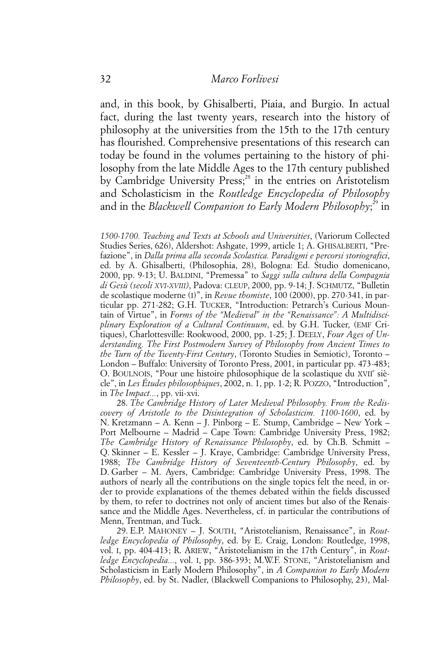and, in this book, by Ghisalberti, Piaia, and Burgio. In actual fact, during the last twenty years, research into the history of philosophy at the universities from the 15th to the 17th century has flourished. Comprehensive presentations of this research can today be found in the volumes pertaining to the history of philosophy from the late Middle Ages to the 17th century published by Cambridge University Press;<sup>28</sup> in the entries on Aristotelism and Scholasticism in the *Routledge Encyclopedia of Philosophy* and in the *Blackwell Companion to Early Modern Philosophy*;<sup>29</sup> in

*1500-1700. Teaching and Texts at Schools and Universities*, (Variorum Collected Studies Series, 626), Aldershot: Ashgate, 1999, article 1; A. GHISALBERTI, "Prefazione", in *Dalla prima alla seconda Scolastica. Paradigmi e percorsi storiografici*, ed. by A. Ghisalberti, (Philosophia, 28), Bologna: Ed. Studio domenicano, 2000, pp. 9-13; U. BALDINI, "Premessa" to *Saggi sulla cultura della Compagnia di Gesù (secoli XVI-XVIII)*, Padova: CLEUP, 2000, pp. 9-14; J. SCHMUTZ, "Bulletin de scolastique moderne (I)", in *Revue thomiste*, 100 (2000), pp. 270-341, in particular pp. 271-282; G.H. TUCKER, "Introduction: Petrarch's Curious Mountain of Virtue", in *Forms of the "Medieval" in the "Renaissance": A Multidisciplinary Exploration of a Cultural Continuum*, ed. by G.H. Tucker, (EMF Critiques), Charlottesville: Rookwood, 2000, pp. 1-25; J. DEELY, *Four Ages of Understanding. The First Postmodern Survey of Philosophy from Ancient Times to the Turn of the Twenty-First Century*, (Toronto Studies in Semiotic), Toronto – London – Buffalo: University of Toronto Press, 2001, in particular pp. 473-483; O. BOULNOIS, "Pour une histoire philosophique de la scolastique du XVII<sup>e</sup> siècle", in *Les Études philosophiques*, 2002, n. 1, pp. 1-2; R. POZZO, "Introduction", in *The Impact...*, pp. vii-xvi.

28. *The Cambridge History of Later Medieval Philosophy. From the Rediscovery of Aristotle to the Disintegration of Scholasticim. 1100-1600*, ed. by N. Kretzmann – A. Kenn – J. Pinborg – E. Stump, Cambridge – New York – Port Melbourne – Madrid – Cape Town: Cambridge University Press, 1982; *The Cambridge History of Renaissance Philosophy*, ed. by Ch.B. Schmitt – Q. Skinner – E. Kessler – J. Kraye, Cambridge: Cambridge University Press, 1988; *The Cambridge History of Seventeenth-Century Philosophy*, ed. by D. Garber – M. Ayers, Cambridge: Cambridge University Press, 1998. The authors of nearly all the contributions on the single topics felt the need, in order to provide explanations of the themes debated within the fields discussed by them, to refer to doctrines not only of ancient times but also of the Renaissance and the Middle Ages. Nevertheless, cf. in particular the contributions of Menn, Trentman, and Tuck.

29. E.P. MAHONEY – J. SOUTH, "Aristotelianism, Renaissance", in *Routledge Encyclopedia of Philosophy*, ed. by E. Craig, London: Routledge, 1998, vol. I, pp. 404-413; R. ARIEW, "Aristotelianism in the 17th Century", in *Routledge Encyclopedia...*, vol. I, pp. 386-393; M.W.F. STONE, "Aristotelianism and Scholasticism in Early Modern Philosophy", in *A Companion to Early Modern Philosophy*, ed. by St. Nadler, (Blackwell Companions to Philosophy, 23), Mal-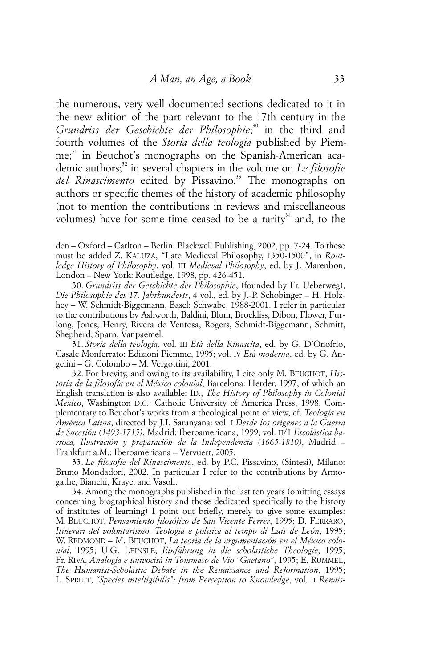the numerous, very well documented sections dedicated to it in the new edition of the part relevant to the 17th century in the *Grundriss der Geschichte der Philosophie*; 30 in the third and fourth volumes of the *Storia della teologia* published by Piemme;<sup>31</sup> in Beuchot's monographs on the Spanish-American academic authors;<sup>32</sup> in several chapters in the volume on *Le filosofie* del Rinascimento edited by Pissavino.<sup>33</sup> The monographs on authors or specific themes of the history of academic philosophy (not to mention the contributions in reviews and miscellaneous volumes) have for some time ceased to be a rarity<sup>34</sup> and, to the

den – Oxford – Carlton – Berlin: Blackwell Publishing, 2002, pp. 7-24. To these must be added Z. KALUZA, "Late Medieval Philosophy, 1350-1500", in *Routledge History of Philosophy*, vol. III *Medieval Philosophy*, ed. by J. Marenbon, London – New York: Routledge, 1998, pp. 426-451.

30. *Grundriss der Geschichte der Philosophie*, (founded by Fr. Ueberweg), *Die Philosophie des 17. Jahrhunderts*, 4 vol., ed. by J.-P. Schobinger – H. Holzhey – W. Schmidt-Biggemann, Basel: Schwabe, 1988-2001. I refer in particular to the contributions by Ashworth, Baldini, Blum, Brockliss, Dibon, Flower, Furlong, Jones, Henry, Rivera de Ventosa, Rogers, Schmidt-Biggemann, Schmitt, Shepherd, Sparn, Vanpaemel.

31. *Storia della teologia*, vol. III *Età della Rinascita*, ed. by G. D'Onofrio, Casale Monferrato: Edizioni Piemme, 1995; vol. IV *Età moderna*, ed. by G. Angelini – G. Colombo – M. Vergottini, 2001.

32. For brevity, and owing to its availability, I cite only M. BEUCHOT, *Historia de la filosofía en el México colonial*, Barcelona: Herder, 1997, of which an English translation is also available: ID., *The History of Philosophy in Colonial Mexico*, Washington D.C.: Catholic University of America Press, 1998. Complementary to Beuchot's works from a theological point of view, cf. *Teología en América Latina*, directed by J.I. Saranyana: vol. I *Desde los orígenes a la Guerra de Sucesión (1493-1715)*, Madrid: Iberoamericana, 1999; vol. II/1 *Escolástica barroca, Ilustración y preparación de la Independencia (1665-1810)*, Madrid – Frankfurt a.M.: Iberoamericana – Vervuert, 2005.

33. *Le filosofie del Rinascimento*, ed. by P.C. Pissavino, (Sintesi), Milano: Bruno Mondadori, 2002. In particular I refer to the contributions by Armogathe, Bianchi, Kraye, and Vasoli.

34. Among the monographs published in the last ten years (omitting essays concerning biographical history and those dedicated specifically to the history of institutes of learning) I point out briefly, merely to give some examples: M. BEUCHOT, *Pensamiento filosófico de San Vicente Ferrer*, 1995; D. FERRARO, *Itinerari del volontarismo. Teologia e politica al tempo di Luis de León*, 1995; W. REDMOND – M. BEUCHOT, *La teoría de la argumentación en el México colonial*, 1995; U.G. LEINSLE, *Einführung in die scholastiche Theologie*, 1995; Fr. RIVA, *Analogia e univocità in Tommaso de Vio "Gaetano"*, 1995; E. RUMMEL, *The Humanist-Scholastic Debate in the Renaissance and Reformation*, 1995; L. SPRUIT, *"Species intelligibilis": from Perception to Knowledge*, vol. II *Renais-*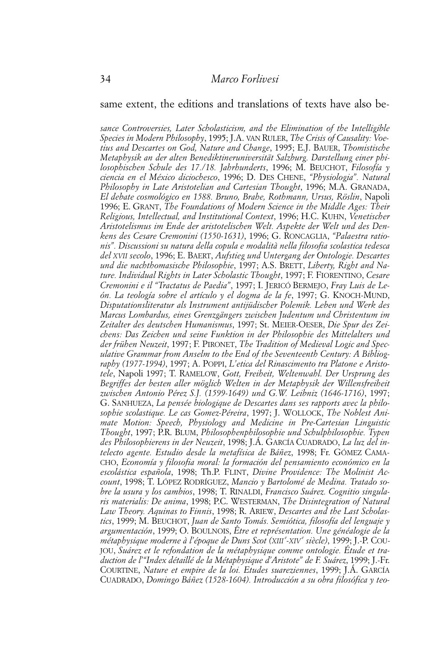#### same extent, the editions and translations of texts have also be-

*sance Controversies, Later Scholasticism, and the Elimination of the Intelligible Species in Modern Philosophy*, 1995; J.A. VAN RULER, *The Crisis of Causality: Voetius and Descartes on God, Nature and Change*, 1995; E.J. BAUER, *Thomistische Metaphysik an der alten Benediktineruniversität Salzburg. Darstellung einer philosophischen Schule des 17./18. Jahrhunderts*, 1996; M. BEUCHOT, *Filosofía y ciencia en el México diciochesco*, 1996; D. DES CHENE, *"Physiologia". Natural Philosophy in Late Aristotelian and Cartesian Thought*, 1996; M.A. GRANADA, *El debate cosmológico en 1588. Bruno, Brahe, Rothmann, Ursus, Röslin*, Napoli 1996; E. GRANT, *The Foundations of Modern Science in the Middle Ages: Their Religious, Intellectual, and Institutional Context*, 1996; H.C. KUHN, *Venetischer Aristotelismus im Ende der aristotelischen Welt. Aspekte der Welt und des Denkens des Cesare Cremonini (1550-1631)*, 1996; G. RONCAGLIA, *"Palaestra rationis". Discussioni su natura della copula e modalità nella filosofia scolastica tedesca del XVII secolo*, 1996; E. BAERT, *Aufstieg und Untergang der Ontologie. Descartes und die nachthomasische Philosophie*, 1997; A.S. BRETT, *Liberty, Right and Nature. Individual Rights in Later Scholastic Thought*, 1997; F. FIORENTINO, *Cesare Cremonini e il "Tractatus de Paedia"*, 1997; I. JERICÓ BERMEJO, *Fray Luis de León. La teología sobre el artículo y el dogma de la fe*, 1997; G. KNOCH-MUND, *Disputationsliteratur als Instrument antijüdischer Polemik. Leben und Werk des Marcus Lombardus, eines Grenzgängers zwischen Judentum und Christentum im Zeitalter des deutschen Humanismus*, 1997; St. MEIER-OESER, *Die Spur des Zeichens: Das Zeichen und seine Funktion in der Philosophie des Mittelalters und der frühen Neuzeit*, 1997; F. PIRONET, *The Tradition of Medieval Logic and Speculative Grammar from Anselm to the End of the Seventeenth Century: A Bibliography (1977-1994)*, 1997; A. POPPI, *L'etica del Rinascimento tra Platone e Aristotele*, Napoli 1997; T. RAMELOW, *Gott, Freiheit, Weltenwahl. Der Ursprung des Begriffes der besten aller möglich Welten in der Metaphysik der Willensfreiheit zwischen Antonio Pérez S.J. (1599-1649) und G.W. Leibniz (1646-1716)*, 1997; G. SANHUEZA, *La pensée biologique de Descartes dans ses rapports avec la philosophie scolastique. Le cas Gomez-Péreira*, 1997; J. WOLLOCK, *The Noblest Animate Motion: Speech, Physiology and Medicine in Pre-Cartesian Linguistic Thought*, 1997; P.R. BLUM, *Philosophenphilosophie und Schulphilosophie. Typen des Philosophierens in der Neuzeit*, 1998; J.Á. GARCÍA CUADRADO, *La luz del intelecto agente. Estudio desde la metafísica de Báñez*, 1998; Fr. GÓMEZ CAMA-CHO, *Economía y filosofia moral: la formación del pensamiento económico en la escolástica española*, 1998; Th.P. FLINT, *Divine Providence: The Molinist Account*, 1998; T. LÓPEZ RODRÍGUEZ, *Mancio y Bartolomé de Medina. Tratado sobre la usura y los cambios*, 1998; T. RINALDI, *Francisco Suárez. Cognitio singularis materialis: De anima*, 1998; P.C. WESTERMAN, *The Disintegration of Natural Law Theory. Aquinas to Finnis*, 1998; R. ARIEW, *Descartes and the Last Scholastics*, 1999; M. BEUCHOT, *Juan de Santo Tomás. Semiótica, filosofía del lenguaje y argumentación*, 1999; O. BOULNOIS, *Être et représentation. Une généalogie de la métaphysique moderne à l'époque de Duns Scot (XIII e -XIV e siècle)*, 1999; J.-P. COU-JOU, *Suárez et le refondation de la métaphysique comme ontologie. Étude et traduction de l'"Index détaillé de la Métaphysique d'Aristote" de F. Suárez*, 1999; J.-Fr. COURTINE, *Nature et empire de la loi. Etudes suareziennes*, 1999; J.Á. GARCÍA CUADRADO, *Domingo Báñez (1528-1604). Introducción a su obra filosófica y teo-*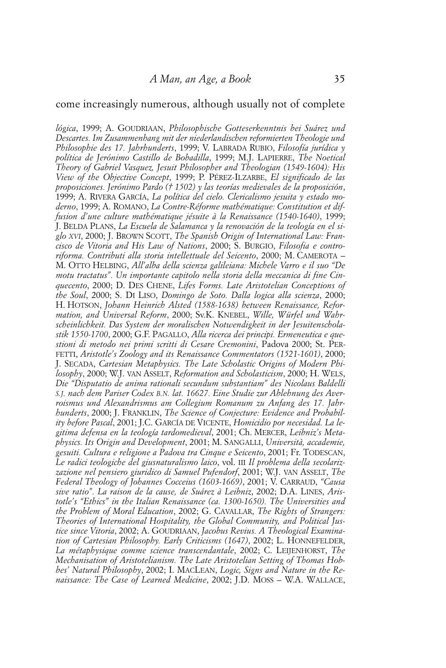#### come increasingly numerous, although usually not of complete

*lógica*, 1999; A. GOUDRIAAN, *Philosophische Gotteserkenntnis bei Suárez und Descartes. Im Zusammenhang mit der niederlandischen reformierten Theologie und Philosophie des 17. Jahrhunderts*, 1999; V. LABRADA RUBIO, *Filosofía jurídica y política de Jerónimo Castillo de Bobadilla*, 1999; M.J. LAPIERRE, *The Noetical Theory of Gabriel Vasquez, Jesuit Philosopher and Theologian (1549-1604): His View of the Objective Concept*, 1999; P. PÉREZ-ILZARBE, *El significado de las proposiciones. Jerónimo Pardo († 1502) y las teorías medievales de la proposición*, 1999; A. RIVERA GARCÍA, *La política del cielo. Clericalismo jesuita y estado moderno*, 1999; A. ROMANO, *La Contre-Réforme mathématique: Constitution et diffusion d'une culture mathématique jésuite à la Renaissance (1540-1640)*, 1999; J. BELDA PLANS, *La Escuela de Salamanca y la renovación de la teología en el siglo XVI*, 2000; J. BROWN SCOTT, *The Spanish Origin of International Law: Francisco de Vitoria and His Law of Nations*, 2000; S. BURGIO, *Filosofia e controriforma. Contributi alla storia intellettuale del Seicento*, 2000; M. CAMEROTA – M. OTTO HELBING, *All'alba della scienza galileiana: Michele Varro e il suo "De motu tractatus". Un importante capitolo nella storia della meccanica di fine Cinquecento*, 2000; D. DES CHENE, *Lifes Forms. Late Aristotelian Conceptions of the Soul*, 2000; S. DI LISO, *Domingo de Soto. Dalla logica alla scienza*, 2000; H. HOTSON, *Johann Heinrich Alsted (1588-1638) between Renaissance, Reformation, and Universal Reform*, 2000; Sv.K. KNEBEL, *Wille, Würfel und Wahrscheinlichkeit. Das System der moralischen Notwendigkeit in der Jesuitenscholastik 1550-1700*, 2000; G.F. PAGALLO, *Alla ricerca dei principi. Ermeneutica e questioni di metodo nei primi scritti di Cesare Cremonini*, Padova 2000; St. PER-FETTI, *Aristotle's Zoology and its Renaissance Commentators (1521-1601)*, 2000; J. SECADA, *Cartesian Metaphysics. The Late Scholastic Origins of Modern Philosophy*, 2000; W.J. VAN ASSELT, *Reformation and Scholasticism*, 2000; H. WELS, *Die "Disputatio de anima rationali secundum substantiam" des Nicolaus Baldelli S.J. nach dem Pariser Codex B.N. lat. 16627. Eine Studie zur Ablehnung des Averroismus und Alexandrismus am Collegium Romanum zu Anfang des 17. Jahrhunderts*, 2000; J. FRANKLIN, *The Science of Conjecture: Evidence and Probability before Pascal*, 2001; J.C. GARCÍA DE VICENTE, *Homicidio por necesidad. La legitima defensa en la teología tardomedieval*, 2001; Ch. MERCER, *Leibniz's Metaphysics. Its Origin and Development*, 2001; M. SANGALLI, *Università, accademie, gesuiti. Cultura e religione a Padova tra Cinque e Seicento*, 2001; Fr. TODESCAN, *Le radici teologiche del giusnaturalismo laico*, vol. III *Il problema della secolarizzazione nel pensiero giuridico di Samuel Pufendorf*, 2001; W.J. VAN ASSELT, *The Federal Theology of Johannes Cocceius (1603-1669)*, 2001; V. CARRAUD, *"Causa sive ratio". La raison de la cause, de Suárez à Leibniz*, 2002; D.A. LINES, *Aristotle's "Ethics" in the Italian Renaissance (ca. 1300-1650). The Universities and the Problem of Moral Education*, 2002; G. CAVALLAR, *The Rights of Strangers: Theories of International Hospitality, the Global Community, and Political Justice since Vitoria*, 2002; A. GOUDRIAAN, *Jacobus Revius. A Theological Examination of Cartesian Philosophy. Early Criticisms (1647)*, 2002; L. HONNEFELDER, *La métaphysique comme science transcendantale*, 2002; C. LEIJENHORST, *The Mechanisation of Aristotelianism. The Late Aristotelian Setting of Thomas Hobbes' Natural Philosophy*, 2002; I. MACLEAN, *Logic, Signs and Nature in the Renaissance: The Case of Learned Medicine*, 2002; J.D. MOSS – W.A. WALLACE,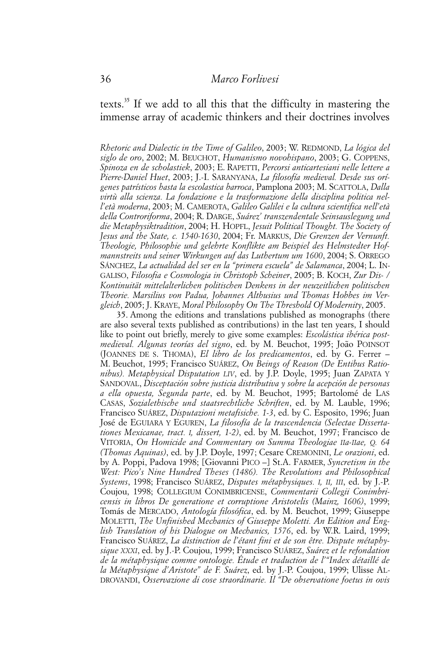texts.35 If we add to all this that the difficulty in mastering the immense array of academic thinkers and their doctrines involves

*Rhetoric and Dialectic in the Time of Galileo*, 2003; W. REDMOND, *La lógica del siglo de oro*, 2002; M. BEUCHOT, *Humanismo novohispano*, 2003; G. COPPENS, *Spinoza en de scholastiek*, 2003; E. RAPETTI, *Percorsi anticartesiani nelle lettere a Pierre-Daniel Huet*, 2003; J.-I. SARANYANA, *La filosofía medieval. Desde sus orígenes patrísticos hasta la escolastica barroca*, Pamplona 2003; M. SCATTOLA, *Dalla virtù alla scienza. La fondazione e la trasformazione della disciplina politica nell'età moderna*, 2003; M. CAMEROTA, *Galileo Galilei e la cultura scientifica nell'età della Controriforma*, 2004; R. DARGE, *Suárez' transzendentale Seinsauslegung und die Metaphysiktradition*, 2004; H. HOPFL, *Jesuit Political Thought. The Society of Jesus and the State, c. 1540-1630*, 2004; Fr. MARKUS, *Die Grenzen der Vernunft. Theologie, Philosophie und gelehrte Konflikte am Beispiel des Helmstedter Hofmannstreits und seiner Wirkungen auf das Luthertum um 1600*, 2004; S. ORREGO SÁNCHEZ, *La actualidad del ser en la "primera escuela" de Salamanca*, 2004; L. IN-GALISO, *Filosofia e Cosmologia in Christoph Scheiner*, 2005; B. KOCH, *Zur Dis- / Kontinuität mittelalterlichen politischen Denkens in der neuzeitlichen politischen Theorie. Marsilius von Padua, Johannes Althusius und Thomas Hobbes im Vergleich*, 2005; J. KRAYE, *Moral Philosophy On The Threshold Of Modernity*, 2005.

35. Among the editions and translations published as monographs (there are also several texts published as contributions) in the last ten years, I should like to point out briefly, merely to give some examples: *Escolástica ibérica postmedieval. Algunas teorías del signo*, ed. by M. Beuchot, 1995; João POINSOT (JOANNES DE S. THOMA), *El libro de los predicamentos*, ed. by G. Ferrer – M. Beuchot, 1995; Francisco SUÁREZ, *On Beings of Reason (De Entibus Rationibus). Metaphysical Disputation LIV*, ed. by J.P. Doyle, 1995; Juan ZAPATA Y SANDOVAL, *Disceptación sobre justicia distributiva y sobre la acepción de personas a ella opuesta, Segunda parte*, ed. by M. Beuchot, 1995; Bartolomé de LAS CASAS, *Sozialethische und staatsrechtliche Schriften*, ed. by M. Lauble, 1996; Francisco SUÁREZ, *Disputazioni metafisiche. 1-3*, ed. by C. Esposito, 1996; Juan José de EGUIARA Y EGUREN, *La filosofía de la trascendencia (Selectae Dissertationes Mexicanae, tract. I, dissert, 1-2)*, ed. by M. Beuchot, 1997; Francisco de VITORIA, *On Homicide and Commentary on Summa Theologiae IIa-IIae, Q. 64 (Thomas Aquinas)*, ed. by J.P. Doyle, 1997; Cesare CREMONINI, *Le orazioni*, ed. by A. Poppi, Padova 1998; [Giovanni PICO –] St.A. FARMER, *Syncretism in the West: Pico's Nine Hundred Theses (1486). The Revolutions and Philosophical Systems*, 1998; Francisco SUÁREZ, *Disputes métaphysiques. I, II, III*, ed. by J.-P. Coujou, 1998; COLLEGIUM CONIMBRICENSE, *Commentarii Collegii Conimbricensis in libros De generatione et corruptione Aristotelis (Mainz, 1606)*, 1999; Tomás de MERCADO, *Antología filosófica*, ed. by M. Beuchot, 1999; Giuseppe MOLETTI, *The Unfinished Mechanics of Giuseppe Moletti. An Edition and English Translation of his Dialogue on Mechanics, 1576*, ed. by W.R. Laird, 1999; Francisco SUÁREZ, *La distinction de l'étant fini et de son être. Dispute métaphysique XXXI*, ed. by J.-P. Coujou, 1999; Francisco SUÁREZ, *Suárez et le refondation de la métaphysique comme ontologie. Étude et traduction de l'"Index détaillé de la Métaphysique d'Aristote" de F. Suárez*, ed. by J.-P. Coujou, 1999; Ulisse AL-DROVANDI, *Osservazione di cose straordinarie. Il "De observatione foetus in ovis*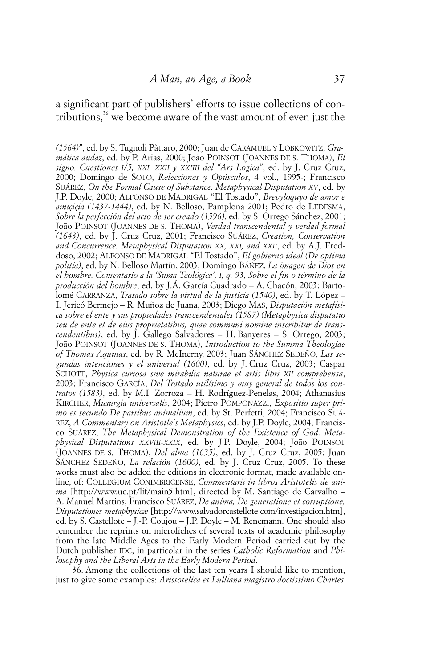a significant part of publishers' efforts to issue collections of contributions, $36$  we become aware of the vast amount of even just the

*(1564)"*, ed. by S. Tugnoli Pàttaro, 2000; Juan de CARAMUEL Y LOBKOWITZ, *Gramática audaz*, ed. by P. Arias, 2000; João POINSOT (JOANNES DE S. THOMA), *El signo. Cuestiones I/5, XXI, XXII y XXIIII del "Ars Logica"*, ed. by J. Cruz Cruz, 2000; Domingo de SOTO, *Relecciones y Opúsculos*, 4 vol., 1995-; Francisco SUÁREZ, *On the Formal Cause of Substance. Metaphysical Disputation XV*, ed. by J.P. Doyle, 2000; ALFONSO DE MADRIGAL "El Tostado", *Brevyloquyo de amor e amiçiçia (1437-1444)*, ed. by N. Belloso, Pamplona 2001; Pedro de LEDESMA, *Sobre la perfección del acto de ser creado (1596)*, ed. by S. Orrego Sánchez, 2001; João POINSOT (JOANNES DE S. THOMA), *Verdad transcendental y verdad formal (1643)*, ed. by J. Cruz Cruz, 2001; Francisco SUÁREZ, *Creation, Conservation and Concurrence. Metaphysical Disputation XX, XXI, and XXII*, ed. by A.J. Freddoso, 2002; ALFONSO DE MADRIGAL "El Tostado", *El gobierno ideal (De optima politia)*, ed. by N. Belloso Martín, 2003; Domingo BÁÑEZ, *La imagen de Dios en el hombre. Comentario a la 'Suma Teológica', I, q. 93, Sobre el fin o término de la producción del hombre*, ed. by J.Á. García Cuadrado – A. Chacón, 2003; Bartolomé CARRANZA, *Tratado sobre la virtud de la justicia (1540)*, ed. by T. López – I. Jericó Bermejo – R. Muñoz de Juana, 2003; Diego MAS, *Disputación metafísica sobre el ente y sus propiedades transcendentales (1587) (Metaphysica disputatio seu de ente et de eius proprietatibus, quae communi nomine inscribitur de transcendentibus)*, ed. by J. Gallego Salvadores – H. Banyeres – S. Orrego, 2003; João POINSOT (JOANNES DE S. THOMA), *Introduction to the Summa Theologiae of Thomas Aquinas*, ed. by R. McInerny, 2003; Juan SÁNCHEZ SEDEÑO, *Las segundas intenciones y el universal (1600)*, ed. by J. Cruz Cruz, 2003; Caspar SCHOTT, *Physica curiosa sive mirabilia naturae et artis libri XII comprehensa*, 2003; Francisco GARCÍA, *Del Tratado utilísimo y muy general de todos los contratos (1583)*, ed. by M.I. Zorroza – H. Rodríguez-Penelas, 2004; Athanasius KIRCHER, *Musurgia universalis*, 2004; Pietro POMPONAZZI, *Expositio super primo et secundo De partibus animalium*, ed. by St. Perfetti, 2004; Francisco SUÁ-REZ, *A Commentary on Aristotle's Metaphysics*, ed. by J.P. Doyle, 2004; Francisco SUÁREZ, *The Metaphysical Demonstration of the Existence of God. Metaphysical Disputations XXVIII-XXIX*, ed. by J.P. Doyle, 2004; João POINSOT (JOANNES DE S. THOMA), *Del alma (1635)*, ed. by J. Cruz Cruz, 2005; Juan SÁNCHEZ SEDEÑO, *La relación (1600)*, ed. by J. Cruz Cruz, 2005. To these works must also be added the editions in electronic format, made available online, of: COLLEGIUM CONIMBRICENSE, *Commentarii in libros Aristotelis de anima* [http://www.uc.pt/lif/main5.htm], directed by M. Santiago de Carvalho – A. Manuel Martins; Francisco SUÁREZ, *De anima, De generatione et corruptione, Disputationes metaphysicæ* [http://www.salvadorcastellote.com/investigacion.htm], ed. by S. Castellote – J.-P. Coujou – J.P. Doyle – M. Renemann. One should also remember the reprints on microfiches of several texts of academic philosophy from the late Middle Ages to the Early Modern Period carried out by the Dutch publisher IDC, in particolar in the series *Catholic Reformation* and *Philosophy and the Liberal Arts in the Early Modern Period*.

36. Among the collections of the last ten years I should like to mention, just to give some examples: *Aristotelica et Lulliana magistro doctissimo Charles*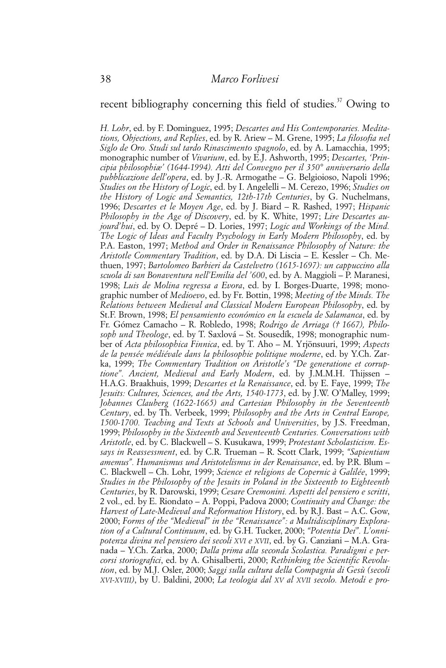# recent bibliography concerning this field of studies.<sup>37</sup> Owing to

*H. Lohr*, ed. by F. Dominguez, 1995; *Descartes and His Contemporaries. Meditations, Objections, and Replies*, ed. by R. Ariew – M. Grene, 1995; *La filosofia nel Siglo de Oro. Studi sul tardo Rinascimento spagnolo*, ed. by A. Lamacchia, 1995; monographic number of *Vivarium*, ed. by E.J. Ashworth, 1995; *Descartes, 'Principia philosophiæ' (1644-1994). Atti del Convegno per il 350° anniversario della pubblicazione dell'opera*, ed. by J.-R. Armogathe – G. Belgioioso, Napoli 1996; *Studies on the History of Logic*, ed. by I. Angelelli – M. Cerezo, 1996; *Studies on the History of Logic and Semantics, 12th-17th Centuries*, by G. Nuchelmans, 1996; *Descartes et le Moyen Age*, ed. by J. Biard – R. Rashed, 1997; *Hispanic Philosophy in the Age of Discovery*, ed. by K. White, 1997; *Lire Descartes aujourd'hui*, ed. by O. Depré – D. Lories, 1997; *Logic and Workings of the Mind. The Logic of Ideas and Faculty Psychology in Early Modern Philosophy*, ed. by P.A. Easton, 1997; *Method and Order in Renaissance Philosophy of Nature: the Aristotle Commentary Tradition*, ed. by D.A. Di Liscia – E. Kessler – Ch. Methuen, 1997; *Bartolomeo Barbieri da Castelvetro (1615-1697): un cappuccino alla scuola di san Bonaventura nell'Emilia del '600*, ed. by A. Maggioli – P. Maranesi, 1998; *Luis de Molina regressa a Evora*, ed. by I. Borges-Duarte, 1998; monographic number of *Medioevo*, ed. by Fr. Bottin, 1998; *Meeting of the Minds. The Relations between Medieval and Classical Modern European Philosophy*, ed. by St.F. Brown, 1998; *El pensamiento económico en la escuela de Salamanca*, ed. by Fr. Gómez Camacho – R. Robledo, 1998; *Rodrigo de Arriaga († 1667), Philosoph und Theologe*, ed. by T. Saxlová – St. Sousedík, 1998; monographic number of *Acta philosophica Finnica*, ed. by T. Aho – M. Yrjönsuuri, 1999; *Aspects de la pensée médiévale dans la philosophie politique moderne*, ed. by Y.Ch. Zarka, 1999; *The Commentary Tradition on Aristotle's "De generatione et corruptione". Ancient, Medieval and Early Modern*, ed. by J.M.M.H. Thijssen – H.A.G. Braakhuis, 1999; *Descartes et la Renaissance*, ed. by E. Faye, 1999; *The Jesuits: Cultures, Sciences, and the Arts, 1540-1773*, ed. by J.W. O'Malley, 1999; *Johannes Clauberg (1622-1665) and Cartesian Philosophy in the Seventeenth Century*, ed. by Th. Verbeek, 1999; *Philosophy and the Arts in Central Europe, 1500-1700. Teaching and Texts at Schools and Universities*, by J.S. Freedman, 1999; *Philosophy in the Sixteenth and Seventeenth Centuries. Conversations with Aristotle*, ed. by C. Blackwell – S. Kusukawa, 1999; *Protestant Scholasticism. Essays in Reassessment*, ed. by C.R. Trueman – R. Scott Clark, 1999; *"Sapientiam amemus". Humanismus und Aristotelismus in der Renaissance*, ed. by P.R. Blum – C. Blackwell – Ch. Lohr, 1999; *Science et religions de Copernic à Galilée*, 1999; *Studies in the Philosophy of the Jesuits in Poland in the Sixteenth to Eighteenth Centuries*, by R. Darowski, 1999; *Cesare Cremonini. Aspetti del pensiero e scritti*, 2 vol., ed. by E. Riondato – A. Poppi, Padova 2000; *Continuity and Change: the Harvest of Late-Medieval and Reformation History*, ed. by R.J. Bast – A.C. Gow, 2000; *Forms of the "Medieval" in the "Renaissance": a Multidisciplinary Exploration of a Cultural Continuum*, ed. by G.H. Tucker, 2000; *"Potentia Dei". L'onnipotenza divina nel pensiero dei secoli XVI e XVII*, ed. by G. Canziani – M.A. Granada – Y.Ch. Zarka, 2000; *Dalla prima alla seconda Scolastica. Paradigmi e percorsi storiografici*, ed. by A. Ghisalberti, 2000; *Rethinking the Scientific Revolution*, ed. by M.J. Osler, 2000; *Saggi sulla cultura della Compagnia di Gesù (secoli XVI-XVIII)*, by U. Baldini, 2000; *La teologia dal XV al XVII secolo. Metodi e pro-*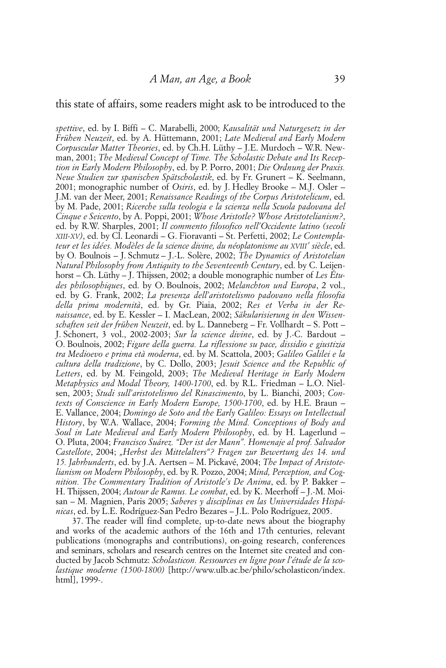#### this state of affairs, some readers might ask to be introduced to the

*spettive*, ed. by I. Biffi – C. Marabelli, 2000; *Kausalität und Naturgesetz in der Frühen Neuzeit*, ed. by A. Hüttemann, 2001; *Late Medieval and Early Modern Corpuscular Matter Theories*, ed. by Ch.H. Lüthy – J.E. Murdoch – W.R. Newman, 2001; *The Medieval Concept of Time. The Scholastic Debate and Its Reception in Early Modern Philosophy*, ed. by P. Porro, 2001; *Die Ordnung der Praxis. Neue Studien zur spanischen Spätscholastik*, ed. by Fr. Grunert – K. Seelmann, 2001; monographic number of *Osiris*, ed. by J. Hedley Brooke – M.J. Osler – J.M. van der Meer, 2001; *Renaissance Readings of the Corpus Aristotelicum*, ed. by M. Pade, 2001; *Ricerche sulla teologia e la scienza nella Scuola padovana del Cinque e Seicento*, by A. Poppi, 2001; *Whose Aristotle? Whose Aristotelianism?*, ed. by R.W. Sharples, 2001; *Il commento filosofico nell'Occidente latino (secoli XIII-XV)*, ed. by Cl. Leonardi – G. Fioravanti – St. Perfetti, 2002; *Le Contemplateur et les idées. Modèles de la science divine, du néoplatonisme au XVIII e siècle*, ed. by O. Boulnois – J. Schmutz – J.-L. Solère, 2002; *The Dynamics of Aristotelian Natural Philosophy from Antiquity to the Seventeenth Century*, ed. by C. Leijenhorst – Ch. Lüthy – J. Thijssen, 2002; a double monographic number of *Les Études philosophiques*, ed. by O. Boulnois, 2002; *Melanchton und Europa*, 2 vol., ed. by G. Frank, 2002; *La presenza dell'aristotelismo padovano nella filosofia della prima modernità*, ed. by Gr. Piaia, 2002; *Res et Verba in der Renaissance*, ed. by E. Kessler – I. MacLean, 2002; *Säkularisierung in den Wissenschaften seit der frühen Neuzeit*, ed. by L. Danneberg – Fr. Vollhardt – S. Pott – J. Schonert, 3 vol., 2002-2003; *Sur la science divine*, ed. by J.-C. Bardout – O. Boulnois, 2002; *Figure della guerra. La riflessione su pace, dissidio e giustizia tra Medioevo e prima età moderna*, ed. by M. Scattola, 2003; *Galileo Galilei e la cultura della tradizione*, by C. Dollo, 2003; *Jesuit Science and the Republic of Letters*, ed. by M. Feingold, 2003; *The Medieval Heritage in Early Modern Metaphysics and Modal Theory, 1400-1700*, ed. by R.L. Friedman – L.O. Nielsen, 2003; *Studi sull'aristotelismo del Rinascimento*, by L. Bianchi, 2003; *Contexts of Conscience in Early Modern Europe, 1500-1700*, ed. by H.E. Braun – E. Vallance, 2004; *Domingo de Soto and the Early Galileo: Essays on Intellectual History*, by W.A. Wallace, 2004; *Forming the Mind. Conceptions of Body and Soul in Late Medieval and Early Modern Philosophy*, ed. by H. Lagerlund – O. Pluta, 2004; *Francisco Suárez. "Der ist der Mann". Homenaje al prof. Salvador Castellote*, 2004; *"Herbst des Mittelalters"? Fragen zur Bewertung des 14. und 15. Jahrhunderts*, ed. by J.A. Aertsen – M. Pickavé, 2004; *The Impact of Aristotelianism on Modern Philosophy*, ed. by R. Pozzo, 2004; *Mind, Perception, and Cognition. The Commentary Tradition of Aristotle's De Anima*, ed. by P. Bakker – H. Thijssen, 2004; *Autour de Ramus. Le combat*, ed. by K. Meerhoff – J.-M. Moisan – M. Magnien, Paris 2005; *Saberes y disciplinas en las Universidades Hispánicas*, ed. by L.E. Rodríguez-San Pedro Bezares – J.L. Polo Rodríguez, 2005.

37. The reader will find complete, up-to-date news about the biography and works of the academic authors of the 16th and 17th centuries, relevant publications (monographs and contributions), on-going research, conferences and seminars, scholars and research centres on the Internet site created and conducted by Jacob Schmutz: *Scholasticon. Ressources en ligne pour l'étude de la scolastique moderne (1500-1800)* [http://www.ulb.ac.be/philo/scholasticon/index. html], 1999-.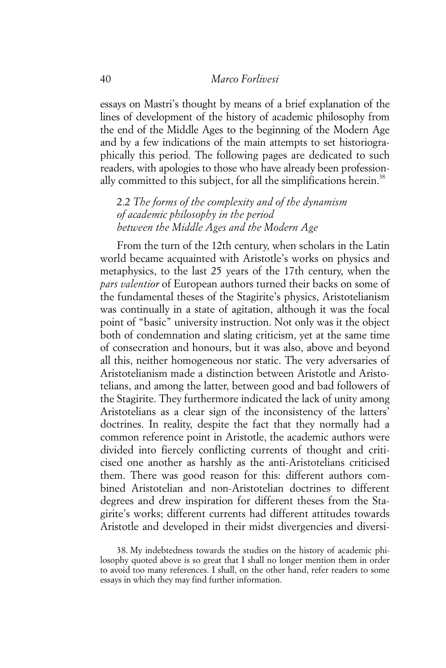essays on Mastri's thought by means of a brief explanation of the lines of development of the history of academic philosophy from the end of the Middle Ages to the beginning of the Modern Age and by a few indications of the main attempts to set historiographically this period. The following pages are dedicated to such readers, with apologies to those who have already been professionally committed to this subject, for all the simplifications herein.<sup>38</sup>

2.2 *The forms of the complexity and of the dynamism of academic philosophy in the period between the Middle Ages and the Modern Age*

From the turn of the 12th century, when scholars in the Latin world became acquainted with Aristotle's works on physics and metaphysics, to the last 25 years of the 17th century, when the *pars valentior* of European authors turned their backs on some of the fundamental theses of the Stagirite's physics, Aristotelianism was continually in a state of agitation, although it was the focal point of "basic" university instruction. Not only was it the object both of condemnation and slating criticism, yet at the same time of consecration and honours, but it was also, above and beyond all this, neither homogeneous nor static. The very adversaries of Aristotelianism made a distinction between Aristotle and Aristotelians, and among the latter, between good and bad followers of the Stagirite. They furthermore indicated the lack of unity among Aristotelians as a clear sign of the inconsistency of the latters' doctrines. In reality, despite the fact that they normally had a common reference point in Aristotle, the academic authors were divided into fiercely conflicting currents of thought and criticised one another as harshly as the anti-Aristotelians criticised them. There was good reason for this: different authors combined Aristotelian and non-Aristotelian doctrines to different degrees and drew inspiration for different theses from the Stagirite's works; different currents had different attitudes towards Aristotle and developed in their midst divergencies and diversi-

38. My indebtedness towards the studies on the history of academic philosophy quoted above is so great that I shall no longer mention them in order to avoid too many references. I shall, on the other hand, refer readers to some essays in which they may find further information.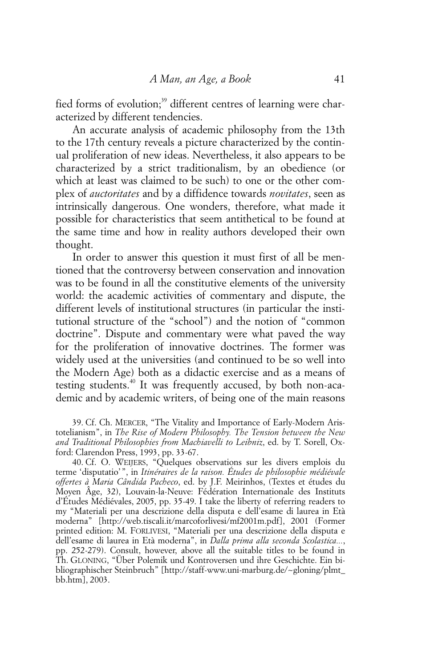fied forms of evolution;<sup>39</sup> different centres of learning were characterized by different tendencies.

An accurate analysis of academic philosophy from the 13th to the 17th century reveals a picture characterized by the continual proliferation of new ideas. Nevertheless, it also appears to be characterized by a strict traditionalism, by an obedience (or which at least was claimed to be such) to one or the other complex of *auctoritates* and by a diffidence towards *novitates*, seen as intrinsically dangerous. One wonders, therefore, what made it possible for characteristics that seem antithetical to be found at the same time and how in reality authors developed their own thought.

In order to answer this question it must first of all be mentioned that the controversy between conservation and innovation was to be found in all the constitutive elements of the university world: the academic activities of commentary and dispute, the different levels of institutional structures (in particular the institutional structure of the "school") and the notion of "common doctrine". Dispute and commentary were what paved the way for the proliferation of innovative doctrines. The former was widely used at the universities (and continued to be so well into the Modern Age) both as a didactic exercise and as a means of testing students.<sup>40</sup> It was frequently accused, by both non-academic and by academic writers, of being one of the main reasons

39. Cf. Ch. MERCER, "The Vitality and Importance of Early-Modern Aristotelianism", in *The Rise of Modern Philosophy. The Tension between the New and Traditional Philosophies from Machiavelli to Leibniz*, ed. by T. Sorell, Oxford: Clarendon Press, 1993, pp. 33-67.

40. Cf. O. WEIJERS, "Quelques observations sur les divers emplois du terme 'disputatio'", in *Itinéraires de la raison. Études de philosophie médiévale offertes à Maria Cândida Pacheco*, ed. by J.F. Meirinhos, (Textes et études du Moyen Âge, 32), Louvain-la-Neuve: Fédération Internationale des Instituts d'Études Médiévales, 2005, pp. 35-49. I take the liberty of referring readers to my "Materiali per una descrizione della disputa e dell'esame di laurea in Età moderna" [http://web.tiscali.it/marcoforlivesi/mf2001m.pdf], 2001 (Former printed edition: M. FORLIVESI, "Materiali per una descrizione della disputa e dell'esame di laurea in Età moderna", in *Dalla prima alla seconda Scolastica...*, pp. 252-279). Consult, however, above all the suitable titles to be found in Th. GLONING, "Über Polemik und Kontroversen und ihre Geschichte. Ein bibliographischer Steinbruch" [http://staff-www.uni-marburg.de/~gloning/plmt\_ bb.htm], 2003.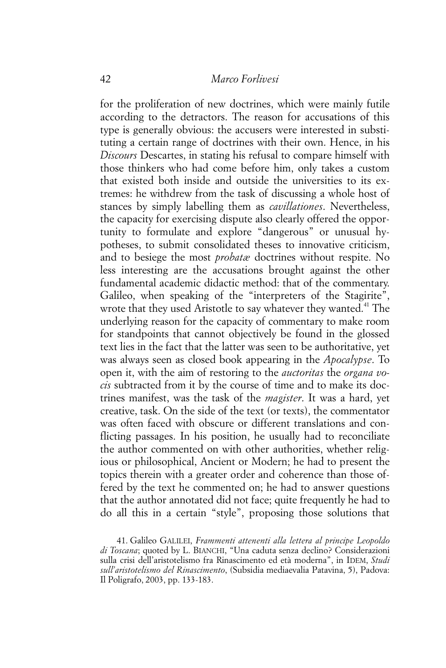for the proliferation of new doctrines, which were mainly futile according to the detractors. The reason for accusations of this type is generally obvious: the accusers were interested in substituting a certain range of doctrines with their own. Hence, in his *Discours* Descartes, in stating his refusal to compare himself with those thinkers who had come before him, only takes a custom that existed both inside and outside the universities to its extremes: he withdrew from the task of discussing a whole host of stances by simply labelling them as *cavillationes*. Nevertheless, the capacity for exercising dispute also clearly offered the opportunity to formulate and explore "dangerous" or unusual hypotheses, to submit consolidated theses to innovative criticism, and to besiege the most *probatæ* doctrines without respite. No less interesting are the accusations brought against the other fundamental academic didactic method: that of the commentary. Galileo, when speaking of the "interpreters of the Stagirite", wrote that they used Aristotle to say whatever they wanted.<sup>41</sup> The underlying reason for the capacity of commentary to make room for standpoints that cannot objectively be found in the glossed text lies in the fact that the latter was seen to be authoritative, yet was always seen as closed book appearing in the *Apocalypse*. To open it, with the aim of restoring to the *auctoritas* the *organa vocis* subtracted from it by the course of time and to make its doctrines manifest, was the task of the *magister*. It was a hard, yet creative, task. On the side of the text (or texts), the commentator was often faced with obscure or different translations and conflicting passages. In his position, he usually had to reconciliate the author commented on with other authorities, whether religious or philosophical, Ancient or Modern; he had to present the topics therein with a greater order and coherence than those offered by the text he commented on; he had to answer questions that the author annotated did not face; quite frequently he had to do all this in a certain "style", proposing those solutions that

<sup>41.</sup> Galileo GALILEI, *Frammenti attenenti alla lettera al principe Leopoldo di Toscana*; quoted by L. BIANCHI, "Una caduta senza declino? Considerazioni sulla crisi dell'aristotelismo fra Rinascimento ed età moderna", in IDEM, *Studi sull'aristotelismo del Rinascimento*, (Subsidia mediaevalia Patavina, 5), Padova: Il Poligrafo, 2003, pp. 133-183.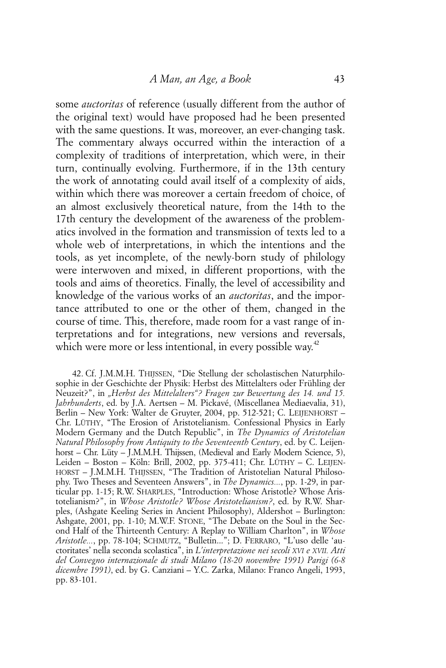some *auctoritas* of reference (usually different from the author of the original text) would have proposed had he been presented with the same questions. It was, moreover, an ever-changing task. The commentary always occurred within the interaction of a complexity of traditions of interpretation, which were, in their turn, continually evolving. Furthermore, if in the 13th century the work of annotating could avail itself of a complexity of aids, within which there was moreover a certain freedom of choice, of an almost exclusively theoretical nature, from the 14th to the 17th century the development of the awareness of the problematics involved in the formation and transmission of texts led to a whole web of interpretations, in which the intentions and the tools, as yet incomplete, of the newly-born study of philology were interwoven and mixed, in different proportions, with the tools and aims of theoretics. Finally, the level of accessibility and knowledge of the various works of an *auctoritas*, and the importance attributed to one or the other of them, changed in the course of time. This, therefore, made room for a vast range of interpretations and for integrations, new versions and reversals, which were more or less intentional, in every possible way.<sup>42</sup>

<sup>42.</sup> Cf. J.M.M.H. THIJSSEN, "Die Stellung der scholastischen Naturphilosophie in der Geschichte der Physik: Herbst des Mittelalters oder Frühling der Neuzeit?", in *"Herbst des Mittelalters"? Fragen zur Bewertung des 14. und 15. Jahrhunderts*, ed. by J.A. Aertsen – M. Pickavé, (Miscellanea Mediaevalia, 31), Berlin – New York: Walter de Gruyter, 2004, pp. 512-521; C. LEIJENHORST – Chr. LÜTHY, "The Erosion of Aristotelianism. Confessional Physics in Early Modern Germany and the Dutch Republic", in *The Dynamics of Aristotelian Natural Philosophy from Antiquity to the Seventeenth Century*, ed. by C. Leijenhorst – Chr. Lüty – J.M.M.H. Thijssen, (Medieval and Early Modern Science, 5), Leiden – Boston – Köln: Brill, 2002, pp. 375-411; Chr. LÜTHY – C. LEIJEN-HORST – J.M.M.H. THIJSSEN, "The Tradition of Aristotelian Natural Philosophy. Two Theses and Seventeen Answers", in *The Dynamics...*, pp. 1-29, in particular pp. 1-15; R.W. SHARPLES, "Introduction: Whose Aristotle? Whose Aristotelianism?", in *Whose Aristotle? Whose Aristotelianism?*, ed. by R.W. Sharples, (Ashgate Keeling Series in Ancient Philosophy), Aldershot – Burlington: Ashgate, 2001, pp. 1-10; M.W.F. STONE, "The Debate on the Soul in the Second Half of the Thirteenth Century: A Replay to William Charlton", in *Whose Aristotle...*, pp. 78-104; SCHMUTZ, "Bulletin..."; D. FERRARO, "L'uso delle 'auctoritates' nella seconda scolastica", in *L'interpretazione nei secoli XVI e XVII. Atti del Convegno internazionale di studi Milano (18-20 novembre 1991) Parigi (6-8 dicembre 1991)*, ed. by G. Canziani – Y.C. Zarka, Milano: Franco Angeli, 1993, pp. 83-101.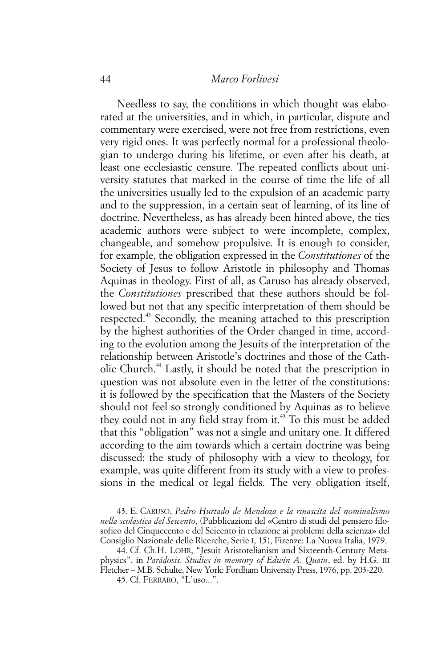### 44 *Marco Forlivesi*

Needless to say, the conditions in which thought was elaborated at the universities, and in which, in particular, dispute and commentary were exercised, were not free from restrictions, even very rigid ones. It was perfectly normal for a professional theologian to undergo during his lifetime, or even after his death, at least one ecclesiastic censure. The repeated conflicts about university statutes that marked in the course of time the life of all the universities usually led to the expulsion of an academic party and to the suppression, in a certain seat of learning, of its line of doctrine. Nevertheless, as has already been hinted above, the ties academic authors were subject to were incomplete, complex, changeable, and somehow propulsive. It is enough to consider, for example, the obligation expressed in the *Constitutiones* of the Society of Jesus to follow Aristotle in philosophy and Thomas Aquinas in theology. First of all, as Caruso has already observed, the *Constitutiones* prescribed that these authors should be followed but not that any specific interpretation of them should be respected.<sup>43</sup> Secondly, the meaning attached to this prescription by the highest authorities of the Order changed in time, according to the evolution among the Jesuits of the interpretation of the relationship between Aristotle's doctrines and those of the Catholic Church.44 Lastly, it should be noted that the prescription in question was not absolute even in the letter of the constitutions: it is followed by the specification that the Masters of the Society should not feel so strongly conditioned by Aquinas as to believe they could not in any field stray from it.<sup>45</sup> To this must be added that this "obligation" was not a single and unitary one. It differed according to the aim towards which a certain doctrine was being discussed: the study of philosophy with a view to theology, for example, was quite different from its study with a view to professions in the medical or legal fields. The very obligation itself,

43. E. CARUSO, *Pedro Hurtado de Mendoza e la rinascita del nominalismo nella scolastica del Seicento*, (Pubblicazioni del «Centro di studi del pensiero filosofico del Cinquecento e del Seicento in relazione ai problemi della scienza» del Consiglio Nazionale delle Ricerche, Serie I, 15), Firenze: La Nuova Italia, 1979.

44. Cf. Ch.H. LOHR, "Jesuit Aristotelianism and Sixteenth-Century Metaphysics", in *Parádosis. Studies in memory of Edwin A. Quain*, ed. by H.G. III Fletcher – M.B. Schulte, New York: Fordham University Press, 1976, pp. 203-220.

45. Cf. FERRARO, "L'uso...".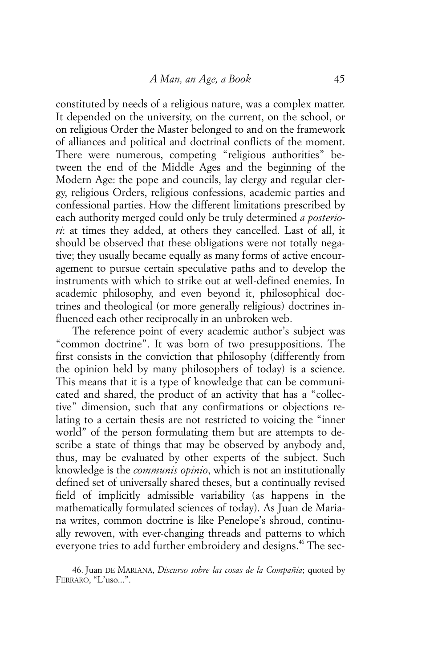constituted by needs of a religious nature, was a complex matter. It depended on the university, on the current, on the school, or on religious Order the Master belonged to and on the framework of alliances and political and doctrinal conflicts of the moment. There were numerous, competing "religious authorities" between the end of the Middle Ages and the beginning of the Modern Age: the pope and councils, lay clergy and regular clergy, religious Orders, religious confessions, academic parties and confessional parties. How the different limitations prescribed by each authority merged could only be truly determined *a posteriori*: at times they added, at others they cancelled. Last of all, it should be observed that these obligations were not totally negative; they usually became equally as many forms of active encouragement to pursue certain speculative paths and to develop the instruments with which to strike out at well-defined enemies. In academic philosophy, and even beyond it, philosophical doctrines and theological (or more generally religious) doctrines influenced each other reciprocally in an unbroken web.

The reference point of every academic author's subject was "common doctrine". It was born of two presuppositions. The first consists in the conviction that philosophy (differently from the opinion held by many philosophers of today) is a science. This means that it is a type of knowledge that can be communicated and shared, the product of an activity that has a "collective" dimension, such that any confirmations or objections relating to a certain thesis are not restricted to voicing the "inner world" of the person formulating them but are attempts to describe a state of things that may be observed by anybody and, thus, may be evaluated by other experts of the subject. Such knowledge is the *communis opinio*, which is not an institutionally defined set of universally shared theses, but a continually revised field of implicitly admissible variability (as happens in the mathematically formulated sciences of today). As Juan de Mariana writes, common doctrine is like Penelope's shroud, continually rewoven, with ever-changing threads and patterns to which everyone tries to add further embroidery and designs.<sup>46</sup> The sec-

46. Juan DE MARIANA, *Discurso sobre las cosas de la Compañia*; quoted by FERRARO, "L'uso...".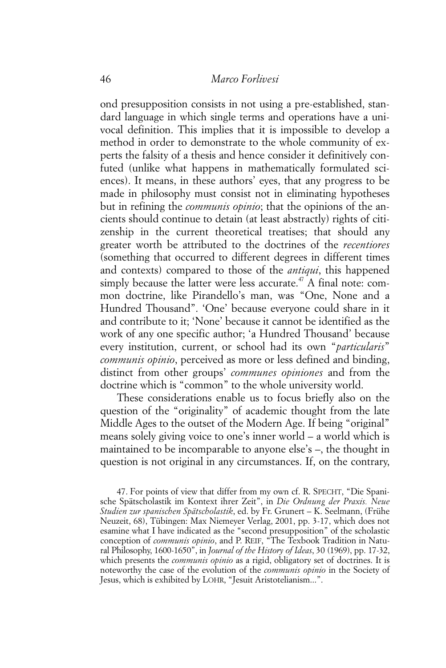ond presupposition consists in not using a pre-established, standard language in which single terms and operations have a univocal definition. This implies that it is impossible to develop a method in order to demonstrate to the whole community of experts the falsity of a thesis and hence consider it definitively confuted (unlike what happens in mathematically formulated sciences). It means, in these authors' eyes, that any progress to be made in philosophy must consist not in eliminating hypotheses but in refining the *communis opinio*; that the opinions of the ancients should continue to detain (at least abstractly) rights of citizenship in the current theoretical treatises; that should any greater worth be attributed to the doctrines of the *recentiores* (something that occurred to different degrees in different times and contexts) compared to those of the *antiqui*, this happened simply because the latter were less accurate.<sup> $47$ </sup> A final note: common doctrine, like Pirandello's man, was "One, None and a Hundred Thousand". 'One' because everyone could share in it and contribute to it; 'None' because it cannot be identified as the work of any one specific author; 'a Hundred Thousand' because every institution, current, or school had its own "*particularis*" *communis opinio*, perceived as more or less defined and binding, distinct from other groups' *communes opiniones* and from the doctrine which is "common" to the whole university world.

These considerations enable us to focus briefly also on the question of the "originality" of academic thought from the late Middle Ages to the outset of the Modern Age. If being "original" means solely giving voice to one's inner world – a world which is maintained to be incomparable to anyone else's –, the thought in question is not original in any circumstances. If, on the contrary,

<sup>47.</sup> For points of view that differ from my own cf. R. SPECHT, "Die Spanische Spätscholastik im Kontext ihrer Zeit", in *Die Ordnung der Praxis. Neue Studien zur spanischen Spätscholastik*, ed. by Fr. Grunert – K. Seelmann, (Frühe Neuzeit, 68), Tübingen: Max Niemeyer Verlag, 2001, pp. 3-17, which does not esamine what I have indicated as the "second presupposition" of the scholastic conception of *communis opinio*, and P. REIF, "The Texbook Tradition in Natural Philosophy, 1600-1650", in *Journal of the History of Ideas*, 30 (1969), pp. 17-32, which presents the *communis opinio* as a rigid, obligatory set of doctrines. It is noteworthy the case of the evolution of the *communis opinio* in the Society of Jesus, which is exhibited by LOHR, "Jesuit Aristotelianism...".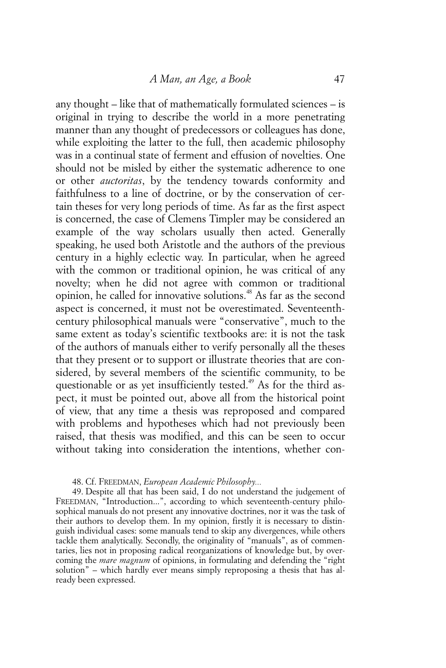any thought – like that of mathematically formulated sciences – is original in trying to describe the world in a more penetrating manner than any thought of predecessors or colleagues has done, while exploiting the latter to the full, then academic philosophy was in a continual state of ferment and effusion of novelties. One should not be misled by either the systematic adherence to one or other *auctoritas*, by the tendency towards conformity and faithfulness to a line of doctrine, or by the conservation of certain theses for very long periods of time. As far as the first aspect is concerned, the case of Clemens Timpler may be considered an example of the way scholars usually then acted. Generally speaking, he used both Aristotle and the authors of the previous century in a highly eclectic way. In particular, when he agreed with the common or traditional opinion, he was critical of any novelty; when he did not agree with common or traditional opinion, he called for innovative solutions.48 As far as the second aspect is concerned, it must not be overestimated. Seventeenthcentury philosophical manuals were "conservative", much to the same extent as today's scientific textbooks are: it is not the task of the authors of manuals either to verify personally all the theses that they present or to support or illustrate theories that are considered, by several members of the scientific community, to be questionable or as yet insufficiently tested.<sup>49</sup> As for the third aspect, it must be pointed out, above all from the historical point of view, that any time a thesis was reproposed and compared with problems and hypotheses which had not previously been raised, that thesis was modified, and this can be seen to occur without taking into consideration the intentions, whether con-

#### 48. Cf. FREEDMAN, *European Academic Philosophy...*

49. Despite all that has been said, I do not understand the judgement of FREEDMAN, "Introduction...", according to which seventeenth-century philosophical manuals do not present any innovative doctrines, nor it was the task of their authors to develop them. In my opinion, firstly it is necessary to distinguish individual cases: some manuals tend to skip any divergences, while others tackle them analytically. Secondly, the originality of "manuals", as of commentaries, lies not in proposing radical reorganizations of knowledge but, by overcoming the *mare magnum* of opinions, in formulating and defending the "right solution" – which hardly ever means simply reproposing a thesis that has already been expressed.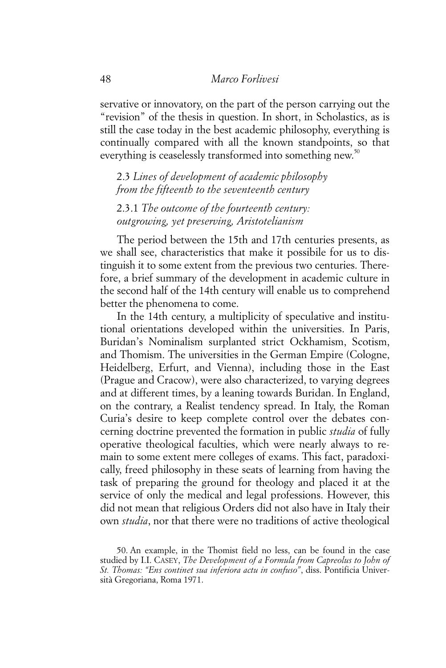servative or innovatory, on the part of the person carrying out the "revision" of the thesis in question. In short, in Scholastics, as is still the case today in the best academic philosophy, everything is continually compared with all the known standpoints, so that everything is ceaselessly transformed into something new.<sup>50</sup>

2.3 *Lines of development of academic philosophy from the fifteenth to the seventeenth century*

2.3.1 *The outcome of the fourteenth century: outgrowing, yet preserving, Aristotelianism*

The period between the 15th and 17th centuries presents, as we shall see, characteristics that make it possibile for us to distinguish it to some extent from the previous two centuries. Therefore, a brief summary of the development in academic culture in the second half of the 14th century will enable us to comprehend better the phenomena to come.

In the 14th century, a multiplicity of speculative and institutional orientations developed within the universities. In Paris, Buridan's Nominalism surplanted strict Ockhamism, Scotism, and Thomism. The universities in the German Empire (Cologne, Heidelberg, Erfurt, and Vienna), including those in the East (Prague and Cracow), were also characterized, to varying degrees and at different times, by a leaning towards Buridan. In England, on the contrary, a Realist tendency spread. In Italy, the Roman Curia's desire to keep complete control over the debates concerning doctrine prevented the formation in public *studia* of fully operative theological faculties, which were nearly always to remain to some extent mere colleges of exams. This fact, paradoxically, freed philosophy in these seats of learning from having the task of preparing the ground for theology and placed it at the service of only the medical and legal professions. However, this did not mean that religious Orders did not also have in Italy their own *studia*, nor that there were no traditions of active theological

<sup>50.</sup> An example, in the Thomist field no less, can be found in the case studied by I.I. CASEY, *The Development of a Formula from Capreolus to John of St. Thomas: "Ens continet sua inferiora actu in confuso"*, diss. Pontificia Università Gregoriana, Roma 1971.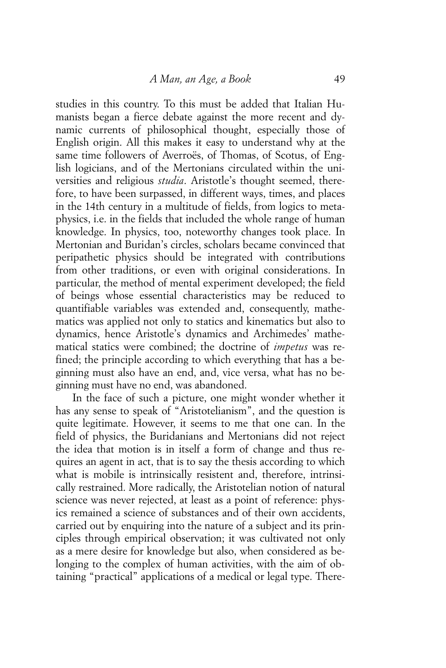studies in this country. To this must be added that Italian Humanists began a fierce debate against the more recent and dynamic currents of philosophical thought, especially those of English origin. All this makes it easy to understand why at the same time followers of Averroës, of Thomas, of Scotus, of English logicians, and of the Mertonians circulated within the universities and religious *studia*. Aristotle's thought seemed, therefore, to have been surpassed, in different ways, times, and places in the 14th century in a multitude of fields, from logics to metaphysics, i.e. in the fields that included the whole range of human knowledge. In physics, too, noteworthy changes took place. In Mertonian and Buridan's circles, scholars became convinced that peripathetic physics should be integrated with contributions from other traditions, or even with original considerations. In particular, the method of mental experiment developed; the field of beings whose essential characteristics may be reduced to quantifiable variables was extended and, consequently, mathematics was applied not only to statics and kinematics but also to dynamics, hence Aristotle's dynamics and Archimedes' mathematical statics were combined; the doctrine of *impetus* was refined; the principle according to which everything that has a beginning must also have an end, and, vice versa, what has no beginning must have no end, was abandoned.

In the face of such a picture, one might wonder whether it has any sense to speak of "Aristotelianism", and the question is quite legitimate. However, it seems to me that one can. In the field of physics, the Buridanians and Mertonians did not reject the idea that motion is in itself a form of change and thus requires an agent in act, that is to say the thesis according to which what is mobile is intrinsically resistent and, therefore, intrinsically restrained. More radically, the Aristotelian notion of natural science was never rejected, at least as a point of reference: physics remained a science of substances and of their own accidents, carried out by enquiring into the nature of a subject and its principles through empirical observation; it was cultivated not only as a mere desire for knowledge but also, when considered as belonging to the complex of human activities, with the aim of obtaining "practical" applications of a medical or legal type. There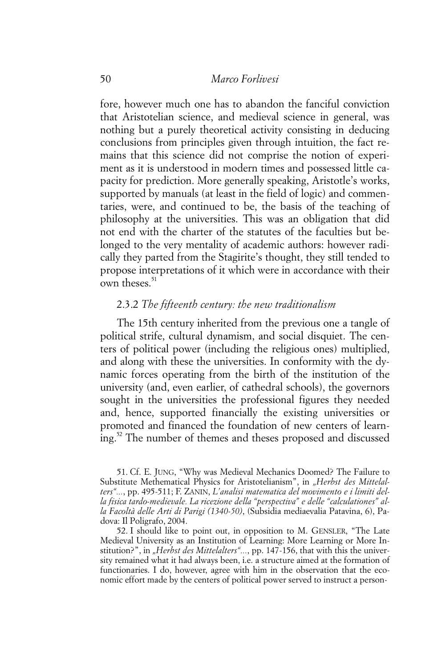fore, however much one has to abandon the fanciful conviction that Aristotelian science, and medieval science in general, was nothing but a purely theoretical activity consisting in deducing conclusions from principles given through intuition, the fact remains that this science did not comprise the notion of experiment as it is understood in modern times and possessed little capacity for prediction. More generally speaking, Aristotle's works, supported by manuals (at least in the field of logic) and commentaries, were, and continued to be, the basis of the teaching of philosophy at the universities. This was an obligation that did not end with the charter of the statutes of the faculties but belonged to the very mentality of academic authors: however radically they parted from the Stagirite's thought, they still tended to propose interpretations of it which were in accordance with their own theses. $51$ 

## 2.3.2 *The fifteenth century: the new traditionalism*

The 15th century inherited from the previous one a tangle of political strife, cultural dynamism, and social disquiet. The centers of political power (including the religious ones) multiplied, and along with these the universities. In conformity with the dynamic forces operating from the birth of the institution of the university (and, even earlier, of cathedral schools), the governors sought in the universities the professional figures they needed and, hence, supported financially the existing universities or promoted and financed the foundation of new centers of learning.52 The number of themes and theses proposed and discussed

52. I should like to point out, in opposition to M. GENSLER, "The Late Medieval University as an Institution of Learning: More Learning or More Institution?", in "Herbst des Mittelalters"..., pp. 147-156, that with this the university remained what it had always been, i.e. a structure aimed at the formation of functionaries. I do, however, agree with him in the observation that the economic effort made by the centers of political power served to instruct a person-

<sup>51.</sup> Cf. E. JUNG, "Why was Medieval Mechanics Doomed? The Failure to Substitute Methematical Physics for Aristotelianism", in "Herbst des Mittelal*ters"...*, pp. 495-511; F. ZANIN, *L'analisi matematica del movimento e i limiti della fisica tardo-medievale. La ricezione della "perspectiva" e delle "calculationes" alla Facoltà delle Arti di Parigi (1340-50)*, (Subsidia mediaevalia Patavina, 6), Padova: Il Poligrafo, 2004.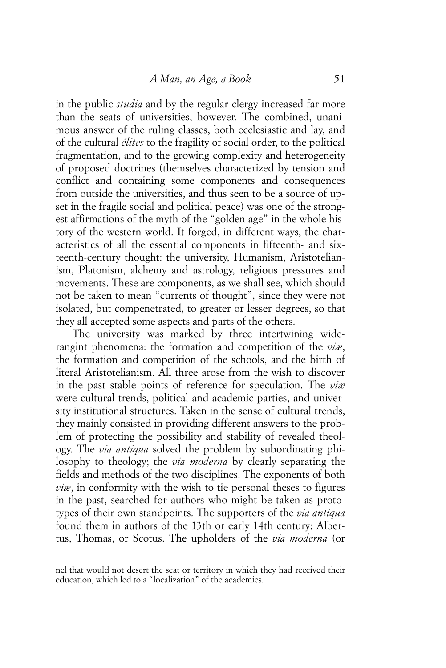in the public *studia* and by the regular clergy increased far more than the seats of universities, however. The combined, unanimous answer of the ruling classes, both ecclesiastic and lay, and of the cultural *élites* to the fragility of social order, to the political fragmentation, and to the growing complexity and heterogeneity of proposed doctrines (themselves characterized by tension and conflict and containing some components and consequences from outside the universities, and thus seen to be a source of upset in the fragile social and political peace) was one of the strongest affirmations of the myth of the "golden age" in the whole history of the western world. It forged, in different ways, the characteristics of all the essential components in fifteenth- and sixteenth-century thought: the university, Humanism, Aristotelianism, Platonism, alchemy and astrology, religious pressures and movements. These are components, as we shall see, which should not be taken to mean "currents of thought", since they were not isolated, but compenetrated, to greater or lesser degrees, so that they all accepted some aspects and parts of the others.

The university was marked by three intertwining widerangint phenomena: the formation and competition of the *viæ*, the formation and competition of the schools, and the birth of literal Aristotelianism. All three arose from the wish to discover in the past stable points of reference for speculation. The *viæ* were cultural trends, political and academic parties, and university institutional structures. Taken in the sense of cultural trends, they mainly consisted in providing different answers to the problem of protecting the possibility and stability of revealed theology. The *via antiqua* solved the problem by subordinating philosophy to theology; the *via moderna* by clearly separating the fields and methods of the two disciplines. The exponents of both *viæ*, in conformity with the wish to tie personal theses to figures in the past, searched for authors who might be taken as prototypes of their own standpoints. The supporters of the *via antiqua* found them in authors of the 13th or early 14th century: Albertus, Thomas, or Scotus. The upholders of the *via moderna* (or

nel that would not desert the seat or territory in which they had received their education, which led to a "localization" of the academies.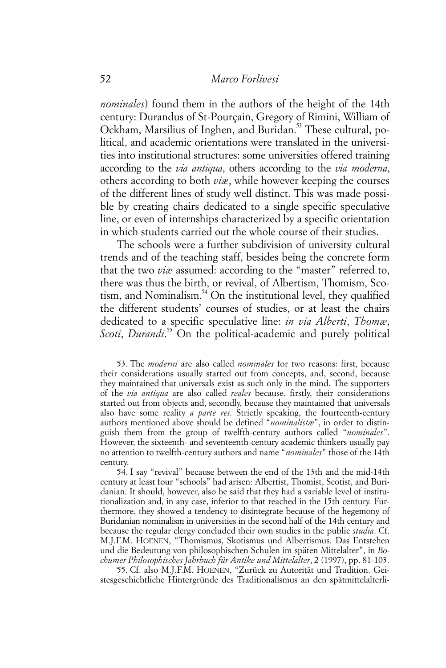*nominales*) found them in the authors of the height of the 14th century: Durandus of St-Pourçain, Gregory of Rimini, William of Ockham, Marsilius of Inghen, and Buridan.<sup>53</sup> These cultural, political, and academic orientations were translated in the universities into institutional structures: some universities offered training according to the *via antiqua*, others according to the *via moderna*, others according to both *viæ*, while however keeping the courses of the different lines of study well distinct. This was made possible by creating chairs dedicated to a single specific speculative line, or even of internships characterized by a specific orientation in which students carried out the whole course of their studies.

The schools were a further subdivision of university cultural trends and of the teaching staff, besides being the concrete form that the two *viæ* assumed: according to the "master" referred to, there was thus the birth, or revival, of Albertism, Thomism, Scotism, and Nominalism.<sup>54</sup> On the institutional level, they qualified the different students' courses of studies, or at least the chairs dedicated to a specific speculative line: *in via Alberti*, *Thomæ*, Scoti, *Durandi.*<sup>55</sup> On the political-academic and purely political

53. The *moderni* are also called *nominales* for two reasons: first, because their considerations usually started out from concepts, and, second, because they maintained that universals exist as such only in the mind. The supporters of the *via antiqua* are also called *reales* because, firstly, their considerations started out from objects and, secondly, because they maintained that universals also have some reality *a parte rei*. Strictly speaking, the fourteenth-century authors mentioned above should be defined "*nominalistæ*", in order to distinguish them from the group of twelfth-century authors called "*nominales*". However, the sixteenth- and seventeenth-century academic thinkers usually pay no attention to twelfth-century authors and name "*nominales*" those of the 14th century.

54. I say "revival" because between the end of the 13th and the mid-14th century at least four "schools" had arisen: Albertist, Thomist, Scotist, and Buridanian. It should, however, also be said that they had a variable level of institutionalization and, in any case, inferior to that reached in the 15th century. Furthermore, they showed a tendency to disintegrate because of the hegemony of Buridanian nominalism in universities in the second half of the 14th century and because the regular clergy concluded their own studies in the public *studia*. Cf. M.J.F.M. HOENEN, "Thomismus, Skotismus und Albertismus. Das Entstehen und die Bedeutung von philosophischen Schulen im späten Mittelalter", in *Bochumer Philosophisches Jahrbuch für Antike und Mittelalter*, 2 (1997), pp. 81-103.

55. Cf. also M.J.F.M. HOENEN, "Zurück zu Autorität und Tradition. Geistesgeschichtliche Hintergründe des Traditionalismus an den spätmittelalterli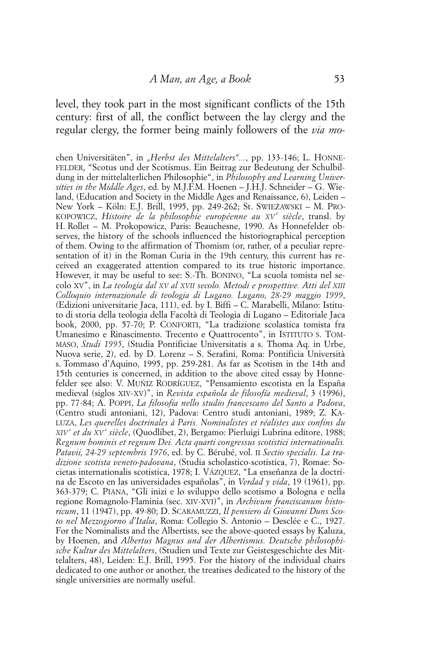level, they took part in the most significant conflicts of the 15th century: first of all, the conflict between the lay clergy and the regular clergy, the former being mainly followers of the *via mo-*

chen Universitäten", in "Herbst des Mittelalters"..., pp. 133-146; L. HONNE-FELDER, "Scotus und der Scotismus. Ein Beitrag zur Bedeutung der Schulbildung in der mittelalterlichen Philosophie", in *Philosophy and Learning Universities in the Middle Ages*, ed. by M.J.F.M. Hoenen – J.H.J. Schneider – G. Wieland, (Education and Society in the Middle Ages and Renaissance, 6), Leiden – New York – Köln: E.J. Brill, 1995, pp. 249-262; St. SWIEŻAWSKI – M. PRO-KOPOWICZ, Histoire de la philosophie européenne au XV<sup>e</sup> siècle, transl. by H. Rollet – M. Prokopowicz, Paris: Beauchesne, 1990. As Honnefelder observes, the history of the schools influenced the historiographical perception of them. Owing to the affirmation of Thomism (or, rather, of a peculiar representation of it) in the Roman Curia in the 19th century, this current has received an exaggerated attention compared to its true historic importance. However, it may be useful to see: S.-Th. BONINO, "La scuola tomista nel secolo XV", in *La teologia dal XV al XVII secolo. Metodi e prospettive. Atti del XIII Colloquio internazionale di teologia di Lugano. Lugano, 28-29 maggio 1999*, (Edizioni universitarie Jaca, 111), ed. by I. Biffi – C. Marabelli, Milano: Istituto di storia della teologia della Facoltà di Teologia di Lugano – Editoriale Jaca book, 2000, pp. 57-70; P. CONFORTI, "La tradizione scolastica tomista fra Umanesimo e Rinascimento. Trecento e Quattrocento", in ISTITUTO S. TOM-MASO, *Studi 1995*, (Studia Pontificiae Universitatis a s. Thoma Aq. in Urbe, Nuova serie, 2), ed. by D. Lorenz – S. Serafini, Roma: Pontificia Università s. Tommaso d'Aquino, 1995, pp. 259-281. As far as Scotism in the 14th and 15th centuries is concerned, in addition to the above cited essay by Honnefelder see also: V. MUÑIZ RODRÍGUEZ, "Pensamiento escotista en la España medieval (siglos XIV-XV)", in *Revista española de filosofía medieval*, 3 (1996), pp. 77-84; A. POPPI, *La filosofia nello studio francescano del Santo a Padova*, (Centro studi antoniani, 12), Padova: Centro studi antoniani, 1989; Z. KA-LUZA, *Les querelles doctrinales à Paris. Nominalistes et réalistes aux confins du XIV e et du XV e siècle*, (Quodlibet, 2), Bergamo: Pierluigi Lubrina editore, 1988; *Regnum hominis et regnum Dei. Acta quarti congressus scotistici internationalis. Patavii, 24-29 septembris 1976*, ed. by C. Bérubé, vol. II *Sectio specialis. La tradizione scotista veneto-padovana*, (Studia scholastico-scotistica, 7), Romae: Societas internationalis scotistica, 1978; I. VÁZQUEZ, "La enseñanza de la doctrina de Escoto en las universidades españolas", in *Verdad y vida*, 19 (1961), pp. 363-379; C. PIANA, "Gli inizi e lo sviluppo dello scotismo a Bologna e nella regione Romagnolo-Flaminia (sec. XIV-XVI)", in *Archivum franciscanum historicum*, 11 (1947), pp. 49-80; D. SCARAMUZZI, *Il pensiero di Giovanni Duns Scoto nel Mezzogiorno d'Italia*, Roma: Collegio S. Antonio – Desclée e C., 1927. For the Nominalists and the Albertists, see the above-quoted essays by Kaluza, by Hoenen, and *Albertus Magnus und der Albertismus. Deutsche philosophische Kultur des Mittelalters*, (Studien und Texte zur Geistesgeschichte des Mittelalters, 48), Leiden: E.J. Brill, 1995. For the history of the individual chairs dedicated to one author or another, the treatises dedicated to the history of the single universities are normally useful.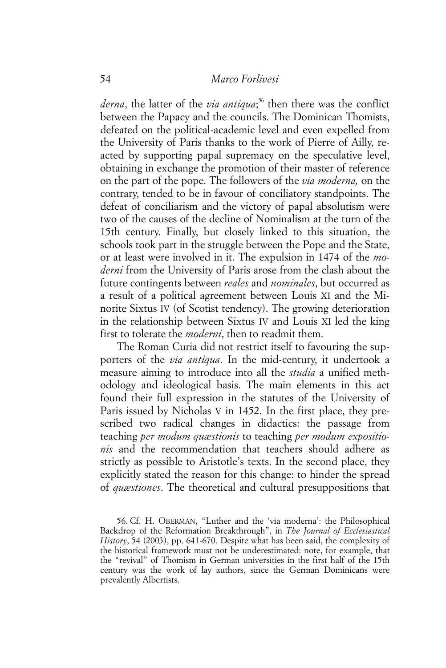*derna*, the latter of the *via antiqua*; 56 then there was the conflict between the Papacy and the councils. The Dominican Thomists, defeated on the political-academic level and even expelled from the University of Paris thanks to the work of Pierre of Ailly, reacted by supporting papal supremacy on the speculative level, obtaining in exchange the promotion of their master of reference on the part of the pope. The followers of the *via moderna,* on the contrary, tended to be in favour of conciliatory standpoints. The defeat of conciliarism and the victory of papal absolutism were two of the causes of the decline of Nominalism at the turn of the 15th century. Finally, but closely linked to this situation, the schools took part in the struggle between the Pope and the State, or at least were involved in it. The expulsion in 1474 of the *moderni* from the University of Paris arose from the clash about the future contingents between *reales* and *nominales*, but occurred as a result of a political agreement between Louis XI and the Minorite Sixtus IV (of Scotist tendency). The growing deterioration in the relationship between Sixtus IV and Louis XI led the king first to tolerate the *moderni*, then to readmit them.

The Roman Curia did not restrict itself to favouring the supporters of the *via antiqua*. In the mid-century, it undertook a measure aiming to introduce into all the *studia* a unified methodology and ideological basis. The main elements in this act found their full expression in the statutes of the University of Paris issued by Nicholas V in 1452. In the first place, they prescribed two radical changes in didactics: the passage from teaching *per modum quæstionis* to teaching *per modum expositionis* and the recommendation that teachers should adhere as strictly as possible to Aristotle's texts. In the second place, they explicitly stated the reason for this change: to hinder the spread of *quæstiones*. The theoretical and cultural presuppositions that

<sup>56.</sup> Cf. H. OBERMAN, "Luther and the 'via moderna': the Philosophical Backdrop of the Reformation Breakthrough", in *The Journal of Ecclesiastical History*, 54 (2003), pp. 641-670. Despite what has been said, the complexity of the historical framework must not be underestimated: note, for example, that the "revival" of Thomism in German universities in the first half of the 15th century was the work of lay authors, since the German Dominicans were prevalently Albertists.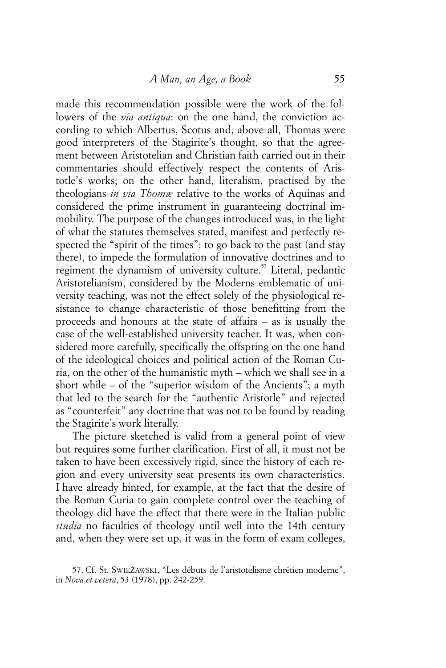made this recommendation possible were the work of the followers of the *via antiqua*: on the one hand, the conviction according to which Albertus, Scotus and, above all, Thomas were good interpreters of the Stagirite's thought, so that the agreement between Aristotelian and Christian faith carried out in their commentaries should effectively respect the contents of Aristotle's works; on the other hand, literalism, practised by the theologians *in via Thomæ* relative to the works of Aquinas and considered the prime instrument in guaranteeing doctrinal immobility. The purpose of the changes introduced was, in the light of what the statutes themselves stated, manifest and perfectly respected the "spirit of the times": to go back to the past (and stay there), to impede the formulation of innovative doctrines and to regiment the dynamism of university culture.<sup>57</sup> Literal, pedantic Aristotelianism, considered by the Moderns emblematic of university teaching, was not the effect solely of the physiological resistance to change characteristic of those benefitting from the proceeds and honours at the state of affairs – as is usually the case of the well-established university teacher. It was, when considered more carefully, specifically the offspring on the one hand of the ideological choices and political action of the Roman Curia, on the other of the humanistic myth – which we shall see in a short while – of the "superior wisdom of the Ancients"; a myth that led to the search for the "authentic Aristotle" and rejected as "counterfeit" any doctrine that was not to be found by reading the Stagirite's work literally.

The picture sketched is valid from a general point of view but requires some further clarification. First of all, it must not be taken to have been excessively rigid, since the history of each region and every university seat presents its own characteristics. I have already hinted, for example, at the fact that the desire of the Roman Curia to gain complete control over the teaching of theology did have the effect that there were in the Italian public *studia* no faculties of theology until well into the 14th century and, when they were set up, it was in the form of exam colleges,

<sup>57.</sup> Cf. St. SWIEŻAWSKI, "Les débuts de l'aristotelisme chrétien moderne", in *Nova et vetera*, 53 (1978), pp. 242-259.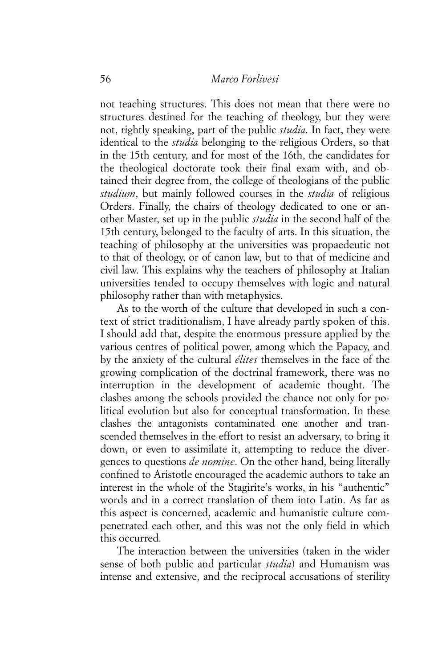not teaching structures. This does not mean that there were no structures destined for the teaching of theology, but they were not, rightly speaking, part of the public *studia*. In fact, they were identical to the *studia* belonging to the religious Orders, so that in the 15th century, and for most of the 16th, the candidates for the theological doctorate took their final exam with, and obtained their degree from, the college of theologians of the public *studium*, but mainly followed courses in the *studia* of religious Orders. Finally, the chairs of theology dedicated to one or another Master, set up in the public *studia* in the second half of the 15th century, belonged to the faculty of arts. In this situation, the teaching of philosophy at the universities was propaedeutic not to that of theology, or of canon law, but to that of medicine and civil law. This explains why the teachers of philosophy at Italian universities tended to occupy themselves with logic and natural philosophy rather than with metaphysics.

As to the worth of the culture that developed in such a context of strict traditionalism, I have already partly spoken of this. I should add that, despite the enormous pressure applied by the various centres of political power, among which the Papacy, and by the anxiety of the cultural *élites* themselves in the face of the growing complication of the doctrinal framework, there was no interruption in the development of academic thought. The clashes among the schools provided the chance not only for political evolution but also for conceptual transformation. In these clashes the antagonists contaminated one another and transcended themselves in the effort to resist an adversary, to bring it down, or even to assimilate it, attempting to reduce the divergences to questions *de nomine*. On the other hand, being literally confined to Aristotle encouraged the academic authors to take an interest in the whole of the Stagirite's works, in his "authentic" words and in a correct translation of them into Latin. As far as this aspect is concerned, academic and humanistic culture compenetrated each other, and this was not the only field in which this occurred.

The interaction between the universities (taken in the wider sense of both public and particular *studia*) and Humanism was intense and extensive, and the reciprocal accusations of sterility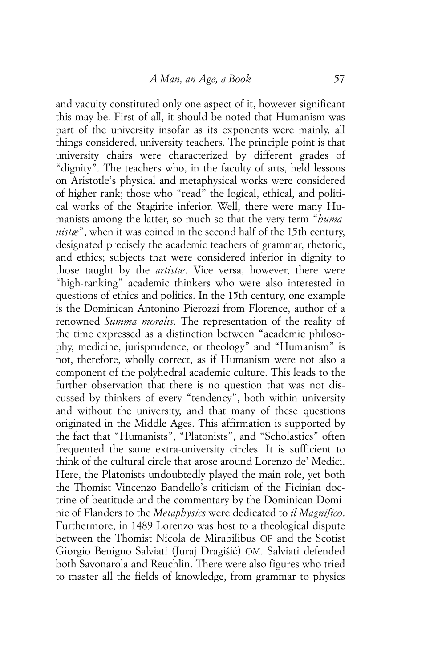and vacuity constituted only one aspect of it, however significant this may be. First of all, it should be noted that Humanism was part of the university insofar as its exponents were mainly, all things considered, university teachers. The principle point is that university chairs were characterized by different grades of "dignity". The teachers who, in the faculty of arts, held lessons on Aristotle's physical and metaphysical works were considered of higher rank; those who "read" the logical, ethical, and political works of the Stagirite inferior. Well, there were many Humanists among the latter, so much so that the very term "*humanistæ*", when it was coined in the second half of the 15th century, designated precisely the academic teachers of grammar, rhetoric, and ethics; subjects that were considered inferior in dignity to those taught by the *artistæ*. Vice versa, however, there were "high-ranking" academic thinkers who were also interested in questions of ethics and politics. In the 15th century, one example is the Dominican Antonino Pierozzi from Florence, author of a renowned *Summa moralis*. The representation of the reality of the time expressed as a distinction between "academic philosophy, medicine, jurisprudence, or theology" and "Humanism" is not, therefore, wholly correct, as if Humanism were not also a component of the polyhedral academic culture. This leads to the further observation that there is no question that was not discussed by thinkers of every "tendency", both within university and without the university, and that many of these questions originated in the Middle Ages. This affirmation is supported by the fact that "Humanists", "Platonists", and "Scholastics" often frequented the same extra-university circles. It is sufficient to think of the cultural circle that arose around Lorenzo de' Medici. Here, the Platonists undoubtedly played the main role, yet both the Thomist Vincenzo Bandello's criticism of the Ficinian doctrine of beatitude and the commentary by the Dominican Dominic of Flanders to the *Metaphysics* were dedicated to *il Magnifico*. Furthermore, in 1489 Lorenzo was host to a theological dispute between the Thomist Nicola de Mirabilibus OP and the Scotist Giorgio Benigno Salviati (Juraj Dragišić) OM. Salviati defended both Savonarola and Reuchlin. There were also figures who tried to master all the fields of knowledge, from grammar to physics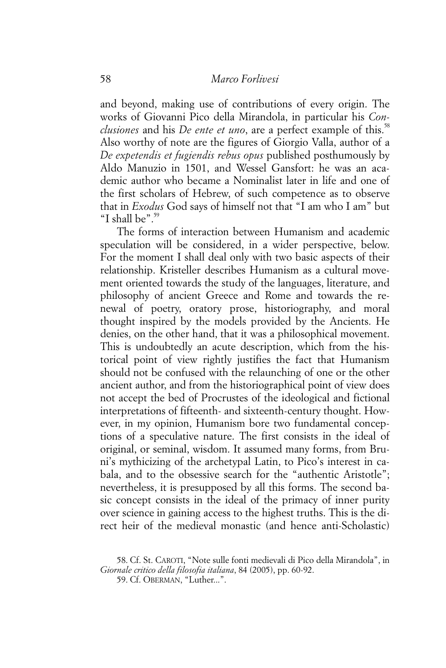and beyond, making use of contributions of every origin. The works of Giovanni Pico della Mirandola, in particular his *Conclusiones* and his *De ente et uno*, are a perfect example of this.<sup>58</sup> Also worthy of note are the figures of Giorgio Valla, author of a *De expetendis et fugiendis rebus opus* published posthumously by Aldo Manuzio in 1501, and Wessel Gansfort: he was an academic author who became a Nominalist later in life and one of the first scholars of Hebrew, of such competence as to observe that in *Exodus* God says of himself not that "I am who I am" but "I shall be" $59$ 

The forms of interaction between Humanism and academic speculation will be considered, in a wider perspective, below. For the moment I shall deal only with two basic aspects of their relationship. Kristeller describes Humanism as a cultural movement oriented towards the study of the languages, literature, and philosophy of ancient Greece and Rome and towards the renewal of poetry, oratory prose, historiography, and moral thought inspired by the models provided by the Ancients. He denies, on the other hand, that it was a philosophical movement. This is undoubtedly an acute description, which from the historical point of view rightly justifies the fact that Humanism should not be confused with the relaunching of one or the other ancient author, and from the historiographical point of view does not accept the bed of Procrustes of the ideological and fictional interpretations of fifteenth- and sixteenth-century thought. However, in my opinion, Humanism bore two fundamental conceptions of a speculative nature. The first consists in the ideal of original, or seminal, wisdom. It assumed many forms, from Bruni's mythicizing of the archetypal Latin, to Pico's interest in cabala, and to the obsessive search for the "authentic Aristotle"; nevertheless, it is presupposed by all this forms. The second basic concept consists in the ideal of the primacy of inner purity over science in gaining access to the highest truths. This is the direct heir of the medieval monastic (and hence anti-Scholastic)

<sup>58.</sup> Cf. St. CAROTI, "Note sulle fonti medievali di Pico della Mirandola", in *Giornale critico della filosofia italiana*, 84 (2005), pp. 60-92.

<sup>59.</sup> Cf. OBERMAN, "Luther...".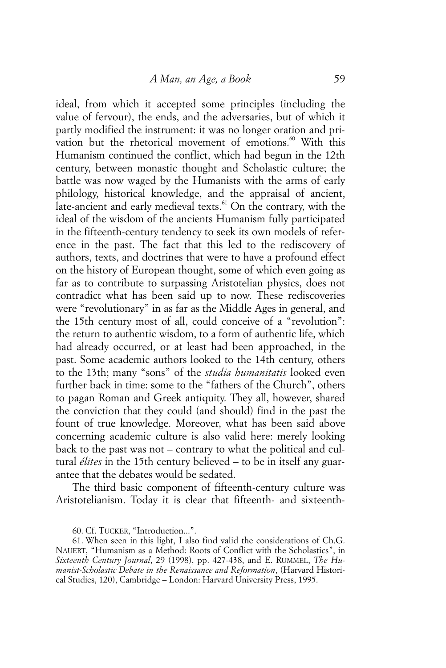ideal, from which it accepted some principles (including the value of fervour), the ends, and the adversaries, but of which it partly modified the instrument: it was no longer oration and privation but the rhetorical movement of emotions.<sup>60</sup> With this Humanism continued the conflict, which had begun in the 12th century, between monastic thought and Scholastic culture; the battle was now waged by the Humanists with the arms of early philology, historical knowledge, and the appraisal of ancient, late-ancient and early medieval texts. $61$  On the contrary, with the ideal of the wisdom of the ancients Humanism fully participated in the fifteenth-century tendency to seek its own models of reference in the past. The fact that this led to the rediscovery of authors, texts, and doctrines that were to have a profound effect on the history of European thought, some of which even going as far as to contribute to surpassing Aristotelian physics, does not contradict what has been said up to now. These rediscoveries were "revolutionary" in as far as the Middle Ages in general, and the 15th century most of all, could conceive of a "revolution": the return to authentic wisdom, to a form of authentic life, which had already occurred, or at least had been approached, in the past. Some academic authors looked to the 14th century, others to the 13th; many "sons" of the *studia humanitatis* looked even further back in time: some to the "fathers of the Church", others to pagan Roman and Greek antiquity. They all, however, shared the conviction that they could (and should) find in the past the fount of true knowledge. Moreover, what has been said above concerning academic culture is also valid here: merely looking back to the past was not – contrary to what the political and cultural *élites* in the 15th century believed – to be in itself any guarantee that the debates would be sedated.

The third basic component of fifteenth-century culture was Aristotelianism. Today it is clear that fifteenth- and sixteenth-

<sup>60.</sup> Cf. TUCKER, "Introduction...".

<sup>61.</sup> When seen in this light, I also find valid the considerations of Ch.G. NAUERT, "Humanism as a Method: Roots of Conflict with the Scholastics", in *Sixteenth Century Journal*, 29 (1998), pp. 427-438, and E. RUMMEL, *The Humanist-Scholastic Debate in the Renaissance and Reformation*, (Harvard Historical Studies, 120), Cambridge – London: Harvard University Press, 1995.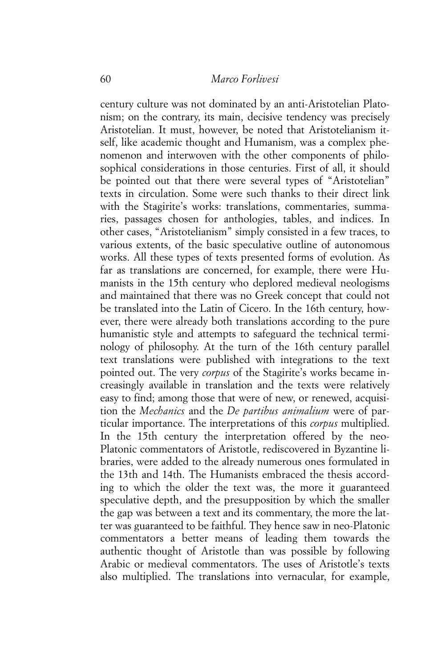century culture was not dominated by an anti-Aristotelian Platonism; on the contrary, its main, decisive tendency was precisely Aristotelian. It must, however, be noted that Aristotelianism itself, like academic thought and Humanism, was a complex phenomenon and interwoven with the other components of philosophical considerations in those centuries. First of all, it should be pointed out that there were several types of "Aristotelian" texts in circulation. Some were such thanks to their direct link with the Stagirite's works: translations, commentaries, summaries, passages chosen for anthologies, tables, and indices. In other cases, "Aristotelianism" simply consisted in a few traces, to various extents, of the basic speculative outline of autonomous works. All these types of texts presented forms of evolution. As far as translations are concerned, for example, there were Humanists in the 15th century who deplored medieval neologisms and maintained that there was no Greek concept that could not be translated into the Latin of Cicero. In the 16th century, however, there were already both translations according to the pure humanistic style and attempts to safeguard the technical terminology of philosophy. At the turn of the 16th century parallel text translations were published with integrations to the text pointed out. The very *corpus* of the Stagirite's works became increasingly available in translation and the texts were relatively easy to find; among those that were of new, or renewed, acquisition the *Mechanics* and the *De partibus animalium* were of particular importance. The interpretations of this *corpus* multiplied. In the 15th century the interpretation offered by the neo-Platonic commentators of Aristotle, rediscovered in Byzantine libraries, were added to the already numerous ones formulated in the 13th and 14th. The Humanists embraced the thesis according to which the older the text was, the more it guaranteed speculative depth, and the presupposition by which the smaller the gap was between a text and its commentary, the more the latter was guaranteed to be faithful. They hence saw in neo-Platonic commentators a better means of leading them towards the authentic thought of Aristotle than was possible by following Arabic or medieval commentators. The uses of Aristotle's texts also multiplied. The translations into vernacular, for example,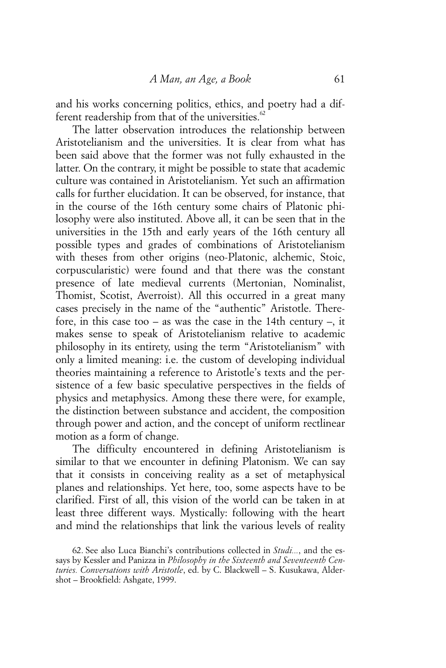and his works concerning politics, ethics, and poetry had a different readership from that of the universities. $62$ 

The latter observation introduces the relationship between Aristotelianism and the universities. It is clear from what has been said above that the former was not fully exhausted in the latter. On the contrary, it might be possible to state that academic culture was contained in Aristotelianism. Yet such an affirmation calls for further elucidation. It can be observed, for instance, that in the course of the 16th century some chairs of Platonic philosophy were also instituted. Above all, it can be seen that in the universities in the 15th and early years of the 16th century all possible types and grades of combinations of Aristotelianism with theses from other origins (neo-Platonic, alchemic, Stoic, corpuscularistic) were found and that there was the constant presence of late medieval currents (Mertonian, Nominalist, Thomist, Scotist, Averroist). All this occurred in a great many cases precisely in the name of the "authentic" Aristotle. Therefore, in this case too – as was the case in the 14th century –, it makes sense to speak of Aristotelianism relative to academic philosophy in its entirety, using the term "Aristotelianism" with only a limited meaning: i.e. the custom of developing individual theories maintaining a reference to Aristotle's texts and the persistence of a few basic speculative perspectives in the fields of physics and metaphysics. Among these there were, for example, the distinction between substance and accident, the composition through power and action, and the concept of uniform rectlinear motion as a form of change.

The difficulty encountered in defining Aristotelianism is similar to that we encounter in defining Platonism. We can say that it consists in conceiving reality as a set of metaphysical planes and relationships. Yet here, too, some aspects have to be clarified. First of all, this vision of the world can be taken in at least three different ways. Mystically: following with the heart and mind the relationships that link the various levels of reality

<sup>62.</sup> See also Luca Bianchi's contributions collected in *Studi...*, and the essays by Kessler and Panizza in *Philosophy in the Sixteenth and Seventeenth Centuries. Conversations with Aristotle*, ed. by C. Blackwell – S. Kusukawa, Aldershot – Brookfield: Ashgate, 1999.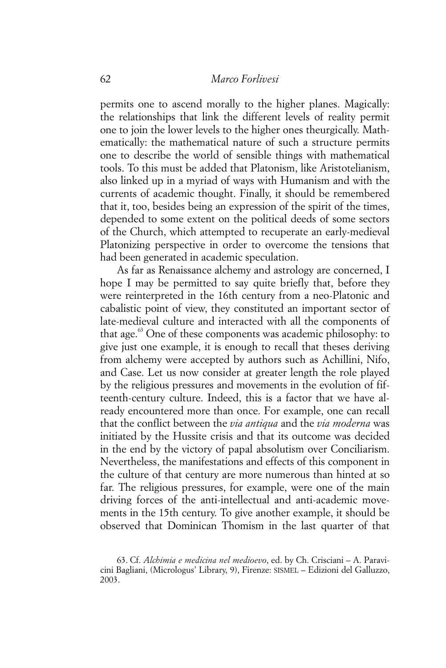permits one to ascend morally to the higher planes. Magically: the relationships that link the different levels of reality permit one to join the lower levels to the higher ones theurgically. Mathematically: the mathematical nature of such a structure permits one to describe the world of sensible things with mathematical tools. To this must be added that Platonism, like Aristotelianism, also linked up in a myriad of ways with Humanism and with the currents of academic thought. Finally, it should be remembered that it, too, besides being an expression of the spirit of the times, depended to some extent on the political deeds of some sectors of the Church, which attempted to recuperate an early-medieval Platonizing perspective in order to overcome the tensions that had been generated in academic speculation.

As far as Renaissance alchemy and astrology are concerned, I hope I may be permitted to say quite briefly that, before they were reinterpreted in the 16th century from a neo-Platonic and cabalistic point of view, they constituted an important sector of late-medieval culture and interacted with all the components of that age. $63$  One of these components was academic philosophy: to give just one example, it is enough to recall that theses deriving from alchemy were accepted by authors such as Achillini, Nifo, and Case. Let us now consider at greater length the role played by the religious pressures and movements in the evolution of fifteenth-century culture. Indeed, this is a factor that we have already encountered more than once. For example, one can recall that the conflict between the *via antiqua* and the *via moderna* was initiated by the Hussite crisis and that its outcome was decided in the end by the victory of papal absolutism over Conciliarism. Nevertheless, the manifestations and effects of this component in the culture of that century are more numerous than hinted at so far. The religious pressures, for example, were one of the main driving forces of the anti-intellectual and anti-academic movements in the 15th century. To give another example, it should be observed that Dominican Thomism in the last quarter of that

63. Cf. *Alchimia e medicina nel medioevo*, ed. by Ch. Crisciani – A. Paravicini Bagliani, (Micrologus' Library, 9), Firenze: SISMEL – Edizioni del Galluzzo, 2003.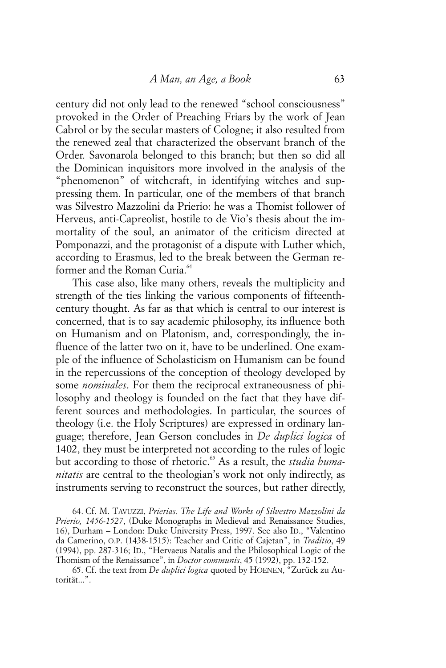century did not only lead to the renewed "school consciousness" provoked in the Order of Preaching Friars by the work of Jean Cabrol or by the secular masters of Cologne; it also resulted from the renewed zeal that characterized the observant branch of the Order. Savonarola belonged to this branch; but then so did all the Dominican inquisitors more involved in the analysis of the "phenomenon" of witchcraft, in identifying witches and suppressing them. In particular, one of the members of that branch was Silvestro Mazzolini da Prierio: he was a Thomist follower of Herveus, anti-Capreolist, hostile to de Vio's thesis about the immortality of the soul, an animator of the criticism directed at Pomponazzi, and the protagonist of a dispute with Luther which, according to Erasmus, led to the break between the German reformer and the Roman Curia.<sup>64</sup>

This case also, like many others, reveals the multiplicity and strength of the ties linking the various components of fifteenthcentury thought. As far as that which is central to our interest is concerned, that is to say academic philosophy, its influence both on Humanism and on Platonism, and, correspondingly, the influence of the latter two on it, have to be underlined. One example of the influence of Scholasticism on Humanism can be found in the repercussions of the conception of theology developed by some *nominales*. For them the reciprocal extraneousness of philosophy and theology is founded on the fact that they have different sources and methodologies. In particular, the sources of theology (i.e. the Holy Scriptures) are expressed in ordinary language; therefore, Jean Gerson concludes in *De duplici logica* of 1402, they must be interpreted not according to the rules of logic but according to those of rhetoric.<sup>65</sup> As a result, the *studia humanitatis* are central to the theologian's work not only indirectly, as instruments serving to reconstruct the sources, but rather directly,

64. Cf. M. TAVUZZI, *Prierias. The Life and Works of Silvestro Mazzolini da Prierio, 1456-1527*, (Duke Monographs in Medieval and Renaissance Studies, 16), Durham – London: Duke University Press, 1997. See also ID., "Valentino da Camerino, O.P. (1438-1515): Teacher and Critic of Cajetan", in *Traditio*, 49 (1994), pp. 287-316; ID., "Hervaeus Natalis and the Philosophical Logic of the Thomism of the Renaissance", in *Doctor communis*, 45 (1992), pp. 132-152.

65. Cf. the text from *De duplici logica* quoted by HOENEN, "Zurück zu Autorität...".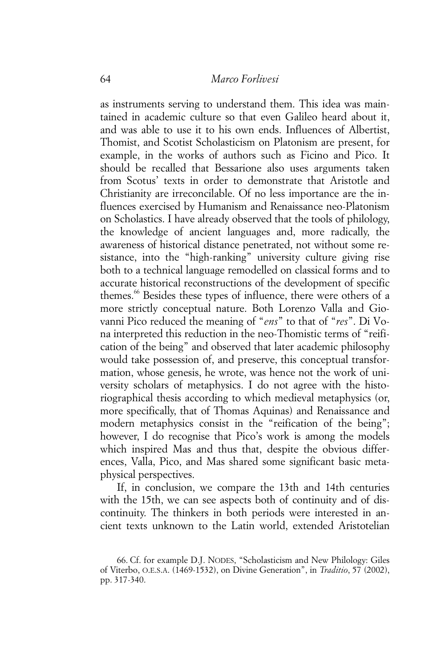as instruments serving to understand them. This idea was maintained in academic culture so that even Galileo heard about it, and was able to use it to his own ends. Influences of Albertist, Thomist, and Scotist Scholasticism on Platonism are present, for example, in the works of authors such as Ficino and Pico. It should be recalled that Bessarione also uses arguments taken from Scotus' texts in order to demonstrate that Aristotle and Christianity are irreconcilable. Of no less importance are the influences exercised by Humanism and Renaissance neo-Platonism on Scholastics. I have already observed that the tools of philology, the knowledge of ancient languages and, more radically, the awareness of historical distance penetrated, not without some resistance, into the "high-ranking" university culture giving rise both to a technical language remodelled on classical forms and to accurate historical reconstructions of the development of specific themes.<sup>66</sup> Besides these types of influence, there were others of a more strictly conceptual nature. Both Lorenzo Valla and Giovanni Pico reduced the meaning of "*ens*" to that of "*res*". Di Vona interpreted this reduction in the neo-Thomistic terms of "reification of the being" and observed that later academic philosophy would take possession of, and preserve, this conceptual transformation, whose genesis, he wrote, was hence not the work of university scholars of metaphysics. I do not agree with the historiographical thesis according to which medieval metaphysics (or, more specifically, that of Thomas Aquinas) and Renaissance and modern metaphysics consist in the "reification of the being"; however, I do recognise that Pico's work is among the models which inspired Mas and thus that, despite the obvious differences, Valla, Pico, and Mas shared some significant basic metaphysical perspectives.

If, in conclusion, we compare the 13th and 14th centuries with the 15th, we can see aspects both of continuity and of discontinuity. The thinkers in both periods were interested in ancient texts unknown to the Latin world, extended Aristotelian

<sup>66.</sup> Cf. for example D.J. NODES, "Scholasticism and New Philology: Giles of Viterbo, O.E.S.A. (1469-1532), on Divine Generation", in *Traditio*, 57 (2002), pp. 317-340.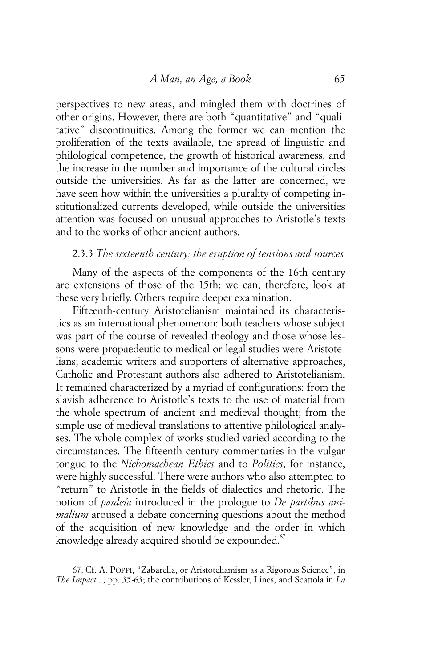perspectives to new areas, and mingled them with doctrines of other origins. However, there are both "quantitative" and "qualitative" discontinuities. Among the former we can mention the proliferation of the texts available, the spread of linguistic and philological competence, the growth of historical awareness, and the increase in the number and importance of the cultural circles outside the universities. As far as the latter are concerned, we have seen how within the universities a plurality of competing institutionalized currents developed, while outside the universities attention was focused on unusual approaches to Aristotle's texts and to the works of other ancient authors.

## 2.3.3 *The sixteenth century: the eruption of tensions and sources*

Many of the aspects of the components of the 16th century are extensions of those of the 15th; we can, therefore, look at these very briefly. Others require deeper examination.

Fifteenth-century Aristotelianism maintained its characteristics as an international phenomenon: both teachers whose subject was part of the course of revealed theology and those whose lessons were propaedeutic to medical or legal studies were Aristotelians; academic writers and supporters of alternative approaches, Catholic and Protestant authors also adhered to Aristotelianism. It remained characterized by a myriad of configurations: from the slavish adherence to Aristotle's texts to the use of material from the whole spectrum of ancient and medieval thought; from the simple use of medieval translations to attentive philological analyses. The whole complex of works studied varied according to the circumstances. The fifteenth-century commentaries in the vulgar tongue to the *Nichomachean Ethics* and to *Politics*, for instance, were highly successful. There were authors who also attempted to "return" to Aristotle in the fields of dialectics and rhetoric. The notion of *paideía* introduced in the prologue to *De partibus animalium* aroused a debate concerning questions about the method of the acquisition of new knowledge and the order in which knowledge already acquired should be expounded. $67$ 

67. Cf. A. POPPI, "Zabarella, or Aristoteliamism as a Rigorous Science", in *The Impact...*, pp. 35-63; the contributions of Kessler, Lines, and Scattola in *La*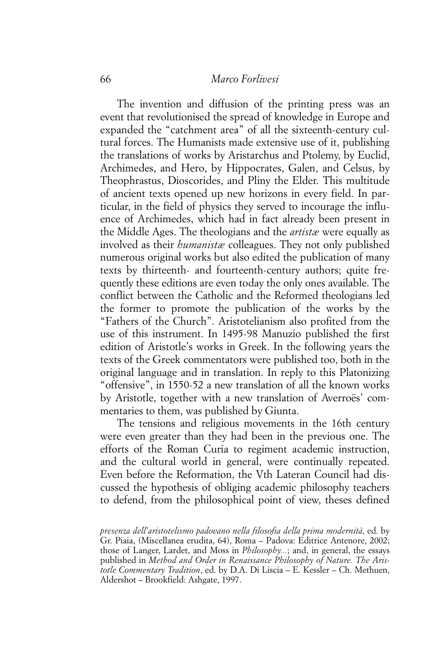#### 66 *Marco Forlivesi*

The invention and diffusion of the printing press was an event that revolutionised the spread of knowledge in Europe and expanded the "catchment area" of all the sixteenth-century cultural forces. The Humanists made extensive use of it, publishing the translations of works by Aristarchus and Ptolemy, by Euclid, Archimedes, and Hero, by Hippocrates, Galen, and Celsus, by Theophrastus, Dioscorides, and Pliny the Elder. This multitude of ancient texts opened up new horizons in every field. In particular, in the field of physics they served to incourage the influence of Archimedes, which had in fact already been present in the Middle Ages. The theologians and the *artistæ* were equally as involved as their *humanistæ* colleagues. They not only published numerous original works but also edited the publication of many texts by thirteenth- and fourteenth-century authors; quite frequently these editions are even today the only ones available. The conflict between the Catholic and the Reformed theologians led the former to promote the publication of the works by the "Fathers of the Church". Aristotelianism also profited from the use of this instrument. In 1495-98 Manuzio published the first edition of Aristotle's works in Greek. In the following years the texts of the Greek commentators were published too, both in the original language and in translation. In reply to this Platonizing "offensive", in 1550-52 a new translation of all the known works by Aristotle, together with a new translation of Averroës' commentaries to them, was published by Giunta.

The tensions and religious movements in the 16th century were even greater than they had been in the previous one. The efforts of the Roman Curia to regiment academic instruction, and the cultural world in general, were continually repeated. Even before the Reformation, the Vth Lateran Council had discussed the hypothesis of obliging academic philosophy teachers to defend, from the philosophical point of view, theses defined

*presenza dell'aristotelismo padovano nella filosofia della prima modernità*, ed. by Gr. Piaia, (Miscellanea erudita, 64), Roma – Padova: Editrice Antenore, 2002; those of Langer, Lardet, and Moss in *Philosophy...*; and, in general, the essays published in *Method and Order in Renaissance Philosophy of Nature. The Aristotle Commentary Tradition*, ed. by D.A. Di Liscia – E. Kessler – Ch. Methuen, Aldershot – Brookfield: Ashgate, 1997.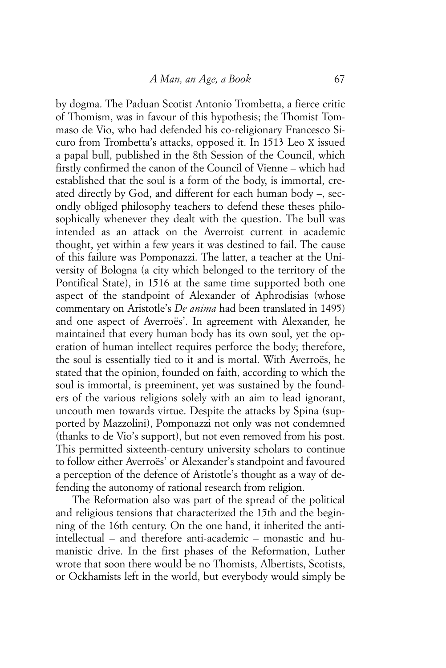by dogma. The Paduan Scotist Antonio Trombetta, a fierce critic of Thomism, was in favour of this hypothesis; the Thomist Tommaso de Vio, who had defended his co-religionary Francesco Sicuro from Trombetta's attacks, opposed it. In 1513 Leo X issued a papal bull, published in the 8th Session of the Council, which firstly confirmed the canon of the Council of Vienne – which had established that the soul is a form of the body, is immortal, created directly by God, and different for each human body –, secondly obliged philosophy teachers to defend these theses philosophically whenever they dealt with the question. The bull was intended as an attack on the Averroist current in academic thought, yet within a few years it was destined to fail. The cause of this failure was Pomponazzi. The latter, a teacher at the University of Bologna (a city which belonged to the territory of the Pontifical State), in 1516 at the same time supported both one aspect of the standpoint of Alexander of Aphrodisias (whose commentary on Aristotle's *De anima* had been translated in 1495) and one aspect of Averroës'. In agreement with Alexander, he maintained that every human body has its own soul, yet the operation of human intellect requires perforce the body; therefore, the soul is essentially tied to it and is mortal. With Averroës, he stated that the opinion, founded on faith, according to which the soul is immortal, is preeminent, yet was sustained by the founders of the various religions solely with an aim to lead ignorant, uncouth men towards virtue. Despite the attacks by Spina (supported by Mazzolini), Pomponazzi not only was not condemned (thanks to de Vio's support), but not even removed from his post. This permitted sixteenth-century university scholars to continue to follow either Averroës' or Alexander's standpoint and favoured a perception of the defence of Aristotle's thought as a way of defending the autonomy of rational research from religion.

The Reformation also was part of the spread of the political and religious tensions that characterized the 15th and the beginning of the 16th century. On the one hand, it inherited the antiintellectual – and therefore anti-academic – monastic and humanistic drive. In the first phases of the Reformation, Luther wrote that soon there would be no Thomists, Albertists, Scotists, or Ockhamists left in the world, but everybody would simply be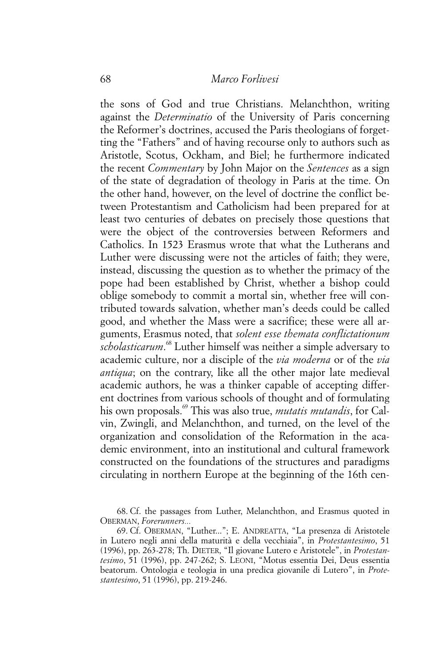the sons of God and true Christians. Melanchthon, writing against the *Determinatio* of the University of Paris concerning the Reformer's doctrines, accused the Paris theologians of forgetting the "Fathers" and of having recourse only to authors such as Aristotle, Scotus, Ockham, and Biel; he furthermore indicated the recent *Commentary* by John Major on the *Sentences* as a sign of the state of degradation of theology in Paris at the time. On the other hand, however, on the level of doctrine the conflict between Protestantism and Catholicism had been prepared for at least two centuries of debates on precisely those questions that were the object of the controversies between Reformers and Catholics. In 1523 Erasmus wrote that what the Lutherans and Luther were discussing were not the articles of faith; they were, instead, discussing the question as to whether the primacy of the pope had been established by Christ, whether a bishop could oblige somebody to commit a mortal sin, whether free will contributed towards salvation, whether man's deeds could be called good, and whether the Mass were a sacrifice; these were all arguments, Erasmus noted, that *solent esse themata conflictationum scholasticarum*. 68 Luther himself was neither a simple adversary to academic culture, nor a disciple of the *via moderna* or of the *via antiqua*; on the contrary, like all the other major late medieval academic authors, he was a thinker capable of accepting different doctrines from various schools of thought and of formulating his own proposals.69 This was also true, *mutatis mutandis*, for Calvin, Zwingli, and Melanchthon, and turned, on the level of the organization and consolidation of the Reformation in the academic environment, into an institutional and cultural framework constructed on the foundations of the structures and paradigms circulating in northern Europe at the beginning of the 16th cen-

<sup>68.</sup> Cf. the passages from Luther, Melanchthon, and Erasmus quoted in OBERMAN, *Forerunners...*

<sup>69.</sup> Cf. OBERMAN, "Luther..."; E. ANDREATTA, "La presenza di Aristotele in Lutero negli anni della maturità e della vecchiaia", in *Protestantesimo*, 51 (1996), pp. 263-278; Th. DIETER, "Il giovane Lutero e Aristotele", in *Protestantesimo*, 51 (1996), pp. 247-262; S. LEONI, "Motus essentia Dei, Deus essentia beatorum. Ontologia e teologia in una predica giovanile di Lutero", in *Protestantesimo*, 51 (1996), pp. 219-246.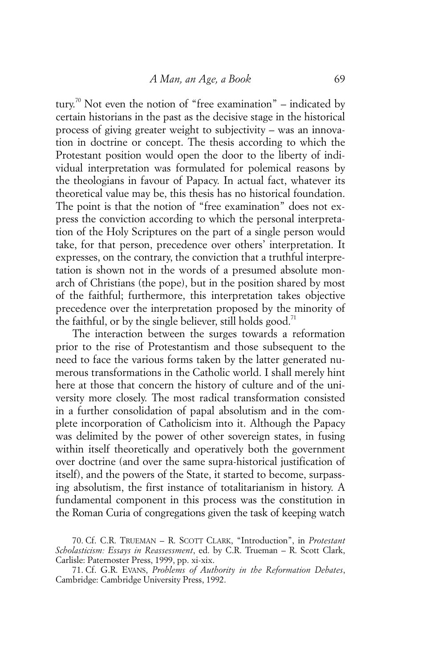tury.<sup>70</sup> Not even the notion of "free examination" – indicated by certain historians in the past as the decisive stage in the historical process of giving greater weight to subjectivity – was an innovation in doctrine or concept. The thesis according to which the Protestant position would open the door to the liberty of individual interpretation was formulated for polemical reasons by the theologians in favour of Papacy. In actual fact, whatever its theoretical value may be, this thesis has no historical foundation. The point is that the notion of "free examination" does not express the conviction according to which the personal interpretation of the Holy Scriptures on the part of a single person would take, for that person, precedence over others' interpretation. It expresses, on the contrary, the conviction that a truthful interpretation is shown not in the words of a presumed absolute monarch of Christians (the pope), but in the position shared by most of the faithful; furthermore, this interpretation takes objective precedence over the interpretation proposed by the minority of the faithful, or by the single believer, still holds good.<sup> $\alpha$ </sup>

The interaction between the surges towards a reformation prior to the rise of Protestantism and those subsequent to the need to face the various forms taken by the latter generated numerous transformations in the Catholic world. I shall merely hint here at those that concern the history of culture and of the university more closely. The most radical transformation consisted in a further consolidation of papal absolutism and in the complete incorporation of Catholicism into it. Although the Papacy was delimited by the power of other sovereign states, in fusing within itself theoretically and operatively both the government over doctrine (and over the same supra-historical justification of itself), and the powers of the State, it started to become, surpassing absolutism, the first instance of totalitarianism in history. A fundamental component in this process was the constitution in the Roman Curia of congregations given the task of keeping watch

<sup>70.</sup> Cf. C.R. TRUEMAN – R. SCOTT CLARK, "Introduction", in *Protestant Scholasticism: Essays in Reassessment*, ed. by C.R. Trueman – R. Scott Clark, Carlisle: Paternoster Press, 1999, pp. xi-xix.

<sup>71.</sup> Cf. G.R. EVANS, *Problems of Authority in the Reformation Debates*, Cambridge: Cambridge University Press, 1992.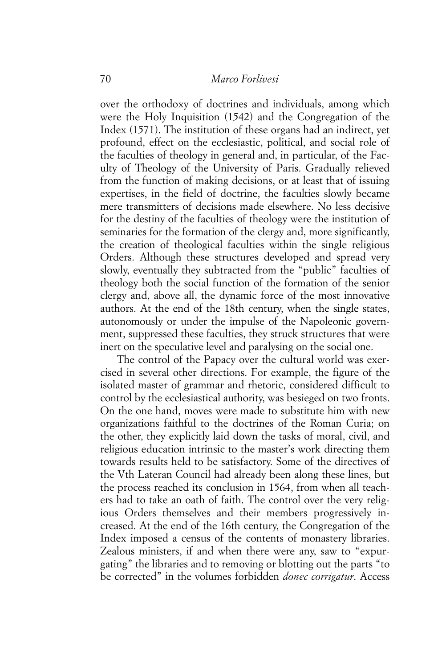over the orthodoxy of doctrines and individuals, among which were the Holy Inquisition (1542) and the Congregation of the Index (1571). The institution of these organs had an indirect, yet profound, effect on the ecclesiastic, political, and social role of the faculties of theology in general and, in particular, of the Faculty of Theology of the University of Paris. Gradually relieved from the function of making decisions, or at least that of issuing expertises, in the field of doctrine, the faculties slowly became mere transmitters of decisions made elsewhere. No less decisive for the destiny of the faculties of theology were the institution of seminaries for the formation of the clergy and, more significantly, the creation of theological faculties within the single religious Orders. Although these structures developed and spread very slowly, eventually they subtracted from the "public" faculties of theology both the social function of the formation of the senior clergy and, above all, the dynamic force of the most innovative authors. At the end of the 18th century, when the single states, autonomously or under the impulse of the Napoleonic government, suppressed these faculties, they struck structures that were inert on the speculative level and paralysing on the social one.

The control of the Papacy over the cultural world was exercised in several other directions. For example, the figure of the isolated master of grammar and rhetoric, considered difficult to control by the ecclesiastical authority, was besieged on two fronts. On the one hand, moves were made to substitute him with new organizations faithful to the doctrines of the Roman Curia; on the other, they explicitly laid down the tasks of moral, civil, and religious education intrinsic to the master's work directing them towards results held to be satisfactory. Some of the directives of the Vth Lateran Council had already been along these lines, but the process reached its conclusion in 1564, from when all teachers had to take an oath of faith. The control over the very religious Orders themselves and their members progressively increased. At the end of the 16th century, the Congregation of the Index imposed a census of the contents of monastery libraries. Zealous ministers, if and when there were any, saw to "expurgating" the libraries and to removing or blotting out the parts "to be corrected" in the volumes forbidden *donec corrigatur*. Access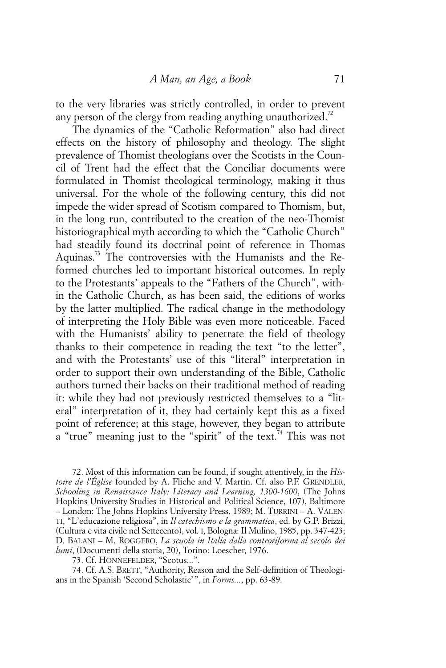to the very libraries was strictly controlled, in order to prevent any person of the clergy from reading anything unauthorized.<sup>72</sup>

The dynamics of the "Catholic Reformation" also had direct effects on the history of philosophy and theology. The slight prevalence of Thomist theologians over the Scotists in the Council of Trent had the effect that the Conciliar documents were formulated in Thomist theological terminology, making it thus universal. For the whole of the following century, this did not impede the wider spread of Scotism compared to Thomism, but, in the long run, contributed to the creation of the neo-Thomist historiographical myth according to which the "Catholic Church" had steadily found its doctrinal point of reference in Thomas Aquinas.<sup>73</sup> The controversies with the Humanists and the Reformed churches led to important historical outcomes. In reply to the Protestants' appeals to the "Fathers of the Church", within the Catholic Church, as has been said, the editions of works by the latter multiplied. The radical change in the methodology of interpreting the Holy Bible was even more noticeable. Faced with the Humanists' ability to penetrate the field of theology thanks to their competence in reading the text "to the letter", and with the Protestants' use of this "literal" interpretation in order to support their own understanding of the Bible, Catholic authors turned their backs on their traditional method of reading it: while they had not previously restricted themselves to a "literal" interpretation of it, they had certainly kept this as a fixed point of reference; at this stage, however, they began to attribute a "true" meaning just to the "spirit" of the text.<sup>74</sup> This was not

72. Most of this information can be found, if sought attentively, in the *Histoire de l'Église* founded by A. Fliche and V. Martin. Cf. also P.F. GRENDLER, *Schooling in Renaissance Italy: Literacy and Learning, 1300-1600*, (The Johns Hopkins University Studies in Historical and Political Science, 107), Baltimore – London: The Johns Hopkins University Press, 1989; M. TURRINI – A. VALEN-TI, "L'educazione religiosa", in *Il catechismo e la grammatica*, ed. by G.P. Brizzi, (Cultura e vita civile nel Settecento), vol. I, Bologna: Il Mulino, 1985, pp. 347-423; D. BALANI – M. ROGGERO, *La scuola in Italia dalla controriforma al secolo dei lumi*, (Documenti della storia, 20), Torino: Loescher, 1976.

73. Cf. HONNEFELDER, "Scotus...".

74. Cf. A.S. BRETT, "Authority, Reason and the Self-definition of Theologians in the Spanish 'Second Scholastic' ", in *Forms...*, pp. 63-89.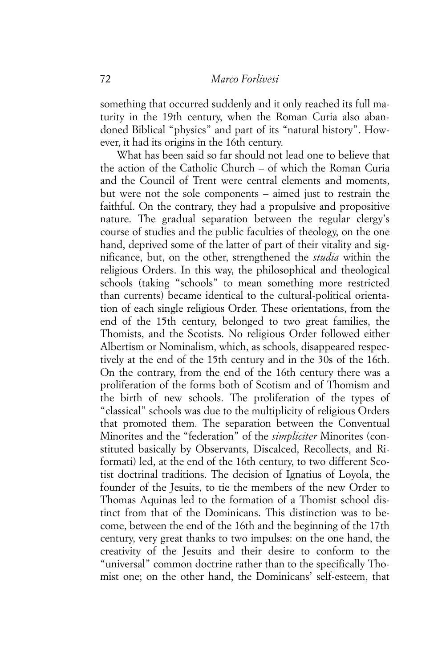something that occurred suddenly and it only reached its full maturity in the 19th century, when the Roman Curia also abandoned Biblical "physics" and part of its "natural history". However, it had its origins in the 16th century.

What has been said so far should not lead one to believe that the action of the Catholic Church – of which the Roman Curia and the Council of Trent were central elements and moments, but were not the sole components – aimed just to restrain the faithful. On the contrary, they had a propulsive and propositive nature. The gradual separation between the regular clergy's course of studies and the public faculties of theology, on the one hand, deprived some of the latter of part of their vitality and significance, but, on the other, strengthened the *studia* within the religious Orders. In this way, the philosophical and theological schools (taking "schools" to mean something more restricted than currents) became identical to the cultural-political orientation of each single religious Order. These orientations, from the end of the 15th century, belonged to two great families, the Thomists, and the Scotists. No religious Order followed either Albertism or Nominalism, which, as schools, disappeared respectively at the end of the 15th century and in the 30s of the 16th. On the contrary, from the end of the 16th century there was a proliferation of the forms both of Scotism and of Thomism and the birth of new schools. The proliferation of the types of "classical" schools was due to the multiplicity of religious Orders that promoted them. The separation between the Conventual Minorites and the "federation" of the *simpliciter* Minorites (constituted basically by Observants, Discalced, Recollects, and Riformati) led, at the end of the 16th century, to two different Scotist doctrinal traditions. The decision of Ignatius of Loyola, the founder of the Jesuits, to tie the members of the new Order to Thomas Aquinas led to the formation of a Thomist school distinct from that of the Dominicans. This distinction was to become, between the end of the 16th and the beginning of the 17th century, very great thanks to two impulses: on the one hand, the creativity of the Jesuits and their desire to conform to the "universal" common doctrine rather than to the specifically Thomist one; on the other hand, the Dominicans' self-esteem, that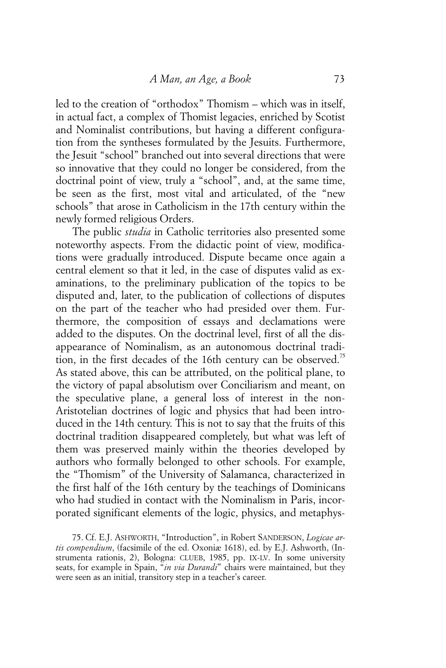led to the creation of "orthodox" Thomism – which was in itself, in actual fact, a complex of Thomist legacies, enriched by Scotist and Nominalist contributions, but having a different configuration from the syntheses formulated by the Jesuits. Furthermore, the Jesuit "school" branched out into several directions that were so innovative that they could no longer be considered, from the doctrinal point of view, truly a "school", and, at the same time, be seen as the first, most vital and articulated, of the "new schools" that arose in Catholicism in the 17th century within the newly formed religious Orders.

The public *studia* in Catholic territories also presented some noteworthy aspects. From the didactic point of view, modifications were gradually introduced. Dispute became once again a central element so that it led, in the case of disputes valid as examinations, to the preliminary publication of the topics to be disputed and, later, to the publication of collections of disputes on the part of the teacher who had presided over them. Furthermore, the composition of essays and declamations were added to the disputes. On the doctrinal level, first of all the disappearance of Nominalism, as an autonomous doctrinal tradition, in the first decades of the 16th century can be observed.<sup>15</sup> As stated above, this can be attributed, on the political plane, to the victory of papal absolutism over Conciliarism and meant, on the speculative plane, a general loss of interest in the non-Aristotelian doctrines of logic and physics that had been introduced in the 14th century. This is not to say that the fruits of this doctrinal tradition disappeared completely, but what was left of them was preserved mainly within the theories developed by authors who formally belonged to other schools. For example, the "Thomism" of the University of Salamanca, characterized in the first half of the 16th century by the teachings of Dominicans who had studied in contact with the Nominalism in Paris, incorporated significant elements of the logic, physics, and metaphys-

75. Cf. E.J. ASHWORTH, "Introduction", in Robert SANDERSON, *Logicae artis compendium*, (facsimile of the ed. Oxoniæ 1618), ed. by E.J. Ashworth, (Instrumenta rationis, 2), Bologna: CLUEB, 1985, pp. IX-LV. In some university seats, for example in Spain, "*in via Durandi*" chairs were maintained, but they were seen as an initial, transitory step in a teacher's career.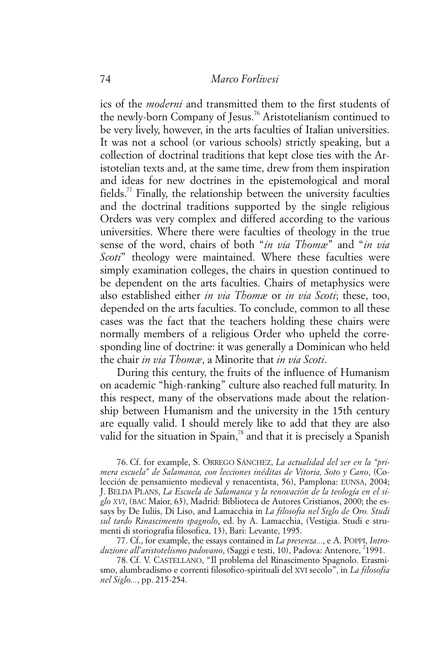ics of the *moderni* and transmitted them to the first students of the newly-born Company of Jesus.<sup>76</sup> Aristotelianism continued to be very lively, however, in the arts faculties of Italian universities. It was not a school (or various schools) strictly speaking, but a collection of doctrinal traditions that kept close ties with the Aristotelian texts and, at the same time, drew from them inspiration and ideas for new doctrines in the epistemological and moral fields.<sup>77</sup> Finally, the relationship between the university faculties and the doctrinal traditions supported by the single religious Orders was very complex and differed according to the various universities. Where there were faculties of theology in the true sense of the word, chairs of both "*in via Thomæ*" and "*in via Scoti*" theology were maintained. Where these faculties were simply examination colleges, the chairs in question continued to be dependent on the arts faculties. Chairs of metaphysics were also established either *in via Thomæ* or *in via Scoti*; these, too, depended on the arts faculties. To conclude, common to all these cases was the fact that the teachers holding these chairs were normally members of a religious Order who upheld the corresponding line of doctrine: it was generally a Dominican who held the chair *in via Thomæ*, a Minorite that *in via Scoti*.

During this century, the fruits of the influence of Humanism on academic "high-ranking" culture also reached full maturity. In this respect, many of the observations made about the relationship between Humanism and the university in the 15th century are equally valid. I should merely like to add that they are also valid for the situation in Spain, $\frac{78}{3}$  and that it is precisely a Spanish

76. Cf. for example, S. ORREGO SÁNCHEZ, *La actualidad del ser en la "primera escuela" de Salamanca, con lecciones inéditas de Vitoria, Soto y Cano*, (Colección de pensamiento medieval y renacentista, 56), Pamplona: EUNSA, 2004; J. BELDA PLANS, *La Escuela de Salamanca y la renovación de la teología en el siglo XVI*, (BAC Maior, 63), Madrid: Biblioteca de Autores Cristianos, 2000; the essays by De Iuliis, Di Liso, and Lamacchia in *La filosofia nel Siglo de Oro. Studi sul tardo Rinascimento spagnolo*, ed. by A. Lamacchia, (Vestigia. Studi e strumenti di storiografia filosofica, 13), Bari: Levante, 1995.

77. Cf., for example, the essays contained in *La presenza...*, e A. POPPI, *Intro*duzione all'aristotelismo padovano, (Saggi e testi, 10), Padova: Antenore, <sup>2</sup>1991.

78. Cf. V. CASTELLANO, "Il problema del Rinascimento Spagnolo. Erasmismo, alumbradismo e correnti filosofico-spirituali del XVI secolo", in *La filosofia nel Siglo...*, pp. 215-254.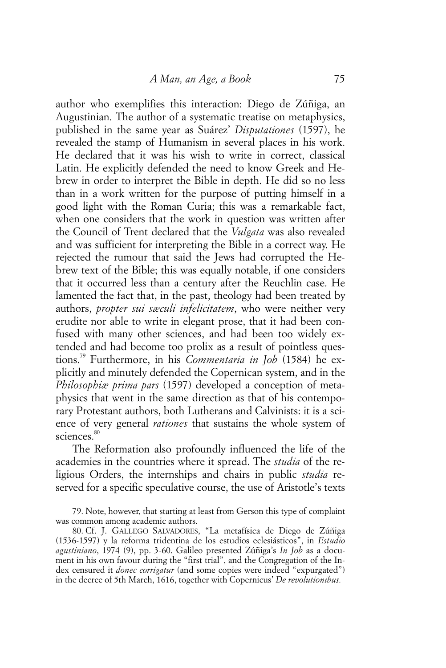author who exemplifies this interaction: Diego de Zúñiga, an Augustinian. The author of a systematic treatise on metaphysics, published in the same year as Suárez' *Disputationes* (1597), he revealed the stamp of Humanism in several places in his work. He declared that it was his wish to write in correct, classical Latin. He explicitly defended the need to know Greek and Hebrew in order to interpret the Bible in depth. He did so no less than in a work written for the purpose of putting himself in a good light with the Roman Curia; this was a remarkable fact, when one considers that the work in question was written after the Council of Trent declared that the *Vulgata* was also revealed and was sufficient for interpreting the Bible in a correct way. He rejected the rumour that said the Jews had corrupted the Hebrew text of the Bible; this was equally notable, if one considers that it occurred less than a century after the Reuchlin case. He lamented the fact that, in the past, theology had been treated by authors, *propter sui sæculi infelicitatem*, who were neither very erudite nor able to write in elegant prose, that it had been confused with many other sciences, and had been too widely extended and had become too prolix as a result of pointless questions.79 Furthermore, in his *Commentaria in Job* (1584) he explicitly and minutely defended the Copernican system, and in the *Philosophiæ prima pars* (1597) developed a conception of metaphysics that went in the same direction as that of his contemporary Protestant authors, both Lutherans and Calvinists: it is a science of very general *rationes* that sustains the whole system of sciences.<sup>80</sup>

The Reformation also profoundly influenced the life of the academies in the countries where it spread. The *studia* of the religious Orders, the internships and chairs in public *studia* reserved for a specific speculative course, the use of Aristotle's texts

<sup>79.</sup> Note, however, that starting at least from Gerson this type of complaint was common among academic authors.

<sup>80.</sup> Cf. J. GALLEGO SALVADORES, "La metafísica de Diego de Zúñiga (1536-1597) y la reforma tridentina de los estudios eclesiásticos", in *Estudio agustiniano*, 1974 (9), pp. 3-60. Galileo presented Zúñiga's *In Job* as a document in his own favour during the "first trial", and the Congregation of the Index censured it *donec corrigatur* (and some copies were indeed "expurgated") in the decree of 5th March, 1616, together with Copernicus' *De revolutionibus.*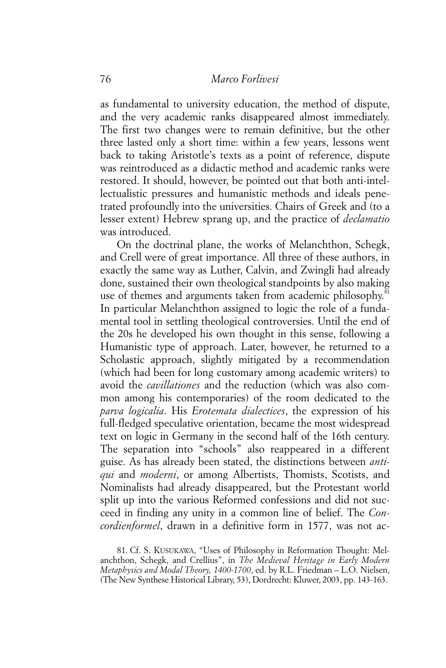as fundamental to university education, the method of dispute, and the very academic ranks disappeared almost immediately. The first two changes were to remain definitive, but the other three lasted only a short time: within a few years, lessons went back to taking Aristotle's texts as a point of reference, dispute was reintroduced as a didactic method and academic ranks were restored. It should, however, be pointed out that both anti-intellectualistic pressures and humanistic methods and ideals penetrated profoundly into the universities. Chairs of Greek and (to a lesser extent) Hebrew sprang up, and the practice of *declamatio* was introduced.

On the doctrinal plane, the works of Melanchthon, Schegk, and Crell were of great importance. All three of these authors, in exactly the same way as Luther, Calvin, and Zwingli had already done, sustained their own theological standpoints by also making use of themes and arguments taken from academic philosophy.<sup>81</sup> In particular Melanchthon assigned to logic the role of a fundamental tool in settling theological controversies. Until the end of the 20s he developed his own thought in this sense, following a Humanistic type of approach. Later, however, he returned to a Scholastic approach, slightly mitigated by a recommendation (which had been for long customary among academic writers) to avoid the *cavillationes* and the reduction (which was also common among his contemporaries) of the room dedicated to the *parva logicalia*. His *Erotemata dialectices*, the expression of his full-fledged speculative orientation, became the most widespread text on logic in Germany in the second half of the 16th century. The separation into "schools" also reappeared in a different guise. As has already been stated, the distinctions between *antiqui* and *moderni*, or among Albertists, Thomists, Scotists, and Nominalists had already disappeared, but the Protestant world split up into the various Reformed confessions and did not succeed in finding any unity in a common line of belief. The *Concordienformel*, drawn in a definitive form in 1577, was not ac-

81. Cf. S. KUSUKAWA, "Uses of Philosophy in Reformation Thought: Melanchthon, Schegk, and Crellius", in *The Medieval Heritage in Early Modern Metaphysics and Modal Theory, 1400-1700*, ed. by R.L. Friedman – L.O. Nielsen, (The New Synthese Historical Library, 53), Dordrecht: Kluwer, 2003, pp. 143-163.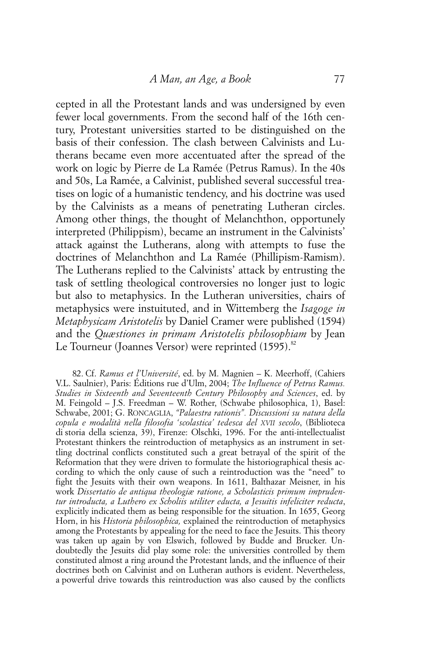cepted in all the Protestant lands and was undersigned by even fewer local governments. From the second half of the 16th century, Protestant universities started to be distinguished on the basis of their confession. The clash between Calvinists and Lutherans became even more accentuated after the spread of the work on logic by Pierre de La Ramée (Petrus Ramus). In the 40s and 50s, La Ramée, a Calvinist, published several successful treatises on logic of a humanistic tendency, and his doctrine was used by the Calvinists as a means of penetrating Lutheran circles. Among other things, the thought of Melanchthon, opportunely interpreted (Philippism), became an instrument in the Calvinists' attack against the Lutherans, along with attempts to fuse the doctrines of Melanchthon and La Ramée (Phillipism-Ramism). The Lutherans replied to the Calvinists' attack by entrusting the task of settling theological controversies no longer just to logic but also to metaphysics. In the Lutheran universities, chairs of metaphysics were instuituted, and in Wittemberg the *Isagoge in Metaphysicam Aristotelis* by Daniel Cramer were published (1594) and the *Quæstiones in primam Aristotelis philosophiam* by Jean Le Tourneur (Joannes Versor) were reprinted  $(1595)$ .<sup>82</sup>

82. Cf. *Ramus et l'Université*, ed. by M. Magnien – K. Meerhoff, (Cahiers V.L. Saulnier), Paris: Éditions rue d'Ulm, 2004; *The Influence of Petrus Ramus. Studies in Sixteenth and Seventeenth Century Philosophy and Sciences*, ed. by M. Feingold – J.S. Freedman – W. Rother, (Schwabe philosophica, 1), Basel: Schwabe, 2001; G. RONCAGLIA, *"Palaestra rationis". Discussioni su natura della copula e modalità nella filosofia 'scolastica' tedesca del XVII secolo*, (Biblioteca di storia della scienza, 39), Firenze: Olschki, 1996. For the anti-intellectualist Protestant thinkers the reintroduction of metaphysics as an instrument in settling doctrinal conflicts constituted such a great betrayal of the spirit of the Reformation that they were driven to formulate the historiographical thesis according to which the only cause of such a reintroduction was the "need" to fight the Jesuits with their own weapons. In 1611, Balthazar Meisner, in his work *Dissertatio de antiqua theologiæ ratione, a Scholasticis primum imprudentur introducta, a Luthero ex Scholiis utiliter educta, a Jesuitis infeliciter reducta*, explicitly indicated them as being responsible for the situation. In 1655, Georg Horn, in his *Historia philosophica,* explained the reintroduction of metaphysics among the Protestants by appealing for the need to face the Jesuits. This theory was taken up again by von Elswich, followed by Budde and Brucker. Undoubtedly the Jesuits did play some role: the universities controlled by them constituted almost a ring around the Protestant lands, and the influence of their doctrines both on Calvinist and on Lutheran authors is evident. Nevertheless, a powerful drive towards this reintroduction was also caused by the conflicts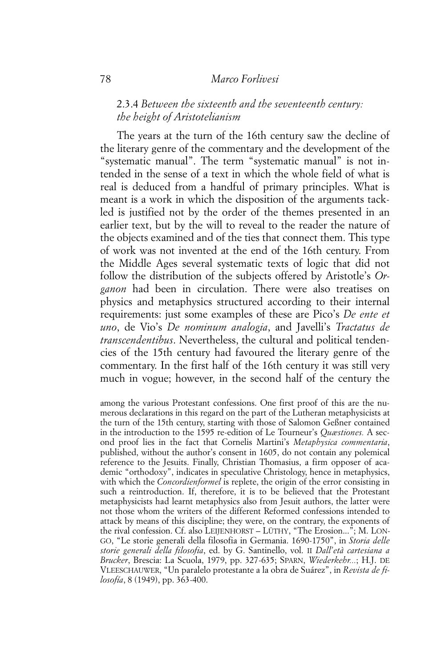## 78 *Marco Forlivesi*

## 2.3.4 *Between the sixteenth and the seventeenth century: the height of Aristotelianism*

The years at the turn of the 16th century saw the decline of the literary genre of the commentary and the development of the "systematic manual". The term "systematic manual" is not intended in the sense of a text in which the whole field of what is real is deduced from a handful of primary principles. What is meant is a work in which the disposition of the arguments tackled is justified not by the order of the themes presented in an earlier text, but by the will to reveal to the reader the nature of the objects examined and of the ties that connect them. This type of work was not invented at the end of the 16th century. From the Middle Ages several systematic texts of logic that did not follow the distribution of the subjects offered by Aristotle's *Organon* had been in circulation. There were also treatises on physics and metaphysics structured according to their internal requirements: just some examples of these are Pico's *De ente et uno*, de Vio's *De nominum analogia*, and Javelli's *Tractatus de transcendentibus*. Nevertheless, the cultural and political tendencies of the 15th century had favoured the literary genre of the commentary. In the first half of the 16th century it was still very much in vogue; however, in the second half of the century the

among the various Protestant confessions. One first proof of this are the numerous declarations in this regard on the part of the Lutheran metaphysicists at the turn of the 15th century, starting with those of Salomon Geßner contained in the introduction to the 1595 re-edition of Le Tourneur's *Quæstiones.* A second proof lies in the fact that Cornelis Martini's *Metaphysica commentaria*, published, without the author's consent in 1605, do not contain any polemical reference to the Jesuits. Finally, Christian Thomasius, a firm opposer of academic "orthodoxy", indicates in speculative Christology, hence in metaphysics, with which the *Concordienformel* is replete, the origin of the error consisting in such a reintroduction. If, therefore, it is to be believed that the Protestant metaphysicists had learnt metaphysics also from Jesuit authors, the latter were not those whom the writers of the different Reformed confessions intended to attack by means of this discipline; they were, on the contrary, the exponents of the rival confession. Cf. also LEIJENHORST – LÜTHY, "The Erosion..."; M. LON-GO, "Le storie generali della filosofia in Germania. 1690-1750", in *Storia delle storie generali della filosofia*, ed. by G. Santinello, vol. II *Dall'età cartesiana a Brucker*, Brescia: La Scuola, 1979, pp. 327-635; SPARN, *Wiederkehr...*; H.J. DE VLEESCHAUWER, "Un paralelo protestante a la obra de Suárez", in *Revista de filosofía*, 8 (1949), pp. 363-400.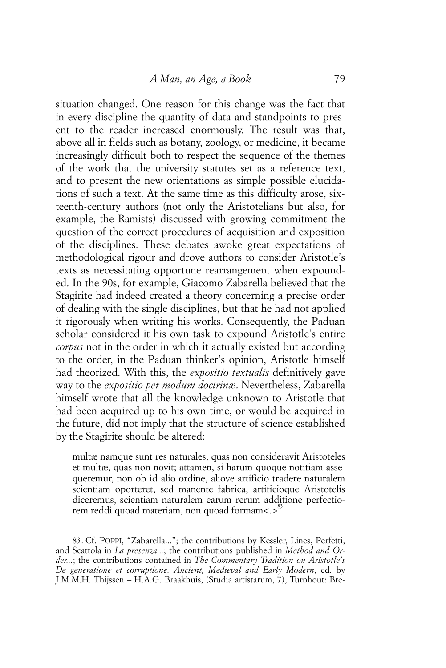situation changed. One reason for this change was the fact that in every discipline the quantity of data and standpoints to present to the reader increased enormously. The result was that, above all in fields such as botany, zoology, or medicine, it became increasingly difficult both to respect the sequence of the themes of the work that the university statutes set as a reference text, and to present the new orientations as simple possible elucidations of such a text. At the same time as this difficulty arose, sixteenth-century authors (not only the Aristotelians but also, for example, the Ramists) discussed with growing commitment the question of the correct procedures of acquisition and exposition of the disciplines. These debates awoke great expectations of methodological rigour and drove authors to consider Aristotle's texts as necessitating opportune rearrangement when expounded. In the 90s, for example, Giacomo Zabarella believed that the Stagirite had indeed created a theory concerning a precise order of dealing with the single disciplines, but that he had not applied it rigorously when writing his works. Consequently, the Paduan scholar considered it his own task to expound Aristotle's entire *corpus* not in the order in which it actually existed but according to the order, in the Paduan thinker's opinion, Aristotle himself had theorized. With this, the *expositio textualis* definitively gave way to the *expositio per modum doctrinæ*. Nevertheless, Zabarella himself wrote that all the knowledge unknown to Aristotle that had been acquired up to his own time, or would be acquired in the future, did not imply that the structure of science established by the Stagirite should be altered:

multæ namque sunt res naturales, quas non consideravit Aristoteles et multæ, quas non novit; attamen, si harum quoque notitiam assequeremur, non ob id alio ordine, aliove artificio tradere naturalem scientiam oporteret, sed manente fabrica, artificioque Aristotelis diceremus, scientiam naturalem earum rerum additione perfectiorem reddi quoad materiam, non quoad formam<.>83

83. Cf. POPPI, "Zabarella..."; the contributions by Kessler, Lines, Perfetti, and Scattola in *La presenza...*; the contributions published in *Method and Order...*; the contributions contained in *The Commentary Tradition on Aristotle's De generatione et corruptione. Ancient, Medieval and Early Modern*, ed. by J.M.M.H. Thijssen – H.A.G. Braakhuis, (Studia artistarum, 7), Turnhout: Bre-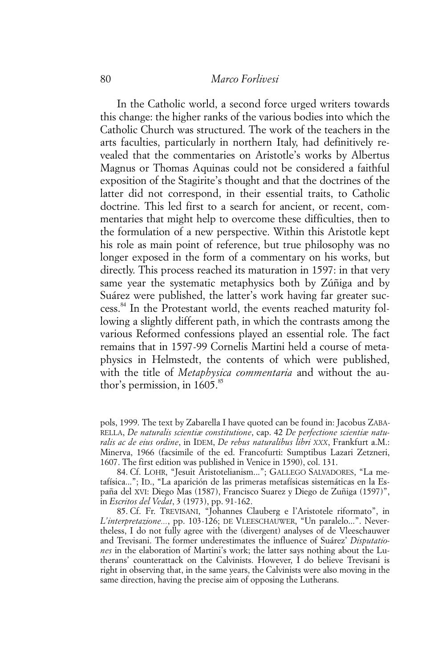## 80 *Marco Forlivesi*

In the Catholic world, a second force urged writers towards this change: the higher ranks of the various bodies into which the Catholic Church was structured. The work of the teachers in the arts faculties, particularly in northern Italy, had definitively revealed that the commentaries on Aristotle's works by Albertus Magnus or Thomas Aquinas could not be considered a faithful exposition of the Stagirite's thought and that the doctrines of the latter did not correspond, in their essential traits, to Catholic doctrine. This led first to a search for ancient, or recent, commentaries that might help to overcome these difficulties, then to the formulation of a new perspective. Within this Aristotle kept his role as main point of reference, but true philosophy was no longer exposed in the form of a commentary on his works, but directly. This process reached its maturation in 1597: in that very same year the systematic metaphysics both by Zúñiga and by Suárez were published, the latter's work having far greater success.<sup>84</sup> In the Protestant world, the events reached maturity following a slightly different path, in which the contrasts among the various Reformed confessions played an essential role. The fact remains that in 1597-99 Cornelis Martini held a course of metaphysics in Helmstedt, the contents of which were published, with the title of *Metaphysica commentaria* and without the author's permission, in  $1605.^{85}$ 

84. Cf. LOHR, "Jesuit Aristotelianism..."; GALLEGO SALVADORES, "La metafísica..."; ID., "La aparición de las primeras metafísicas sistemáticas en la España del XVI: Diego Mas (1587), Francisco Suarez y Diego de Zuñiga (1597)", in *Escritos del Vedat*, 3 (1973), pp. 91-162.

85. Cf. Fr. TREVISANI, "Johannes Clauberg e l'Aristotele riformato", in *L'interpretazione...*, pp. 103-126; DE VLEESCHAUWER, "Un paralelo...". Nevertheless, I do not fully agree with the (divergent) analyses of de Vleeschauwer and Trevisani. The former underestimates the influence of Suárez' *Disputationes* in the elaboration of Martini's work; the latter says nothing about the Lutherans' counterattack on the Calvinists. However, I do believe Trevisani is right in observing that, in the same years, the Calvinists were also moving in the same direction, having the precise aim of opposing the Lutherans.

pols, 1999. The text by Zabarella I have quoted can be found in: Jacobus ZABA-RELLA, *De naturalis scientiæ constitutione*, cap. 42 *De perfectione scientiæ naturalis ac de eius ordine*, in IDEM, *De rebus naturalibus libri XXX*, Frankfurt a.M.: Minerva, 1966 (facsimile of the ed. Francofurti: Sumptibus Lazari Zetzneri, 1607. The first edition was published in Venice in 1590), col. 131.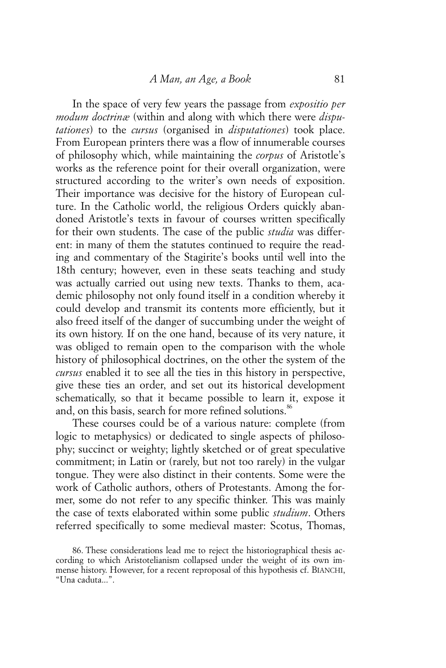In the space of very few years the passage from *expositio per modum doctrinæ* (within and along with which there were *disputationes*) to the *cursus* (organised in *disputationes*) took place. From European printers there was a flow of innumerable courses of philosophy which, while maintaining the *corpus* of Aristotle's works as the reference point for their overall organization, were structured according to the writer's own needs of exposition. Their importance was decisive for the history of European culture. In the Catholic world, the religious Orders quickly abandoned Aristotle's texts in favour of courses written specifically for their own students. The case of the public *studia* was different: in many of them the statutes continued to require the reading and commentary of the Stagirite's books until well into the 18th century; however, even in these seats teaching and study was actually carried out using new texts. Thanks to them, academic philosophy not only found itself in a condition whereby it could develop and transmit its contents more efficiently, but it also freed itself of the danger of succumbing under the weight of its own history. If on the one hand, because of its very nature, it was obliged to remain open to the comparison with the whole history of philosophical doctrines, on the other the system of the *cursus* enabled it to see all the ties in this history in perspective, give these ties an order, and set out its historical development schematically, so that it became possible to learn it, expose it and, on this basis, search for more refined solutions.<sup>86</sup>

These courses could be of a various nature: complete (from logic to metaphysics) or dedicated to single aspects of philosophy; succinct or weighty; lightly sketched or of great speculative commitment; in Latin or (rarely, but not too rarely) in the vulgar tongue. They were also distinct in their contents. Some were the work of Catholic authors, others of Protestants. Among the former, some do not refer to any specific thinker. This was mainly the case of texts elaborated within some public *studium*. Others referred specifically to some medieval master: Scotus, Thomas,

<sup>86.</sup> These considerations lead me to reject the historiographical thesis according to which Aristotelianism collapsed under the weight of its own immense history. However, for a recent reproposal of this hypothesis cf. BIANCHI, "Una caduta...".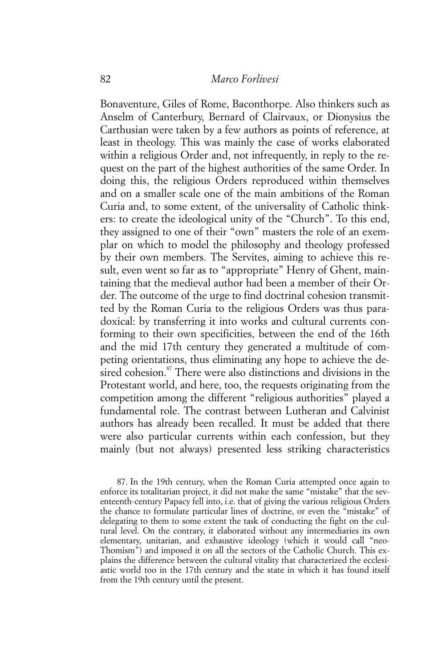Bonaventure, Giles of Rome, Baconthorpe. Also thinkers such as Anselm of Canterbury, Bernard of Clairvaux, or Dionysius the Carthusian were taken by a few authors as points of reference, at least in theology. This was mainly the case of works elaborated within a religious Order and, not infrequently, in reply to the request on the part of the highest authorities of the same Order. In doing this, the religious Orders reproduced within themselves and on a smaller scale one of the main ambitions of the Roman Curia and, to some extent, of the universality of Catholic thinkers: to create the ideological unity of the "Church". To this end, they assigned to one of their "own" masters the role of an exemplar on which to model the philosophy and theology professed by their own members. The Servites, aiming to achieve this result, even went so far as to "appropriate" Henry of Ghent, maintaining that the medieval author had been a member of their Order. The outcome of the urge to find doctrinal cohesion transmitted by the Roman Curia to the religious Orders was thus paradoxical: by transferring it into works and cultural currents conforming to their own specificities, between the end of the 16th and the mid 17th century they generated a multitude of competing orientations, thus eliminating any hope to achieve the desired cohesion.<sup>87</sup> There were also distinctions and divisions in the Protestant world, and here, too, the requests originating from the competition among the different "religious authorities" played a fundamental role. The contrast between Lutheran and Calvinist authors has already been recalled. It must be added that there were also particular currents within each confession, but they mainly (but not always) presented less striking characteristics

87. In the 19th century, when the Roman Curia attempted once again to enforce its totalitarian project, it did not make the same "mistake" that the seventeenth-century Papacy fell into, i.e. that of giving the various religious Orders the chance to formulate particular lines of doctrine, or even the "mistake" of delegating to them to some extent the task of conducting the fight on the cultural level. On the contrary, it elaborated without any intermediaries its own elementary, unitarian, and exhaustive ideology (which it would call "neo-Thomism") and imposed it on all the sectors of the Catholic Church. This explains the difference between the cultural vitality that characterized the ecclesiastic world too in the 17th century and the state in which it has found itself from the 19th century until the present.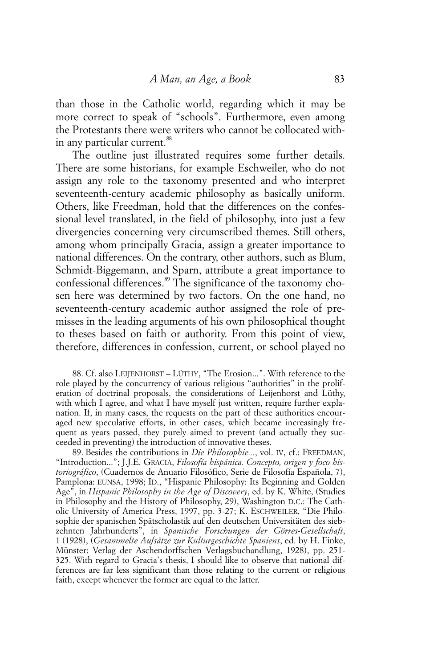than those in the Catholic world, regarding which it may be more correct to speak of "schools". Furthermore, even among the Protestants there were writers who cannot be collocated within any particular current.<sup>88</sup>

The outline just illustrated requires some further details. There are some historians, for example Eschweiler, who do not assign any role to the taxonomy presented and who interpret seventeenth-century academic philosophy as basically uniform. Others, like Freedman, hold that the differences on the confessional level translated, in the field of philosophy, into just a few divergencies concerning very circumscribed themes. Still others, among whom principally Gracia, assign a greater importance to national differences. On the contrary, other authors, such as Blum, Schmidt-Biggemann, and Sparn, attribute a great importance to confessional differences.<sup>89</sup> The significance of the taxonomy chosen here was determined by two factors. On the one hand, no seventeenth-century academic author assigned the role of premisses in the leading arguments of his own philosophical thought to theses based on faith or authority. From this point of view, therefore, differences in confession, current, or school played no

88. Cf. also LEIJENHORST – LÜTHY, "The Erosion...". With reference to the role played by the concurrency of various religious "authorities" in the proliferation of doctrinal proposals, the considerations of Leijenhorst and Lüthy, with which I agree, and what I have myself just written, require further explanation. If, in many cases, the requests on the part of these authorities encouraged new speculative efforts, in other cases, which became increasingly frequent as years passed, they purely aimed to prevent (and actually they succeeded in preventing) the introduction of innovative theses.

89. Besides the contributions in *Die Philosophie...*, vol. IV, cf.: FREEDMAN, "Introduction..."; J.J.E. GRACIA, *Filosofía hispánica. Concepto, origen y foco historiográfico*, (Cuadernos de Anuario Filosófico, Serie de Filosofía Española, 7), Pamplona: EUNSA, 1998; ID., "Hispanic Philosophy: Its Beginning and Golden Age", in *Hispanic Philosophy in the Age of Discovery*, ed. by K. White, (Studies in Philosophy and the History of Philosophy, 29), Washington D.C.: The Catholic University of America Press, 1997, pp. 3-27; K. ESCHWEILER, "Die Philosophie der spanischen Spätscholastik auf den deutschen Universitäten des siebzehnten Jahrhunderts", in *Spanische Forschungen der Görres-Gesellschaft*, 1 (1928), (*Gesammelte Aufsätze zur Kulturgeschichte Spaniens*, ed. by H. Finke, Münster: Verlag der Aschendorffschen Verlagsbuchandlung, 1928), pp. 251- 325. With regard to Gracia's thesis, I should like to observe that national differences are far less significant than those relating to the current or religious faith, except whenever the former are equal to the latter.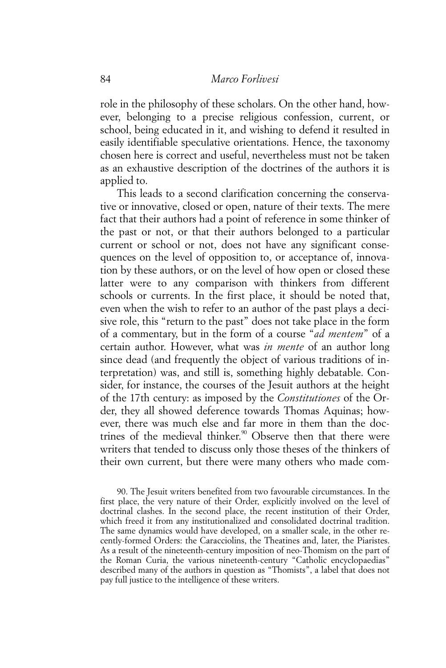role in the philosophy of these scholars. On the other hand, however, belonging to a precise religious confession, current, or school, being educated in it, and wishing to defend it resulted in easily identifiable speculative orientations. Hence, the taxonomy chosen here is correct and useful, nevertheless must not be taken as an exhaustive description of the doctrines of the authors it is applied to.

This leads to a second clarification concerning the conservative or innovative, closed or open, nature of their texts. The mere fact that their authors had a point of reference in some thinker of the past or not, or that their authors belonged to a particular current or school or not, does not have any significant consequences on the level of opposition to, or acceptance of, innovation by these authors, or on the level of how open or closed these latter were to any comparison with thinkers from different schools or currents. In the first place, it should be noted that, even when the wish to refer to an author of the past plays a decisive role, this "return to the past" does not take place in the form of a commentary, but in the form of a course "*ad mentem*" of a certain author. However, what was *in mente* of an author long since dead (and frequently the object of various traditions of interpretation) was, and still is, something highly debatable. Consider, for instance, the courses of the Jesuit authors at the height of the 17th century: as imposed by the *Constitutiones* of the Order, they all showed deference towards Thomas Aquinas; however, there was much else and far more in them than the doctrines of the medieval thinker.<sup>90</sup> Observe then that there were writers that tended to discuss only those theses of the thinkers of their own current, but there were many others who made com-

90. The Jesuit writers benefited from two favourable circumstances. In the first place, the very nature of their Order, explicitly involved on the level of doctrinal clashes. In the second place, the recent institution of their Order, which freed it from any institutionalized and consolidated doctrinal tradition. The same dynamics would have developed, on a smaller scale, in the other recently-formed Orders: the Caracciolins, the Theatines and, later, the Piaristes. As a result of the nineteenth-century imposition of neo-Thomism on the part of the Roman Curia, the various nineteenth-century "Catholic encyclopaedias" described many of the authors in question as "Thomists", a label that does not pay full justice to the intelligence of these writers.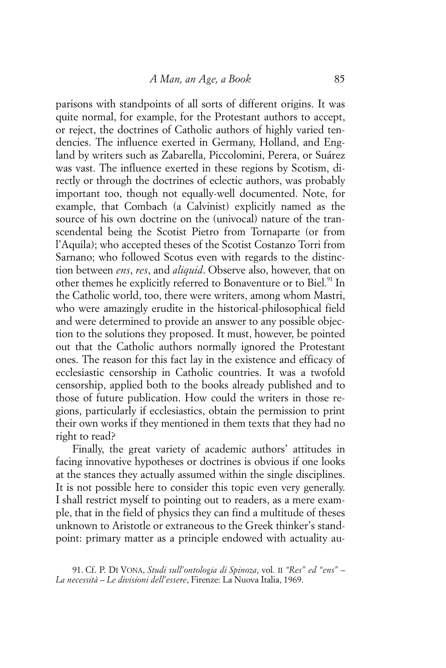parisons with standpoints of all sorts of different origins. It was quite normal, for example, for the Protestant authors to accept, or reject, the doctrines of Catholic authors of highly varied tendencies. The influence exerted in Germany, Holland, and England by writers such as Zabarella, Piccolomini, Perera, or Suárez was vast. The influence exerted in these regions by Scotism, directly or through the doctrines of eclectic authors, was probably important too, though not equally-well documented. Note, for example, that Combach (a Calvinist) explicitly named as the source of his own doctrine on the (univocal) nature of the transcendental being the Scotist Pietro from Tornaparte (or from l'Aquila); who accepted theses of the Scotist Costanzo Torri from Sarnano; who followed Scotus even with regards to the distinction between *ens*, *res*, and *aliquid*. Observe also, however, that on other themes he explicitly referred to Bonaventure or to Biel.<sup>91</sup> In the Catholic world, too, there were writers, among whom Mastri, who were amazingly erudite in the historical-philosophical field and were determined to provide an answer to any possible objection to the solutions they proposed. It must, however, be pointed out that the Catholic authors normally ignored the Protestant ones. The reason for this fact lay in the existence and efficacy of ecclesiastic censorship in Catholic countries. It was a twofold censorship, applied both to the books already published and to those of future publication. How could the writers in those regions, particularly if ecclesiastics, obtain the permission to print their own works if they mentioned in them texts that they had no right to read?

Finally, the great variety of academic authors' attitudes in facing innovative hypotheses or doctrines is obvious if one looks at the stances they actually assumed within the single disciplines. It is not possible here to consider this topic even very generally. I shall restrict myself to pointing out to readers, as a mere example, that in the field of physics they can find a multitude of theses unknown to Aristotle or extraneous to the Greek thinker's standpoint: primary matter as a principle endowed with actuality au-

91. Cf. P. DI VONA, *Studi sull'ontologia di Spinoza*, vol. II *"Res" ed "ens" – La necessità – Le divisioni dell'essere*, Firenze: La Nuova Italia, 1969.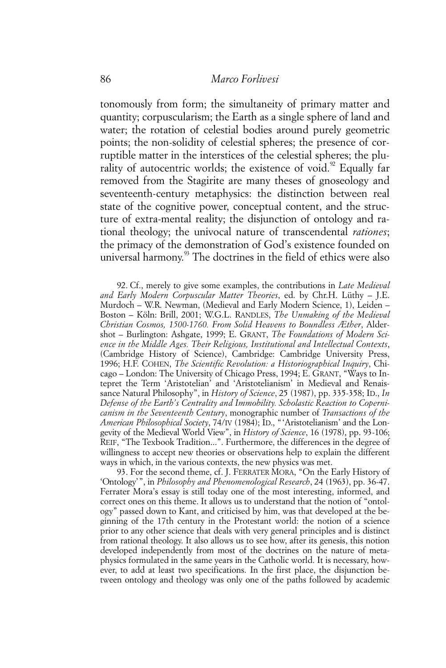tonomously from form; the simultaneity of primary matter and quantity; corpuscularism; the Earth as a single sphere of land and water; the rotation of celestial bodies around purely geometric points; the non-solidity of celestial spheres; the presence of corruptible matter in the interstices of the celestial spheres; the plurality of autocentric worlds; the existence of void. $\frac{9}{2}$  Equally far removed from the Stagirite are many theses of gnoseology and seventeenth-century metaphysics: the distinction between real state of the cognitive power, conceptual content, and the structure of extra-mental reality; the disjunction of ontology and rational theology; the univocal nature of transcendental *rationes*; the primacy of the demonstration of God's existence founded on universal harmony.<sup>93</sup> The doctrines in the field of ethics were also

92. Cf., merely to give some examples, the contributions in *Late Medieval and Early Modern Corpuscular Matter Theories*, ed. by Chr.H. Lüthy – J.E. Murdoch – W.R. Newman, (Medieval and Early Modern Science, 1), Leiden – Boston – Köln: Brill, 2001; W.G.L. RANDLES, *The Unmaking of the Medieval Christian Cosmos, 1500-1760. From Solid Heavens to Boundless Æther*, Aldershot – Burlington: Ashgate, 1999; E. GRANT, *The Foundations of Modern Science in the Middle Ages. Their Religious, Institutional and Intellectual Contexts*, (Cambridge History of Science), Cambridge: Cambridge University Press, 1996; H.F. COHEN, *The Scientific Revolution: a Historiographical Inquiry*, Chicago – London: The University of Chicago Press, 1994; E. GRANT, "Ways to Intepret the Term 'Aristotelian' and 'Aristotelianism' in Medieval and Renaissance Natural Philosophy", in *History of Science*, 25 (1987), pp. 335-358; ID., *In Defense of the Earth's Centrality and Immobility. Scholastic Reaction to Copernicanism in the Seventeenth Century*, monographic number of *Transactions of the American Philosophical Society*, 74/IV (1984); ID., "'Aristotelianism' and the Longevity of the Medieval World View", in *History of Science*, 16 (1978), pp. 93-106; REIF, "The Texbook Tradition...". Furthermore, the differences in the degree of willingness to accept new theories or observations help to explain the different ways in which, in the various contexts, the new physics was met.

93. For the second theme, cf. J. FERRATER MORA, "On the Early History of 'Ontology'", in *Philosophy and Phenomenological Research*, 24 (1963), pp. 36-47. Ferrater Mora's essay is still today one of the most interesting, informed, and correct ones on this theme. It allows us to understand that the notion of "ontology" passed down to Kant, and criticised by him, was that developed at the beginning of the 17th century in the Protestant world: the notion of a science prior to any other science that deals with very general principles and is distinct from rational theology. It also allows us to see how, after its genesis, this notion developed independently from most of the doctrines on the nature of metaphysics formulated in the same years in the Catholic world. It is necessary, however, to add at least two specifications. In the first place, the disjunction between ontology and theology was only one of the paths followed by academic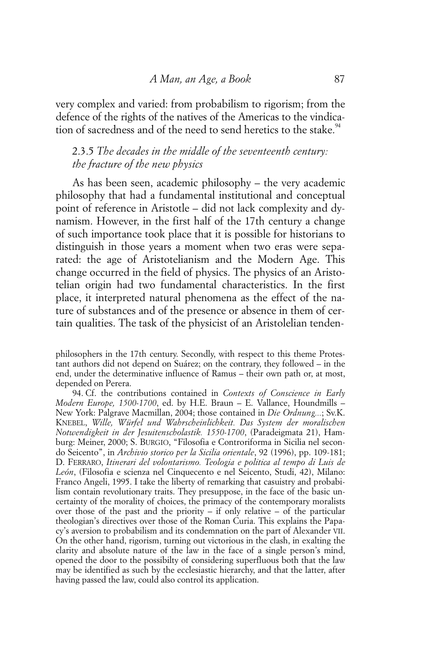very complex and varied: from probabilism to rigorism; from the defence of the rights of the natives of the Americas to the vindication of sacredness and of the need to send heretics to the stake.<sup>94</sup>

# 2.3.5 *The decades in the middle of the seventeenth century: the fracture of the new physics*

As has been seen, academic philosophy – the very academic philosophy that had a fundamental institutional and conceptual point of reference in Aristotle – did not lack complexity and dynamism. However, in the first half of the 17th century a change of such importance took place that it is possible for historians to distinguish in those years a moment when two eras were separated: the age of Aristotelianism and the Modern Age. This change occurred in the field of physics. The physics of an Aristotelian origin had two fundamental characteristics. In the first place, it interpreted natural phenomena as the effect of the nature of substances and of the presence or absence in them of certain qualities. The task of the physicist of an Aristolelian tenden-

philosophers in the 17th century. Secondly, with respect to this theme Protestant authors did not depend on Suárez; on the contrary, they followed – in the end, under the determinative influence of Ramus – their own path or, at most, depended on Perera.

<sup>94.</sup> Cf. the contributions contained in *Contexts of Conscience in Early Modern Europe, 1500-1700*, ed. by H.E. Braun – E. Vallance, Houndmills – New York: Palgrave Macmillan, 2004; those contained in *Die Ordnung...*; Sv.K. KNEBEL, *Wille, Würfel und Wahrscheinlichkeit. Das System der moralischen Notwendigkeit in der Jesuitenscholastik. 1550-1700*, (Paradeigmata 21), Hamburg: Meiner, 2000; S. BURGIO, "Filosofia e Controriforma in Sicilia nel secondo Seicento", in *Archivio storico per la Sicilia orientale*, 92 (1996), pp. 109-181; D. FERRARO, *Itinerari del volontarismo. Teologia e politica al tempo di Luis de León*, (Filosofia e scienza nel Cinquecento e nel Seicento, Studi, 42), Milano: Franco Angeli, 1995. I take the liberty of remarking that casuistry and probabilism contain revolutionary traits. They presuppose, in the face of the basic uncertainty of the morality of choices, the primacy of the contemporary moralists over those of the past and the priority – if only relative – of the particular theologian's directives over those of the Roman Curia. This explains the Papacy's aversion to probabilism and its condemnation on the part of Alexander VII. On the other hand, rigorism, turning out victorious in the clash, in exalting the clarity and absolute nature of the law in the face of a single person's mind, opened the door to the possibilty of considering superfluous both that the law may be identified as such by the ecclesiastic hierarchy, and that the latter, after having passed the law, could also control its application.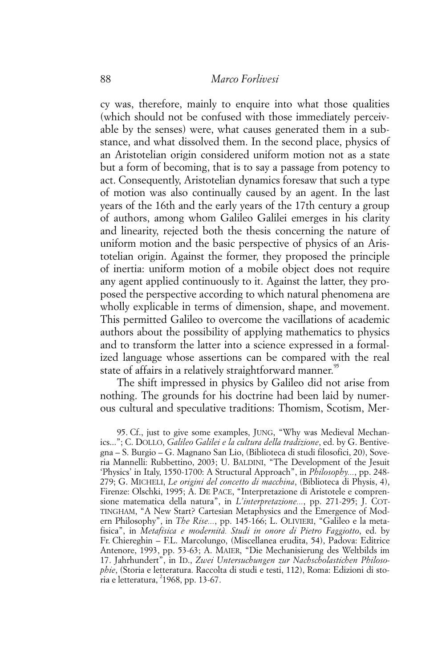cy was, therefore, mainly to enquire into what those qualities (which should not be confused with those immediately perceivable by the senses) were, what causes generated them in a substance, and what dissolved them. In the second place, physics of an Aristotelian origin considered uniform motion not as a state but a form of becoming, that is to say a passage from potency to act. Consequently, Aristotelian dynamics foresaw that such a type of motion was also continually caused by an agent. In the last years of the 16th and the early years of the 17th century a group of authors, among whom Galileo Galilei emerges in his clarity and linearity, rejected both the thesis concerning the nature of uniform motion and the basic perspective of physics of an Aristotelian origin. Against the former, they proposed the principle of inertia: uniform motion of a mobile object does not require any agent applied continuously to it. Against the latter, they proposed the perspective according to which natural phenomena are wholly explicable in terms of dimension, shape, and movement. This permitted Galileo to overcome the vacillations of academic authors about the possibility of applying mathematics to physics and to transform the latter into a science expressed in a formalized language whose assertions can be compared with the real state of affairs in a relatively straightforward manner.<sup>95</sup>

The shift impressed in physics by Galileo did not arise from nothing. The grounds for his doctrine had been laid by numerous cultural and speculative traditions: Thomism, Scotism, Mer-

95. Cf., just to give some examples, JUNG, "Why was Medieval Mechanics..."; C. DOLLO, *Galileo Galilei e la cultura della tradizione*, ed. by G. Bentivegna – S. Burgio – G. Magnano San Lio, (Biblioteca di studi filosofici, 20), Soveria Mannelli: Rubbettino, 2003; U. BALDINI, "The Development of the Jesuit 'Physics' in Italy, 1550-1700: A Structural Approach", in *Philosophy...*, pp. 248- 279; G. MICHELI, *Le origini del concetto di macchina*, (Biblioteca di Physis, 4), Firenze: Olschki, 1995; A. DE PACE, "Interpretazione di Aristotele e comprensione matematica della natura", in *L'interpretazione...*, pp. 271-295; J. COT-TINGHAM, "A New Start? Cartesian Metaphysics and the Emergence of Modern Philosophy", in *The Rise...*, pp. 145-166; L. OLIVIERI, "Galileo e la metafisica", in *Metafisica e modernità. Studi in onore di Pietro Faggiotto*, ed. by Fr. Chiereghin – F.L. Marcolungo, (Miscellanea erudita, 54), Padova: Editrice Antenore, 1993, pp. 53-63; A. MAIER, "Die Mechanisierung des Weltbilds im 17. Jahrhundert", in ID., *Zwei Untersuchungen zur Nachscholastichen Philosophie*, (Storia e letteratura. Raccolta di studi e testi, 112), Roma: Edizioni di storia e letteratura, <sup>2</sup>1968, pp. 13-67.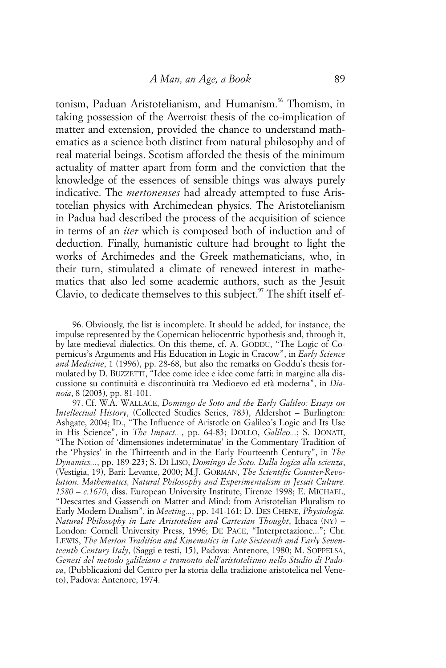tonism, Paduan Aristotelianism, and Humanism.<sup>96</sup> Thomism, in taking possession of the Averroist thesis of the co-implication of matter and extension, provided the chance to understand mathematics as a science both distinct from natural philosophy and of real material beings. Scotism afforded the thesis of the minimum actuality of matter apart from form and the conviction that the knowledge of the essences of sensible things was always purely indicative. The *mertonenses* had already attempted to fuse Aristotelian physics with Archimedean physics. The Aristotelianism in Padua had described the process of the acquisition of science in terms of an *iter* which is composed both of induction and of deduction. Finally, humanistic culture had brought to light the works of Archimedes and the Greek mathematicians, who, in their turn, stimulated a climate of renewed interest in mathematics that also led some academic authors, such as the Jesuit Clavio, to dedicate themselves to this subject. $97$  The shift itself ef-

96. Obviously, the list is incomplete. It should be added, for instance, the impulse represented by the Copernican heliocentric hypothesis and, through it, by late medieval dialectics. On this theme, cf. A. GODDU, "The Logic of Copernicus's Arguments and His Education in Logic in Cracow", in *Early Science and Medicine*, 1 (1996), pp. 28-68, but also the remarks on Goddu's thesis formulated by D. BUZZETTI, "Idee come idee e idee come fatti: in margine alla discussione su continuità e discontinuità tra Medioevo ed età moderna", in *Dianoia*, 8 (2003), pp. 81-101.

97. Cf. W.A. WALLACE, *Domingo de Soto and the Early Galileo: Essays on Intellectual History*, (Collected Studies Series, 783), Aldershot – Burlington: Ashgate, 2004; ID., "The Influence of Aristotle on Galileo's Logic and Its Use in His Science", in *The Impact...*, pp. 64-83; DOLLO, *Galileo...*; S. DONATI, "The Notion of 'dimensiones indeterminatae' in the Commentary Tradition of the 'Physics' in the Thirteenth and in the Early Fourteenth Century", in *The Dynamics...*, pp. 189-223; S. DI LISO, *Domingo de Soto. Dalla logica alla scienza*, (Vestigia, 19), Bari: Levante, 2000; M.J. GORMAN, *The Scientific Counter-Revolution. Mathematics, Natural Philosophy and Experimentalism in Jesuit Culture. 1580 – c.1670*, diss. European University Institute, Firenze 1998; E. MICHAEL, "Descartes and Gassendi on Matter and Mind: from Aristotelian Pluralism to Early Modern Dualism", in *Meeting...*, pp. 141-161; D. DES CHENE, *Physiologia. Natural Philosophy in Late Aristotelian and Cartesian Thought*, Ithaca (NY) – London: Cornell University Press, 1996; DE PACE, "Interpretazione..."; Chr. LEWIS, *The Merton Tradition and Kinematics in Late Sixteenth and Early Seventeenth Century Italy*, (Saggi e testi, 15), Padova: Antenore, 1980; M. SOPPELSA, *Genesi del metodo galileiano e tramonto dell'aristotelismo nello Studio di Padova*, (Pubblicazioni del Centro per la storia della tradizione aristotelica nel Veneto), Padova: Antenore, 1974.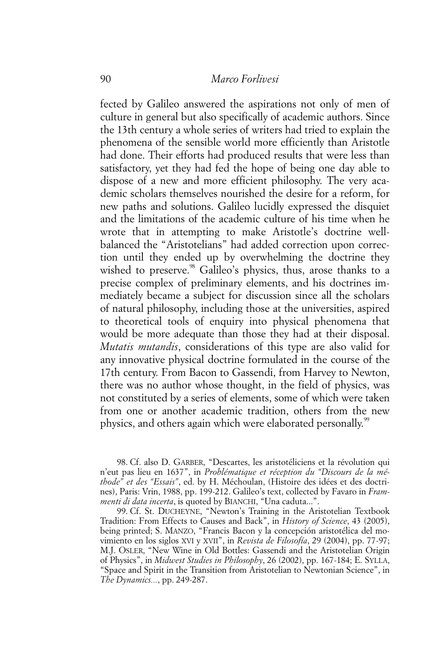fected by Galileo answered the aspirations not only of men of culture in general but also specifically of academic authors. Since the 13th century a whole series of writers had tried to explain the phenomena of the sensible world more efficiently than Aristotle had done. Their efforts had produced results that were less than satisfactory, yet they had fed the hope of being one day able to dispose of a new and more efficient philosophy. The very academic scholars themselves nourished the desire for a reform, for new paths and solutions. Galileo lucidly expressed the disquiet and the limitations of the academic culture of his time when he wrote that in attempting to make Aristotle's doctrine wellbalanced the "Aristotelians" had added correction upon correction until they ended up by overwhelming the doctrine they wished to preserve.<sup>98</sup> Galileo's physics, thus, arose thanks to a precise complex of preliminary elements, and his doctrines immediately became a subject for discussion since all the scholars of natural philosophy, including those at the universities, aspired to theoretical tools of enquiry into physical phenomena that would be more adequate than those they had at their disposal. *Mutatis mutandis*, considerations of this type are also valid for any innovative physical doctrine formulated in the course of the 17th century. From Bacon to Gassendi, from Harvey to Newton, there was no author whose thought, in the field of physics, was not constituted by a series of elements, some of which were taken from one or another academic tradition, others from the new physics, and others again which were elaborated personally.<sup>99</sup>

98. Cf. also D. GARBER, "Descartes, les aristotéliciens et la révolution qui n'eut pas lieu en 1637", in *Problématique et réception du "Discours de la méthode" et des "Essais"*, ed. by H. Méchoulan, (Histoire des idées et des doctrines), Paris: Vrin, 1988, pp. 199-212. Galileo's text, collected by Favaro in *Frammenti di data incerta*, is quoted by BIANCHI, "Una caduta...".

99. Cf. St. DUCHEYNE, "Newton's Training in the Aristotelian Textbook Tradition: From Effects to Causes and Back", in *History of Science*, 43 (2005), being printed; S. MANZO, "Francis Bacon y la concepción aristotélica del movimiento en los siglos XVI y XVII", in *Revista de Filosofía*, 29 (2004), pp. 77-97; M.J. OSLER, "New Wine in Old Bottles: Gassendi and the Aristotelian Origin of Physics", in *Midwest Studies in Philosophy*, 26 (2002), pp. 167-184; E. SYLLA, "Space and Spirit in the Transition from Aristotelian to Newtonian Science", in *The Dynamics...*, pp. 249-287.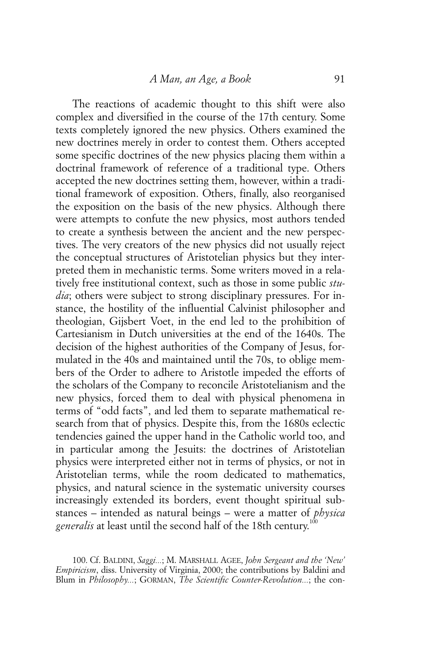The reactions of academic thought to this shift were also complex and diversified in the course of the 17th century. Some texts completely ignored the new physics. Others examined the new doctrines merely in order to contest them. Others accepted some specific doctrines of the new physics placing them within a doctrinal framework of reference of a traditional type. Others accepted the new doctrines setting them, however, within a traditional framework of exposition. Others, finally, also reorganised the exposition on the basis of the new physics. Although there were attempts to confute the new physics, most authors tended to create a synthesis between the ancient and the new perspectives. The very creators of the new physics did not usually reject the conceptual structures of Aristotelian physics but they interpreted them in mechanistic terms. Some writers moved in a relatively free institutional context, such as those in some public *studia*; others were subject to strong disciplinary pressures. For instance, the hostility of the influential Calvinist philosopher and theologian, Gijsbert Voet, in the end led to the prohibition of Cartesianism in Dutch universities at the end of the 1640s. The decision of the highest authorities of the Company of Jesus, formulated in the 40s and maintained until the 70s, to oblige members of the Order to adhere to Aristotle impeded the efforts of the scholars of the Company to reconcile Aristotelianism and the new physics, forced them to deal with physical phenomena in terms of "odd facts", and led them to separate mathematical research from that of physics. Despite this, from the 1680s eclectic tendencies gained the upper hand in the Catholic world too, and in particular among the Jesuits: the doctrines of Aristotelian physics were interpreted either not in terms of physics, or not in Aristotelian terms, while the room dedicated to mathematics, physics, and natural science in the systematic university courses increasingly extended its borders, event thought spiritual substances – intended as natural beings – were a matter of *physica* generalis at least until the second half of the 18th century.<sup>100</sup>

<sup>100.</sup> Cf. BALDINI, *Saggi...*; M. MARSHALL AGEE, *John Sergeant and the 'New' Empiricism*, diss. University of Virginia, 2000; the contributions by Baldini and Blum in *Philosophy...*; GORMAN, *The Scientific Counter-Revolution...*; the con-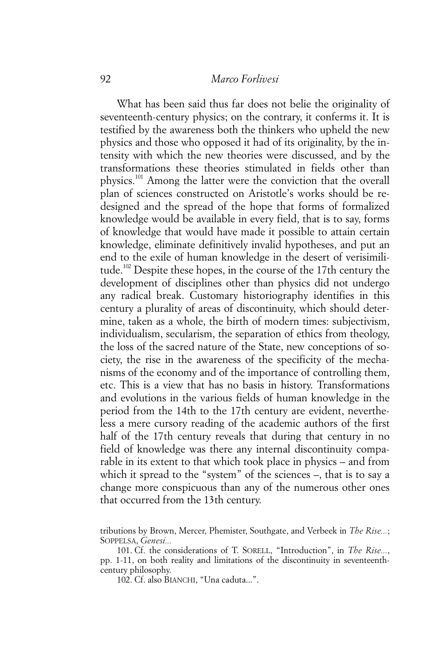What has been said thus far does not belie the originality of seventeenth-century physics; on the contrary, it conferms it. It is testified by the awareness both the thinkers who upheld the new physics and those who opposed it had of its originality, by the intensity with which the new theories were discussed, and by the transformations these theories stimulated in fields other than physics.101 Among the latter were the conviction that the overall plan of sciences constructed on Aristotle's works should be redesigned and the spread of the hope that forms of formalized knowledge would be available in every field, that is to say, forms of knowledge that would have made it possible to attain certain knowledge, eliminate definitively invalid hypotheses, and put an end to the exile of human knowledge in the desert of verisimilitude.102 Despite these hopes, in the course of the 17th century the development of disciplines other than physics did not undergo any radical break. Customary historiography identifies in this century a plurality of areas of discontinuity, which should determine, taken as a whole, the birth of modern times: subjectivism, individualism, secularism, the separation of ethics from theology, the loss of the sacred nature of the State, new conceptions of society, the rise in the awareness of the specificity of the mechanisms of the economy and of the importance of controlling them, etc. This is a view that has no basis in history. Transformations and evolutions in the various fields of human knowledge in the period from the 14th to the 17th century are evident, nevertheless a mere cursory reading of the academic authors of the first half of the 17th century reveals that during that century in no field of knowledge was there any internal discontinuity comparable in its extent to that which took place in physics – and from which it spread to the "system" of the sciences –, that is to say a change more conspicuous than any of the numerous other ones that occurred from the 13th century.

102. Cf. also BIANCHI, "Una caduta...".

tributions by Brown, Mercer, Phemister, Southgate, and Verbeek in *The Rise...*; SOPPELSA, *Genesi...*

<sup>101.</sup> Cf. the considerations of T. SORELL, "Introduction", in *The Rise...*, pp. 1-11, on both reality and limitations of the discontinuity in seventeenthcentury philosophy.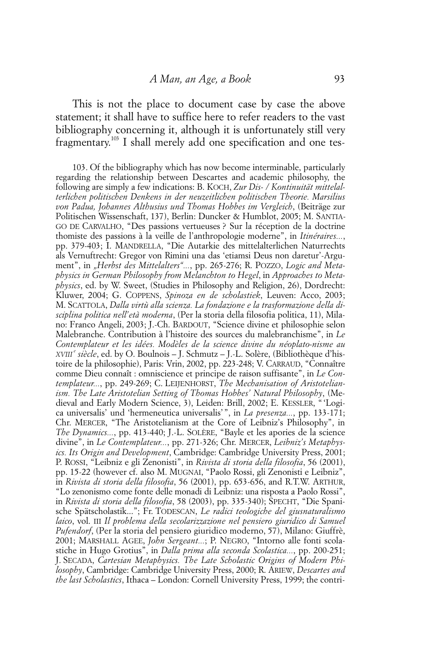This is not the place to document case by case the above statement; it shall have to suffice here to refer readers to the vast bibliography concerning it, although it is unfortunately still very fragmentary.<sup>103</sup> I shall merely add one specification and one tes-

103. Of the bibliography which has now become interminable, particularly regarding the relationship between Descartes and academic philosophy, the following are simply a few indications: B. KOCH, *Zur Dis- / Kontinuität mittelalterlichen politischen Denkens in der neuzeitlichen politischen Theorie. Marsilius von Padua, Johannes Althusius und Thomas Hobbes im Vergleich*, (Beiträge zur Politischen Wissenschaft, 137), Berlin: Duncker & Humblot, 2005; M. SANTIA-GO DE CARVALHO, "Des passions vertueuses ? Sur la réception de la doctrine thomiste des passions à la veille de l'anthropologie moderne", in *Itinéraires...*, pp. 379-403; I. MANDRELLA, "Die Autarkie des mittelalterlichen Naturrechts als Vernuftrecht: Gregor von Rimini una das 'etiamsi Deus non daretur'-Argument", in "Herbst des Mittelalters"..., pp. 265-276; R. POZZO, Logic and Meta*physics in German Philosophy from Melanchton to Hegel*, in *Approaches to Metaphysics*, ed. by W. Sweet, (Studies in Philosophy and Religion, 26), Dordrecht: Kluwer, 2004; G. COPPENS, *Spinoza en de scholastiek*, Leuven: Acco, 2003; M. SCATTOLA, *Dalla virtù alla scienza. La fondazione e la trasformazione della disciplina politica nell'età moderna*, (Per la storia della filosofia politica, 11), Milano: Franco Angeli, 2003; J.-Ch. BARDOUT, "Science divine et philosophie selon Malebranche. Contribution à l'histoire des sources du malebranchisme", in *Le Contemplateur et les idées. Modèles de la science divine du néoplato-nisme au XVIII e siècle*, ed. by O. Boulnois – J. Schmutz – J.-L. Solère, (Bibliothèque d'histoire de la philosophie), Paris: Vrin, 2002, pp. 223-248; V. CARRAUD, "Connaître comme Dieu connaît : omniscience et principe de raison suffisante", in *Le Contemplateur...*, pp. 249-269; C. LEIJENHORST, *The Mechanisation of Aristotelianism. The Late Aristotelian Setting of Thomas Hobbes' Natural Philosophy*, (Medieval and Early Modern Science, 3), Leiden: Brill, 2002; E. KESSLER, "'Logica universalis' und 'hermeneutica universalis'", in *La presenza...*, pp. 133-171; Chr. MERCER, "The Aristotelianism at the Core of Leibniz's Philosophy", in *The Dynamics...*, pp. 413-440; J.-L. SOLÈRE, "Bayle et les apories de la science divine", in *Le Contemplateur...*, pp. 271-326; Chr. MERCER, *Leibniz's Metaphysics. Its Origin and Development*, Cambridge: Cambridge University Press, 2001; P. ROSSI, "Leibniz e gli Zenonisti", in *Rivista di storia della filosofia*, 56 (2001), pp. 15-22 (however cf. also M. MUGNAI, "Paolo Rossi, gli Zenonisti e Leibniz", in *Rivista di storia della filosofia*, 56 (2001), pp. 653-656, and R.T.W. ARTHUR, "Lo zenonismo come fonte delle monadi di Leibniz: una risposta a Paolo Rossi", in *Rivista di storia della filosofia*, 58 (2003), pp. 335-340); SPECHT, "Die Spanische Spätscholastik..."; Fr. TODESCAN, *Le radici teologiche del giusnaturalismo laico*, vol. III *Il problema della secolarizzazione nel pensiero giuridico di Samuel Pufendorf*, (Per la storia del pensiero giuridico moderno, 57), Milano: Giuffrè, 2001; MARSHALL AGEE, *John Sergeant...*; P. NEGRO, "Intorno alle fonti scolastiche in Hugo Grotius", in *Dalla prima alla seconda Scolastica...*, pp. 200-251; J. SECADA, *Cartesian Metaphysics. The Late Scholastic Origins of Modern Philosophy*, Cambridge: Cambridge University Press, 2000; R. ARIEW, *Descartes and the last Scholastics*, Ithaca – London: Cornell University Press, 1999; the contri-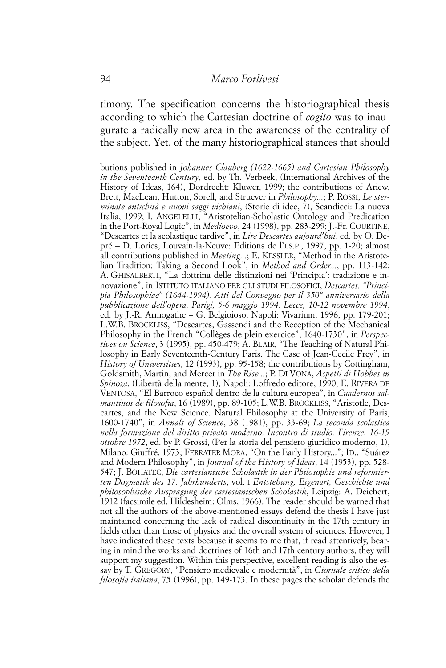timony. The specification concerns the historiographical thesis according to which the Cartesian doctrine of *cogito* was to inaugurate a radically new area in the awareness of the centrality of the subject. Yet, of the many historiographical stances that should

butions published in *Johannes Clauberg (1622-1665) and Cartesian Philosophy in the Seventeenth Century*, ed. by Th. Verbeek, (International Archives of the History of Ideas, 164), Dordrecht: Kluwer, 1999; the contributions of Ariew, Brett, MacLean, Hutton, Sorell, and Struever in *Philosophy...*; P. ROSSI, *Le sterminate antichità e nuovi saggi vichiani*, (Storie di idee, 7), Scandicci: La nuova Italia, 1999; I. ANGELELLI, "Aristotelian-Scholastic Ontology and Predication in the Port-Royal Logic", in *Medioevo*, 24 (1998), pp. 283-299; J.-Fr. COURTINE, "Descartes et la scolastique tardive", in *Lire Descartes aujourd'hui*, ed. by O. Depré – D. Lories, Louvain-la-Neuve: Editions de l'I.S.P., 1997, pp. 1-20; almost all contributions published in *Meeting...*; E. KESSLER, "Method in the Aristotelian Tradition: Taking a Second Look", in *Method and Order...*, pp. 113-142; A. GHISALBERTI, "La dottrina delle distinzioni nei 'Principia': tradizione e innovazione", in ISTITUTO ITALIANO PER GLI STUDI FILOSOFICI, *Descartes: "Principia Philosophiae" (1644-1994). Atti del Convegno per il 350° anniversario della pubblicazione dell'opera. Parigi, 5-6 maggio 1994. Lecce, 10-12 novembre 1994*, ed. by J.-R. Armogathe – G. Belgioioso, Napoli: Vivarium, 1996, pp. 179-201; L.W.B. BROCKLISS, "Descartes, Gassendi and the Reception of the Mechanical Philosophy in the French "Collèges de plein exercice", 1640-1730", in *Perspectives on Science*, 3 (1995), pp. 450-479; A. BLAIR, "The Teaching of Natural Philosophy in Early Seventeenth-Century Paris. The Case of Jean-Cecile Frey", in *History of Universities*, 12 (1993), pp. 95-158; the contributions by Cottingham, Goldsmith, Martin, and Mercer in *The Rise...*; P. DI VONA, *Aspetti di Hobbes in Spinoza*, (Libertà della mente, 1), Napoli: Loffredo editore, 1990; E. RIVERA DE VENTOSA, "El Barroco español dentro de la cultura europea", in *Cuadernos salmantinos de filosofia*, 16 (1989), pp. 89-105; L.W.B. BROCKLISS, "Aristotle, Descartes, and the New Science. Natural Philosophy at the University of Paris, 1600-1740", in *Annals of Science*, 38 (1981), pp. 33-69; *La seconda scolastica nella formazione del diritto privato moderno. Incontro di studio. Firenze, 16-19 ottobre 1972*, ed. by P. Grossi, (Per la storia del pensiero giuridico moderno, 1), Milano: Giuffré, 1973; FERRATER MORA, "On the Early History..."; ID., "Suárez and Modern Philosophy", in *Journal of the History of Ideas*, 14 (1953), pp. 528- 547; J. BOHATEC, *Die cartesianische Scholastik in der Philosophie und reformierten Dogmatik des 17. Jahrhunderts*, vol. I *Entstehung, Eigenart, Geschichte und philosophische Ausprägung der cartesianischen Scholastik*, Leipzig: A. Deichert, 1912 (facsimile ed. Hildesheim: Olms, 1966). The reader should be warned that not all the authors of the above-mentioned essays defend the thesis I have just maintained concerning the lack of radical discontinuity in the 17th century in fields other than those of physics and the overall system of sciences. However, I have indicated these texts because it seems to me that, if read attentively, bearing in mind the works and doctrines of 16th and 17th century authors, they will support my suggestion. Within this perspective, excellent reading is also the essay by T. GREGORY, "Pensiero medievale e modernità", in *Giornale critico della filosofia italiana*, 75 (1996), pp. 149-173. In these pages the scholar defends the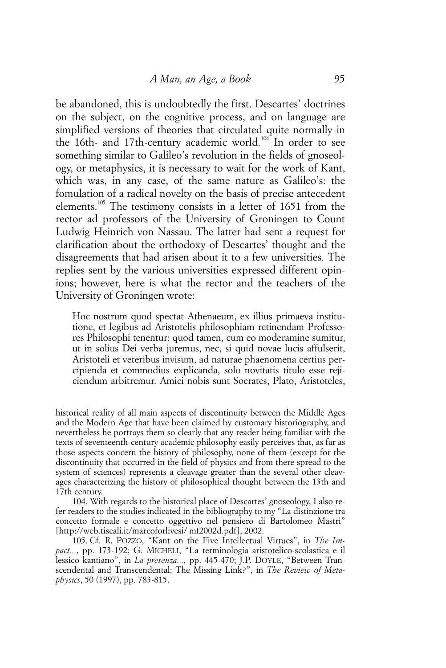be abandoned, this is undoubtedly the first. Descartes' doctrines on the subject, on the cognitive process, and on language are simplified versions of theories that circulated quite normally in the 16th- and 17th-century academic world.<sup>104</sup> In order to see something similar to Galileo's revolution in the fields of gnoseology, or metaphysics, it is necessary to wait for the work of Kant, which was, in any case, of the same nature as Galileo's: the fomulation of a radical novelty on the basis of precise antecedent elements.<sup>105</sup> The testimony consists in a letter of 1651 from the rector ad professors of the University of Groningen to Count Ludwig Heinrich von Nassau. The latter had sent a request for clarification about the orthodoxy of Descartes' thought and the disagreements that had arisen about it to a few universities. The replies sent by the various universities expressed different opinions; however, here is what the rector and the teachers of the University of Groningen wrote:

Hoc nostrum quod spectat Athenaeum, ex illius primaeva institutione, et legibus ad Aristotelis philosophiam retinendam Professores Philosophi tenentur: quod tamen, cum eo moderamine sumitur, ut in solius Dei verba juremus, nec, si quid novae lucis affulserit, Aristoteli et veteribus invisum, ad naturae phaenomena certius percipienda et commodius explicanda, solo novitatis titulo esse rejiciendum arbitremur. Amici nobis sunt Socrates, Plato, Aristoteles,

historical reality of all main aspects of discontinuity between the Middle Ages and the Modern Age that have been claimed by customary historiography, and nevertheless he portrays them so clearly that any reader being familiar with the texts of seventeenth-century academic philosophy easily perceives that, as far as those aspects concern the history of philosophy, none of them (except for the discontinuity that occurred in the field of physics and from there spread to the system of sciences) represents a cleavage greater than the several other cleavages characterizing the history of philosophical thought between the 13th and 17th century.

104. With regards to the historical place of Descartes' gnoseology, I also refer readers to the studies indicated in the bibliography to my "La distinzione tra concetto formale e concetto oggettivo nel pensiero di Bartolomeo Mastri" [http://web.tiscali.it/marcoforlivesi/ mf2002d.pdf], 2002.

105. Cf. R. POZZO, "Kant on the Five Intellectual Virtues", in *The Impact...*, pp. 173-192; G. MICHELI, "La terminologia aristotelico-scolastica e il lessico kantiano", in *La presenza...*, pp. 445-470; J.P. DOYLE, "Between Transcendental and Transcendental: The Missing Link?", in *The Review of Metaphysics*, 50 (1997), pp. 783-815.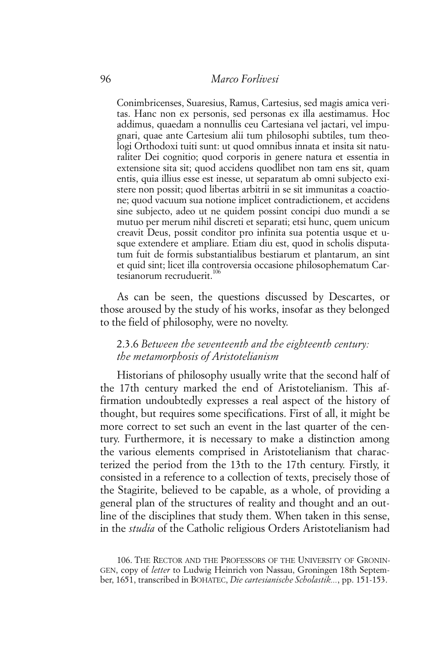Conimbricenses, Suaresius, Ramus, Cartesius, sed magis amica veritas. Hanc non ex personis, sed personas ex illa aestimamus. Hoc addimus, quaedam a nonnullis ceu Cartesiana vel jactari, vel impugnari, quae ante Cartesium alii tum philosophi subtiles, tum theologi Orthodoxi tuiti sunt: ut quod omnibus innata et insita sit naturaliter Dei cognitio; quod corporis in genere natura et essentia in extensione sita sit; quod accidens quodlibet non tam ens sit, quam entis, quia illius esse est inesse, ut separatum ab omni subjecto existere non possit; quod libertas arbitrii in se sit immunitas a coactione; quod vacuum sua notione implicet contradictionem, et accidens sine subjecto, adeo ut ne quidem possint concipi duo mundi a se mutuo per merum nihil discreti et separati; etsi hunc, quem unicum creavit Deus, possit conditor pro infinita sua potentia usque et usque extendere et ampliare. Etiam diu est, quod in scholis disputatum fuit de formis substantialibus bestiarum et plantarum, an sint et quid sint; licet illa controversia occasione philosophematum Cartesianorum recruduerit.<sup>106</sup>

As can be seen, the questions discussed by Descartes, or those aroused by the study of his works, insofar as they belonged to the field of philosophy, were no novelty.

## 2.3.6 *Between the seventeenth and the eighteenth century: the metamorphosis of Aristotelianism*

Historians of philosophy usually write that the second half of the 17th century marked the end of Aristotelianism. This affirmation undoubtedly expresses a real aspect of the history of thought, but requires some specifications. First of all, it might be more correct to set such an event in the last quarter of the century. Furthermore, it is necessary to make a distinction among the various elements comprised in Aristotelianism that characterized the period from the 13th to the 17th century. Firstly, it consisted in a reference to a collection of texts, precisely those of the Stagirite, believed to be capable, as a whole, of providing a general plan of the structures of reality and thought and an outline of the disciplines that study them. When taken in this sense, in the *studia* of the Catholic religious Orders Aristotelianism had

<sup>106.</sup> THE RECTOR AND THE PROFESSORS OF THE UNIVERSITY OF GRONIN-GEN, copy of *letter* to Ludwig Heinrich von Nassau, Groningen 18th September, 1651, transcribed in BOHATEC, *Die cartesianische Scholastik...*, pp. 151-153.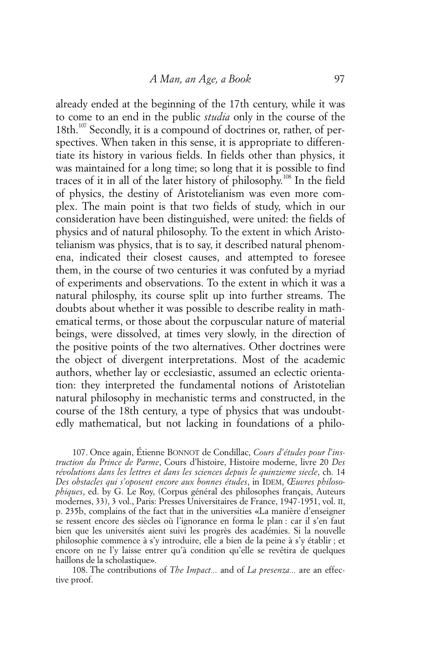already ended at the beginning of the 17th century, while it was to come to an end in the public *studia* only in the course of the 18th.<sup>107</sup> Secondly, it is a compound of doctrines or, rather, of perspectives. When taken in this sense, it is appropriate to differentiate its history in various fields. In fields other than physics, it was maintained for a long time; so long that it is possible to find traces of it in all of the later history of philosophy.<sup>108</sup> In the field of physics, the destiny of Aristotelianism was even more complex. The main point is that two fields of study, which in our consideration have been distinguished, were united: the fields of physics and of natural philosophy. To the extent in which Aristotelianism was physics, that is to say, it described natural phenomena, indicated their closest causes, and attempted to foresee them, in the course of two centuries it was confuted by a myriad of experiments and observations. To the extent in which it was a natural philosphy, its course split up into further streams. The doubts about whether it was possible to describe reality in mathematical terms, or those about the corpuscular nature of material beings, were dissolved, at times very slowly, in the direction of the positive points of the two alternatives. Other doctrines were the object of divergent interpretations. Most of the academic authors, whether lay or ecclesiastic, assumed an eclectic orientation: they interpreted the fundamental notions of Aristotelian natural philosophy in mechanistic terms and constructed, in the course of the 18th century, a type of physics that was undoubtedly mathematical, but not lacking in foundations of a philo-

107. Once again, Étienne BONNOT de Condillac, *Cours d'études pour l'instruction du Prince de Parme*, Cours d'histoire, Histoire moderne, livre 20 *Des révolutions dans les lettres et dans les sciences depuis le quinzieme siecle*, ch. 14 *Des obstacles qui s'oposent encore aux bonnes études*, in IDEM, *Œuvres philosophiques*, ed. by G. Le Roy, (Corpus général des philosophes français, Auteurs modernes, 33), 3 vol., Paris: Presses Universitaires de France, 1947-1951, vol. II, p. 235b, complains of the fact that in the universities «La manière d'enseigner se ressent encore des siècles où l'ignorance en forma le plan : car il s'en faut bien que les universités aient suivi les progrès des académies. Si la nouvelle philosophie commence à s'y introduire, elle a bien de la peine à s'y établir ; et encore on ne l'y laisse entrer qu'à condition qu'elle se revêtira de quelques haillons de la scholastique».

108. The contributions of *The Impact...* and of *La presenza...* are an effective proof.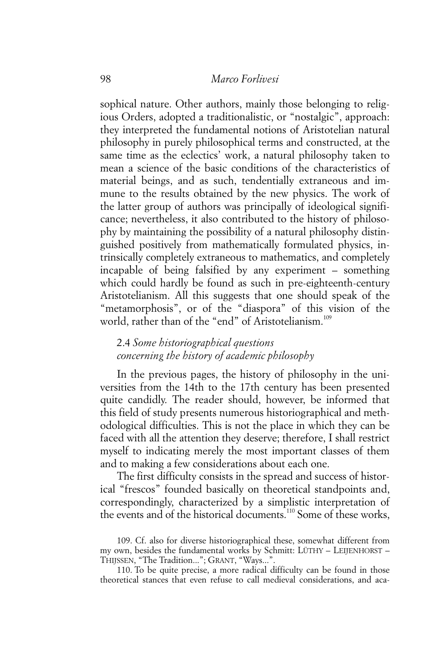sophical nature. Other authors, mainly those belonging to religious Orders, adopted a traditionalistic, or "nostalgic", approach: they interpreted the fundamental notions of Aristotelian natural philosophy in purely philosophical terms and constructed, at the same time as the eclectics' work, a natural philosophy taken to mean a science of the basic conditions of the characteristics of material beings, and as such, tendentially extraneous and immune to the results obtained by the new physics. The work of the latter group of authors was principally of ideological significance; nevertheless, it also contributed to the history of philosophy by maintaining the possibility of a natural philosophy distinguished positively from mathematically formulated physics, intrinsically completely extraneous to mathematics, and completely incapable of being falsified by any experiment – something which could hardly be found as such in pre-eighteenth-century Aristotelianism. All this suggests that one should speak of the "metamorphosis", or of the "diaspora" of this vision of the world, rather than of the "end" of Aristotelianism.<sup>109</sup>

## 2.4 *Some historiographical questions concerning the history of academic philosophy*

In the previous pages, the history of philosophy in the universities from the 14th to the 17th century has been presented quite candidly. The reader should, however, be informed that this field of study presents numerous historiographical and methodological difficulties. This is not the place in which they can be faced with all the attention they deserve; therefore, I shall restrict myself to indicating merely the most important classes of them and to making a few considerations about each one.

The first difficulty consists in the spread and success of historical "frescos" founded basically on theoretical standpoints and, correspondingly, characterized by a simplistic interpretation of the events and of the historical documents.<sup>110</sup> Some of these works,

110. To be quite precise, a more radical difficulty can be found in those theoretical stances that even refuse to call medieval considerations, and aca-

<sup>109.</sup> Cf. also for diverse historiographical these, somewhat different from my own, besides the fundamental works by Schmitt: LÜTHY – LEIJENHORST – THIJSSEN, "The Tradition..."; GRANT, "Ways...".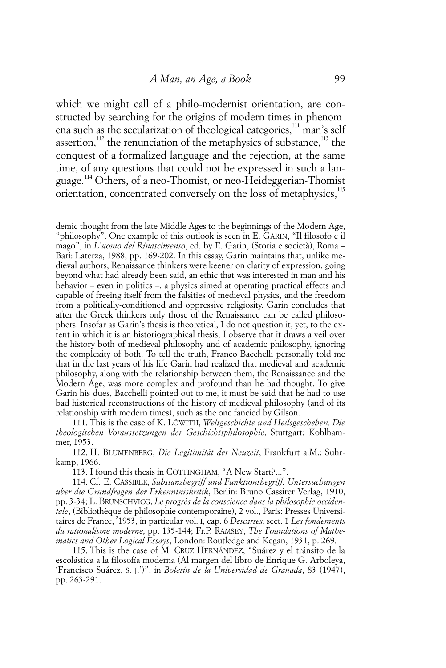which we might call of a philo-modernist orientation, are constructed by searching for the origins of modern times in phenomena such as the secularization of theological categories,<sup>111</sup> man's self assertion,<sup>112</sup> the renunciation of the metaphysics of substance,<sup>113</sup> the conquest of a formalized language and the rejection, at the same time, of any questions that could not be expressed in such a language.114 Others, of a neo-Thomist, or neo-Heideggerian-Thomist orientation, concentrated conversely on the loss of metaphysics,<sup>115</sup>

demic thought from the late Middle Ages to the beginnings of the Modern Age, "philosophy". One example of this outlook is seen in E. GARIN, "Il filosofo e il mago", in *L'uomo del Rinascimento*, ed. by E. Garin, (Storia e società), Roma – Bari: Laterza, 1988, pp. 169-202. In this essay, Garin maintains that, unlike medieval authors, Renaissance thinkers were keener on clarity of expression, going beyond what had already been said, an ethic that was interested in man and his behavior – even in politics –, a physics aimed at operating practical effects and capable of freeing itself from the falsities of medieval physics, and the freedom from a politically-conditioned and oppressive religiosity. Garin concludes that after the Greek thinkers only those of the Renaissance can be called philosophers. Insofar as Garin's thesis is theoretical, I do not question it, yet, to the extent in which it is an historiographical thesis, I observe that it draws a veil over the history both of medieval philosophy and of academic philosophy, ignoring the complexity of both. To tell the truth, Franco Bacchelli personally told me that in the last years of his life Garin had realized that medieval and academic philosophy, along with the relationship between them, the Renaissance and the Modern Age, was more complex and profound than he had thought. To give Garin his dues, Bacchelli pointed out to me, it must be said that he had to use bad historical reconstructions of the history of medieval philosophy (and of its relationship with modern times), such as the one fancied by Gilson.

111. This is the case of K. LÖWITH, *Weltgeschichte und Heilsgeschehen. Die theologischen Voraussetzungen der Geschichtsphilosophie*, Stuttgart: Kohlhammer, 1953.

112. H. BLUMENBERG, *Die Legitimität der Neuzeit*, Frankfurt a.M.: Suhrkamp, 1966.

113. I found this thesis in COTTINGHAM, "A New Start?...".

114. Cf. E. CASSIRER, *Substanzbegriff und Funktionsbegriff. Untersuchungen über die Grundfragen der Erkenntniskritik*, Berlin: Bruno Cassirer Verlag, 1910, pp. 3-34; L. BRUNSCHVICG, *Le progrès de la conscience dans la philosophie occidentale*, (Bibliothèque de philosophie contemporaine), 2 vol., Paris: Presses Universitaires de France, 2 1953, in particular vol. I, cap. 6 *Descartes*, sect. 1 *Les fondements du rationalisme moderne*, pp. 135-144; Fr.P. RAMSEY, *The Foundations of Mathematics and Other Logical Essays*, London: Routledge and Kegan, 1931, p. 269.

115. This is the case of M. CRUZ HERNÁNDEZ, "Suárez y el tránsito de la escolástica a la filosofía moderna (Al margen del libro de Enrique G. Arboleya, 'Francisco Suárez, S. J.')", in *Boletín de la Universidad de Granada*, 83 (1947), pp. 263-291.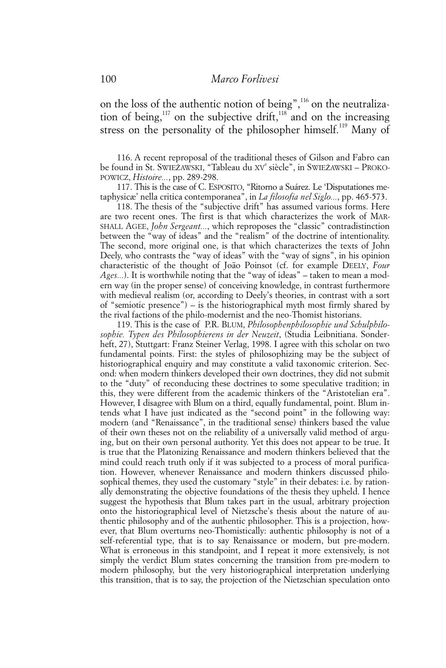on the loss of the authentic notion of being",116 on the neutralization of being,<sup>117</sup> on the subjective drift,<sup>118</sup> and on the increasing stress on the personality of the philosopher himself.<sup>119</sup> Many of

116. A recent reproposal of the traditional theses of Gilson and Fabro can be found in St. SWIEŻAWSKI, "Tableau du XV<sup>e</sup> siècle", in SWIEŻAWSKI – PROKO-POWICZ, *Histoire...*, pp. 289-298.

117. This is the case of C. ESPOSITO, "Ritorno a Suárez. Le 'Disputationes metaphysicæ' nella critica contemporanea", in *La filosofia nel Siglo...*, pp. 465-573.

118. The thesis of the "subjective drift" has assumed various forms. Here are two recent ones. The first is that which characterizes the work of MAR-SHALL AGEE, *John Sergeant...*, which reproposes the "classic" contradistinction between the "way of ideas" and the "realism" of the doctrine of intentionality. The second, more original one, is that which characterizes the texts of John Deely, who contrasts the "way of ideas" with the "way of signs", in his opinion characteristic of the thought of João Poinsot (cf. for example DEELY, *Four Ages...*). It is worthwhile noting that the "way of ideas" – taken to mean a modern way (in the proper sense) of conceiving knowledge, in contrast furthermore with medieval realism (or, according to Deely's theories, in contrast with a sort of "semiotic presence") – is the historiographical myth most firmly shared by the rival factions of the philo-modernist and the neo-Thomist historians.

119. This is the case of P.R. BLUM, *Philosophenphilosophie und Schulphilosophie. Typen des Philosophierens in der Neuzeit*, (Studia Leibnitiana. Sonderheft, 27), Stuttgart: Franz Steiner Verlag, 1998. I agree with this scholar on two fundamental points. First: the styles of philosophizing may be the subject of historiographical enquiry and may constitute a valid taxonomic criterion. Second: when modern thinkers developed their own doctrines, they did not submit to the "duty" of reconducing these doctrines to some speculative tradition; in this, they were different from the academic thinkers of the "Aristotelian era". However, I disagree with Blum on a third, equally fundamental, point. Blum intends what I have just indicated as the "second point" in the following way: modern (and "Renaissance", in the traditional sense) thinkers based the value of their own theses not on the reliability of a universally valid method of arguing, but on their own personal authority. Yet this does not appear to be true. It is true that the Platonizing Renaissance and modern thinkers believed that the mind could reach truth only if it was subjected to a process of moral purification. However, whenever Renaissance and modern thinkers discussed philosophical themes, they used the customary "style" in their debates: i.e. by rationally demonstrating the objective foundations of the thesis they upheld. I hence suggest the hypothesis that Blum takes part in the usual, arbitrary projection onto the historiographical level of Nietzsche's thesis about the nature of authentic philosophy and of the authentic philosopher. This is a projection, however, that Blum overturns neo-Thomistically: authentic philosophy is not of a self-referential type, that is to say Renaissance or modern, but pre-modern. What is erroneous in this standpoint, and I repeat it more extensively, is not simply the verdict Blum states concerning the transition from pre-modern to modern philosophy, but the very historiographical interpretation underlying this transition, that is to say, the projection of the Nietzschian speculation onto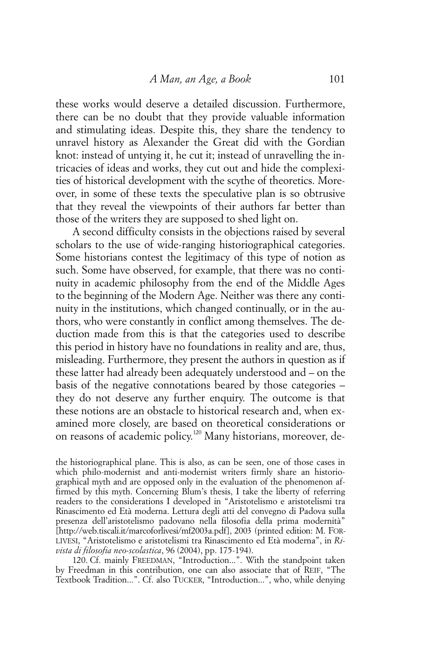these works would deserve a detailed discussion. Furthermore, there can be no doubt that they provide valuable information and stimulating ideas. Despite this, they share the tendency to unravel history as Alexander the Great did with the Gordian knot: instead of untying it, he cut it; instead of unravelling the intricacies of ideas and works, they cut out and hide the complexities of historical development with the scythe of theoretics. Moreover, in some of these texts the speculative plan is so obtrusive that they reveal the viewpoints of their authors far better than those of the writers they are supposed to shed light on.

A second difficulty consists in the objections raised by several scholars to the use of wide-ranging historiographical categories. Some historians contest the legitimacy of this type of notion as such. Some have observed, for example, that there was no continuity in academic philosophy from the end of the Middle Ages to the beginning of the Modern Age. Neither was there any continuity in the institutions, which changed continually, or in the authors, who were constantly in conflict among themselves. The deduction made from this is that the categories used to describe this period in history have no foundations in reality and are, thus, misleading. Furthermore, they present the authors in question as if these latter had already been adequately understood and – on the basis of the negative connotations beared by those categories – they do not deserve any further enquiry. The outcome is that these notions are an obstacle to historical research and, when examined more closely, are based on theoretical considerations or on reasons of academic policy.<sup>120</sup> Many historians, moreover, de-

the historiographical plane. This is also, as can be seen, one of those cases in which philo-modernist and anti-modernist writers firmly share an historiographical myth and are opposed only in the evaluation of the phenomenon affirmed by this myth. Concerning Blum's thesis, I take the liberty of referring readers to the considerations I developed in "Aristotelismo e aristotelismi tra Rinascimento ed Età moderna. Lettura degli atti del convegno di Padova sulla presenza dell'aristotelismo padovano nella filosofia della prima modernità" [http://web.tiscali.it/marcoforlivesi/mf2003a.pdf], 2003 (printed edition: M. FOR-LIVESI, "Aristotelismo e aristotelismi tra Rinascimento ed Età moderna", in *Rivista di filosofia neo-scolastica*, 96 (2004), pp. 175-194).

120. Cf. mainly FREEDMAN, "Introduction...". With the standpoint taken by Freedman in this contribution, one can also associate that of REIF, "The Textbook Tradition...". Cf. also TUCKER, "Introduction...", who, while denying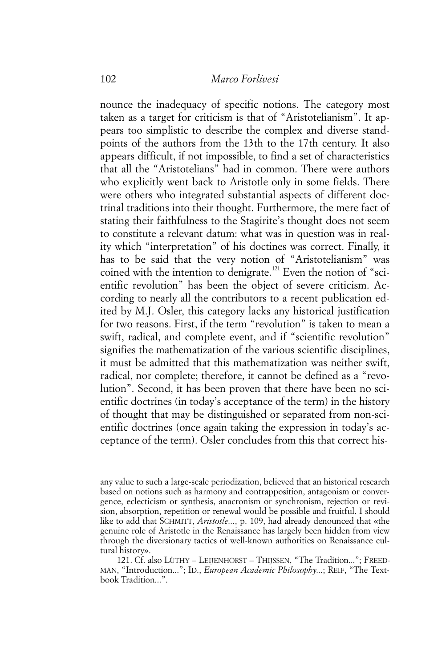nounce the inadequacy of specific notions. The category most taken as a target for criticism is that of "Aristotelianism". It appears too simplistic to describe the complex and diverse standpoints of the authors from the 13th to the 17th century. It also appears difficult, if not impossible, to find a set of characteristics that all the "Aristotelians" had in common. There were authors who explicitly went back to Aristotle only in some fields. There were others who integrated substantial aspects of different doctrinal traditions into their thought. Furthermore, the mere fact of stating their faithfulness to the Stagirite's thought does not seem to constitute a relevant datum: what was in question was in reality which "interpretation" of his doctines was correct. Finally, it has to be said that the very notion of "Aristotelianism" was coined with the intention to denigrate.<sup>121</sup> Even the notion of "scientific revolution" has been the object of severe criticism. According to nearly all the contributors to a recent publication edited by M.J. Osler, this category lacks any historical justification for two reasons. First, if the term "revolution" is taken to mean a swift, radical, and complete event, and if "scientific revolution" signifies the mathematization of the various scientific disciplines, it must be admitted that this mathematization was neither swift, radical, nor complete; therefore, it cannot be defined as a "revolution". Second, it has been proven that there have been no scientific doctrines (in today's acceptance of the term) in the history of thought that may be distinguished or separated from non-scientific doctrines (once again taking the expression in today's acceptance of the term). Osler concludes from this that correct his-

any value to such a large-scale periodization, believed that an historical research based on notions such as harmony and contrapposition, antagonism or convergence, eclecticism or synthesis, anacronism or synchronism, rejection or revision, absorption, repetition or renewal would be possible and fruitful. I should like to add that SCHMITT, *Aristotle...*, p. 109, had already denounced that «the genuine role of Aristotle in the Renaissance has largely been hidden from view through the diversionary tactics of well-known authorities on Renaissance cultural history».

<sup>121.</sup> Cf. also LÜTHY – LEIJENHORST – THIJSSEN, "The Tradition..."; FREED-MAN, "Introduction..."; ID., *European Academic Philosophy...*; REIF, "The Textbook Tradition...".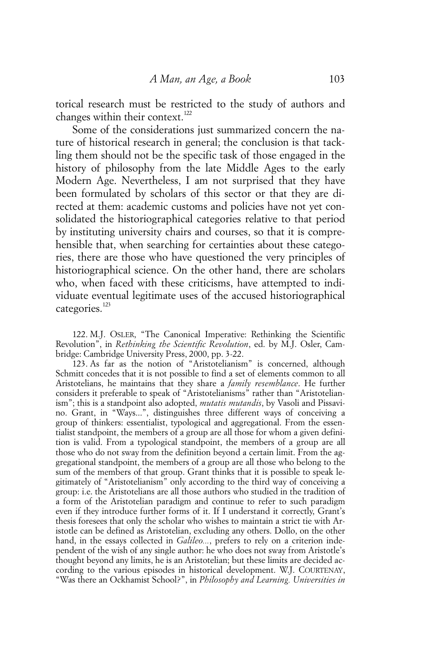torical research must be restricted to the study of authors and changes within their context.<sup>122</sup>

Some of the considerations just summarized concern the nature of historical research in general; the conclusion is that tackling them should not be the specific task of those engaged in the history of philosophy from the late Middle Ages to the early Modern Age. Nevertheless, I am not surprised that they have been formulated by scholars of this sector or that they are directed at them: academic customs and policies have not yet consolidated the historiographical categories relative to that period by instituting university chairs and courses, so that it is comprehensible that, when searching for certainties about these categories, there are those who have questioned the very principles of historiographical science. On the other hand, there are scholars who, when faced with these criticisms, have attempted to individuate eventual legitimate uses of the accused historiographical categories.<sup>123</sup>

122. M.J. OSLER, "The Canonical Imperative: Rethinking the Scientific Revolution", in *Rethinking the Scientific Revolution*, ed. by M.J. Osler, Cambridge: Cambridge University Press, 2000, pp. 3-22.

123. As far as the notion of "Aristotelianism" is concerned, although Schmitt concedes that it is not possible to find a set of elements common to all Aristotelians, he maintains that they share a *family resemblance*. He further considers it preferable to speak of "Aristotelianisms" rather than "Aristotelianism"; this is a standpoint also adopted, *mutatis mutandis*, by Vasoli and Pissavino. Grant, in "Ways...", distinguishes three different ways of conceiving a group of thinkers: essentialist, typological and aggregational. From the essentialist standpoint, the members of a group are all those for whom a given definition is valid. From a typological standpoint, the members of a group are all those who do not sway from the definition beyond a certain limit. From the aggregational standpoint, the members of a group are all those who belong to the sum of the members of that group. Grant thinks that it is possible to speak legitimately of "Aristotelianism" only according to the third way of conceiving a group: i.e. the Aristotelians are all those authors who studied in the tradition of a form of the Aristotelian paradigm and continue to refer to such paradigm even if they introduce further forms of it. If I understand it correctly, Grant's thesis foresees that only the scholar who wishes to maintain a strict tie with Aristotle can be defined as Aristotelian, excluding any others. Dollo, on the other hand, in the essays collected in *Galileo...*, prefers to rely on a criterion independent of the wish of any single author: he who does not sway from Aristotle's thought beyond any limits, he is an Aristotelian; but these limits are decided according to the various episodes in historical development. W.J. COURTENAY, "Was there an Ockhamist School?", in *Philosophy and Learning. Universities in*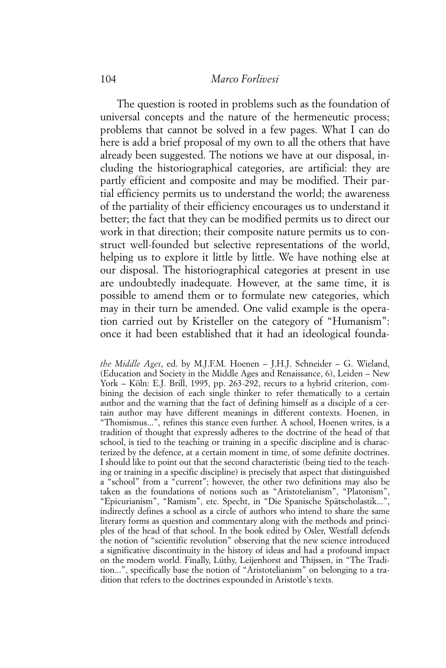## 104 *Marco Forlivesi*

The question is rooted in problems such as the foundation of universal concepts and the nature of the hermeneutic process; problems that cannot be solved in a few pages. What I can do here is add a brief proposal of my own to all the others that have already been suggested. The notions we have at our disposal, including the historiographical categories, are artificial: they are partly efficient and composite and may be modified. Their partial efficiency permits us to understand the world; the awareness of the partiality of their efficiency encourages us to understand it better; the fact that they can be modified permits us to direct our work in that direction; their composite nature permits us to construct well-founded but selective representations of the world, helping us to explore it little by little. We have nothing else at our disposal. The historiographical categories at present in use are undoubtedly inadequate. However, at the same time, it is possible to amend them or to formulate new categories, which may in their turn be amended. One valid example is the operation carried out by Kristeller on the category of "Humanism": once it had been established that it had an ideological founda-

*the Middle Ages*, ed. by M.J.F.M. Hoenen – J.H.J. Schneider – G. Wieland, (Education and Society in the Middle Ages and Renaissance, 6), Leiden – New York – Köln: E.J. Brill, 1995, pp. 263-292, recurs to a hybrid criterion, combining the decision of each single thinker to refer thematically to a certain author and the warning that the fact of defining himself as a disciple of a certain author may have different meanings in different contexts. Hoenen, in "Thomismus...", refines this stance even further. A school, Hoenen writes, is a tradition of thought that expressly adheres to the doctrine of the head of that school, is tied to the teaching or training in a specific discipline and is characterized by the defence, at a certain moment in time, of some definite doctrines. I should like to point out that the second characteristic (being tied to the teaching or training in a specific discipline) is precisely that aspect that distinguished a "school" from a "current"; however, the other two definitions may also be taken as the foundations of notions such as "Aristotelianism", "Platonism", "Epicurianism", "Ramism", etc. Specht, in "Die Spanische Spätscholastik...", indirectly defines a school as a circle of authors who intend to share the same literary forms as question and commentary along with the methods and principles of the head of that school. In the book edited by Osler, Westfall defends the notion of "scientific revolution" observing that the new science introduced a significative discontinuity in the history of ideas and had a profound impact on the modern world. Finally, Lüthy, Leijenhorst and Thijssen, in "The Tradition...", specifically base the notion of "Aristotelianism" on belonging to a tradition that refers to the doctrines expounded in Aristotle's texts.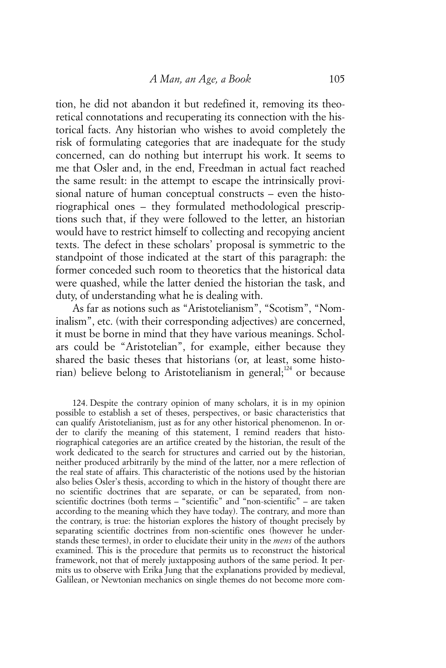tion, he did not abandon it but redefined it, removing its theoretical connotations and recuperating its connection with the historical facts. Any historian who wishes to avoid completely the risk of formulating categories that are inadequate for the study concerned, can do nothing but interrupt his work. It seems to me that Osler and, in the end, Freedman in actual fact reached the same result: in the attempt to escape the intrinsically provisional nature of human conceptual constructs – even the historiographical ones – they formulated methodological prescriptions such that, if they were followed to the letter, an historian would have to restrict himself to collecting and recopying ancient texts. The defect in these scholars' proposal is symmetric to the standpoint of those indicated at the start of this paragraph: the former conceded such room to theoretics that the historical data were quashed, while the latter denied the historian the task, and duty, of understanding what he is dealing with.

As far as notions such as "Aristotelianism", "Scotism", "Nominalism", etc. (with their corresponding adjectives) are concerned, it must be borne in mind that they have various meanings. Scholars could be "Aristotelian", for example, either because they shared the basic theses that historians (or, at least, some historian) believe belong to Aristotelianism in general;<sup>124</sup> or because

<sup>124.</sup> Despite the contrary opinion of many scholars, it is in my opinion possible to establish a set of theses, perspectives, or basic characteristics that can qualify Aristotelianism, just as for any other historical phenomenon. In order to clarify the meaning of this statement, I remind readers that historiographical categories are an artifice created by the historian, the result of the work dedicated to the search for structures and carried out by the historian, neither produced arbitrarily by the mind of the latter, nor a mere reflection of the real state of affairs. This characteristic of the notions used by the historian also belies Osler's thesis, according to which in the history of thought there are no scientific doctrines that are separate, or can be separated, from nonscientific doctrines (both terms – "scientific" and "non-scientific" – are taken according to the meaning which they have today). The contrary, and more than the contrary, is true: the historian explores the history of thought precisely by separating scientific doctrines from non-scientific ones (however he understands these termes), in order to elucidate their unity in the *mens* of the authors examined. This is the procedure that permits us to reconstruct the historical framework, not that of merely juxtapposing authors of the same period. It permits us to observe with Erika Jung that the explanations provided by medieval, Galilean, or Newtonian mechanics on single themes do not become more com-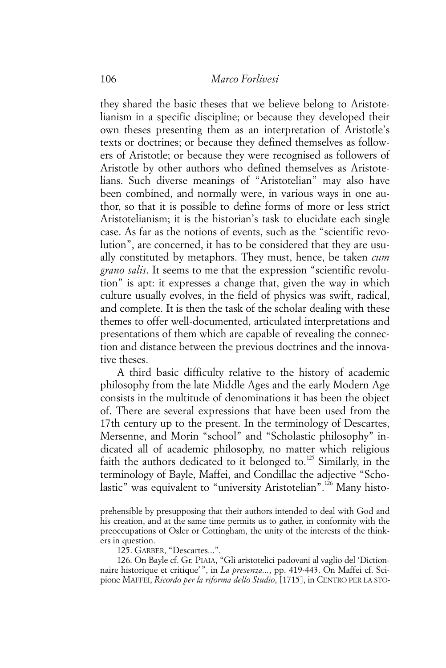they shared the basic theses that we believe belong to Aristotelianism in a specific discipline; or because they developed their own theses presenting them as an interpretation of Aristotle's texts or doctrines; or because they defined themselves as followers of Aristotle; or because they were recognised as followers of Aristotle by other authors who defined themselves as Aristotelians. Such diverse meanings of "Aristotelian" may also have been combined, and normally were, in various ways in one author, so that it is possible to define forms of more or less strict Aristotelianism; it is the historian's task to elucidate each single case. As far as the notions of events, such as the "scientific revolution", are concerned, it has to be considered that they are usually constituted by metaphors. They must, hence, be taken *cum grano salis*. It seems to me that the expression "scientific revolution" is apt: it expresses a change that, given the way in which culture usually evolves, in the field of physics was swift, radical, and complete. It is then the task of the scholar dealing with these themes to offer well-documented, articulated interpretations and presentations of them which are capable of revealing the connection and distance between the previous doctrines and the innovative theses.

A third basic difficulty relative to the history of academic philosophy from the late Middle Ages and the early Modern Age consists in the multitude of denominations it has been the object of. There are several expressions that have been used from the 17th century up to the present. In the terminology of Descartes, Mersenne, and Morin "school" and "Scholastic philosophy" indicated all of academic philosophy, no matter which religious faith the authors dedicated to it belonged to.<sup>125</sup> Similarly, in the terminology of Bayle, Maffei, and Condillac the adjective "Scholastic" was equivalent to "university Aristotelian".<sup>126</sup> Many histo-

prehensible by presupposing that their authors intended to deal with God and his creation, and at the same time permits us to gather, in conformity with the preoccupations of Osler or Cottingham, the unity of the interests of the thinkers in question.

125. GARBER, "Descartes...".

126. On Bayle cf. Gr. PIAIA, "Gli aristotelici padovani al vaglio del 'Dictionnaire historique et critique'", in *La presenza...*, pp. 419-443. On Maffei cf. Scipione MAFFEI, *Ricordo per la riforma dello Studio*, [1715], in CENTRO PER LA STO-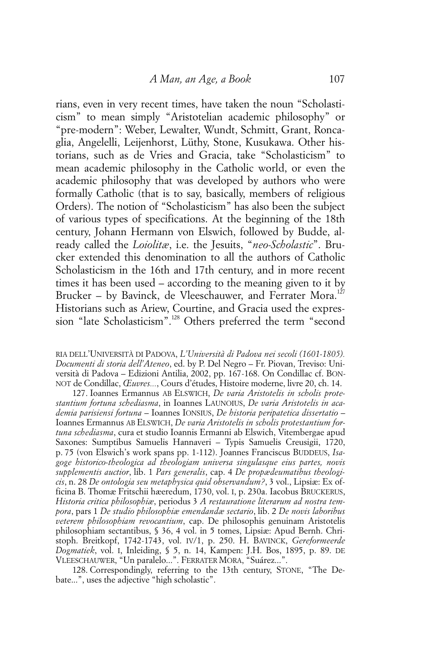rians, even in very recent times, have taken the noun "Scholasticism" to mean simply "Aristotelian academic philosophy" or "pre-modern": Weber, Lewalter, Wundt, Schmitt, Grant, Roncaglia, Angelelli, Leijenhorst, Lüthy, Stone, Kusukawa. Other historians, such as de Vries and Gracia, take "Scholasticism" to mean academic philosophy in the Catholic world, or even the academic philosophy that was developed by authors who were formally Catholic (that is to say, basically, members of religious Orders). The notion of "Scholasticism" has also been the subject of various types of specifications. At the beginning of the 18th century, Johann Hermann von Elswich, followed by Budde, already called the *Loiolitæ*, i.e. the Jesuits, "*neo-Scholastic*". Brucker extended this denomination to all the authors of Catholic Scholasticism in the 16th and 17th century, and in more recent times it has been used – according to the meaning given to it by Brucker - by Bavinck, de Vleeschauwer, and Ferrater Mora.<sup>127</sup> Historians such as Ariew, Courtine, and Gracia used the expression "late Scholasticism".<sup>128</sup> Others preferred the term "second

RIA DELL'UNIVERSITÀ DI PADOVA, *L'Università di Padova nei secoli (1601-1805). Documenti di storia dell'Ateneo*, ed. by P. Del Negro – Fr. Piovan, Treviso: Università di Padova – Edizioni Antilia, 2002, pp. 167-168. On Condillac cf. BON-NOT de Condillac, *Œuvres...*, Cours d'études, Histoire moderne, livre 20, ch. 14.

127. Ioannes Ermannus AB ELSWICH, *De varia Aristotelis in scholis protestantium fortuna schediasma*, in Ioannes LAUNOIUS, *De varia Aristotelis in academia parisiensi fortuna* – Ioannes IONSIUS, *De historia peripatetica dissertatio* – Ioannes Ermannus AB ELSWICH, *De varia Aristotelis in scholis protestantium fortuna schediasma*, cura et studio Ioannis Ermanni ab Elswich, Vitembergae apud Saxones: Sumptibus Samuelis Hannaveri – Typis Samuelis Creusigii, 1720, p. 75 (von Elswich's work spans pp. 1-112). Joannes Franciscus BUDDEUS, *Isagoge historico-theologica ad theologiam universa singulasque eius partes, novis supplementis auctior*, lib. 1 *Pars generalis*, cap. 4 *De propædeumatibus theologicis*, n. 28 *De ontologia seu metaphysica quid observandum?*, 3 vol., Lipsiæ: Ex officina B. Thomæ Fritschii hæeredum, 1730, vol. I, p. 230a. Iacobus BRUCKERUS, *Historia critica philosophiæ*, periodus 3 *A restauratione literarum ad nostra tempora*, pars 1 *De studio philosophiæ emendandæ sectario*, lib. 2 *De novis laboribus veterem philosophiam revocantium*, cap. De philosophis genuinam Aristotelis philosophiam sectantibus, § 36, 4 vol. in 5 tomes, Lipsiæ: Apud Bernh. Christoph. Breitkopf, 1742-1743, vol. IV/1, p. 250. H. BAVINCK, *Gereformeerde Dogmatiek*, vol. I, Inleiding, § 5, n. 14, Kampen: J.H. Bos, 1895, p. 89. DE VLEESCHAUWER, "Un paralelo...". FERRATER MORA, "Suárez...".

128. Correspondingly, referring to the 13th century, STONE, "The Debate...", uses the adjective "high scholastic".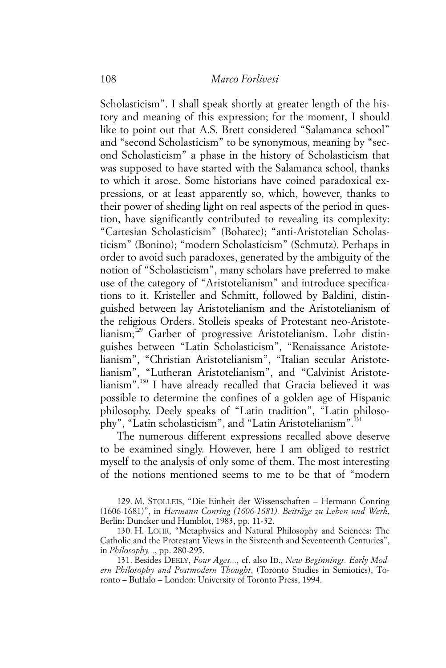Scholasticism". I shall speak shortly at greater length of the history and meaning of this expression; for the moment, I should like to point out that A.S. Brett considered "Salamanca school" and "second Scholasticism" to be synonymous, meaning by "second Scholasticism" a phase in the history of Scholasticism that was supposed to have started with the Salamanca school, thanks to which it arose. Some historians have coined paradoxical expressions, or at least apparently so, which, however, thanks to their power of sheding light on real aspects of the period in question, have significantly contributed to revealing its complexity: "Cartesian Scholasticism" (Bohatec); "anti-Aristotelian Scholasticism" (Bonino); "modern Scholasticism" (Schmutz). Perhaps in order to avoid such paradoxes, generated by the ambiguity of the notion of "Scholasticism", many scholars have preferred to make use of the category of "Aristotelianism" and introduce specifications to it. Kristeller and Schmitt, followed by Baldini, distinguished between lay Aristotelianism and the Aristotelianism of the religious Orders. Stolleis speaks of Protestant neo-Aristotelianism;129 Garber of progressive Aristotelianism. Lohr distinguishes between "Latin Scholasticism", "Renaissance Aristotelianism", "Christian Aristotelianism", "Italian secular Aristotelianism", "Lutheran Aristotelianism", and "Calvinist Aristotelianism".130 I have already recalled that Gracia believed it was possible to determine the confines of a golden age of Hispanic philosophy. Deely speaks of "Latin tradition", "Latin philosophy", "Latin scholasticism", and "Latin Aristotelianism".<sup>131</sup>

The numerous different expressions recalled above deserve to be examined singly. However, here I am obliged to restrict myself to the analysis of only some of them. The most interesting of the notions mentioned seems to me to be that of "modern

129. M. STOLLEIS, "Die Einheit der Wissenschaften – Hermann Conring (1606-1681)", in *Hermann Conring (1606-1681). Beiträge zu Leben und Werk*, Berlin: Duncker und Humblot, 1983, pp. 11-32.

130. H. LOHR, "Metaphysics and Natural Philosophy and Sciences: The Catholic and the Protestant Views in the Sixteenth and Seventeenth Centuries", in *Philosophy...*, pp. 280-295.

131. Besides DEELY, *Four Ages...*, cf. also ID., *New Beginnings. Early Modern Philosophy and Postmodern Thought*, (Toronto Studies in Semiotics), Toronto – Buffalo – London: University of Toronto Press, 1994.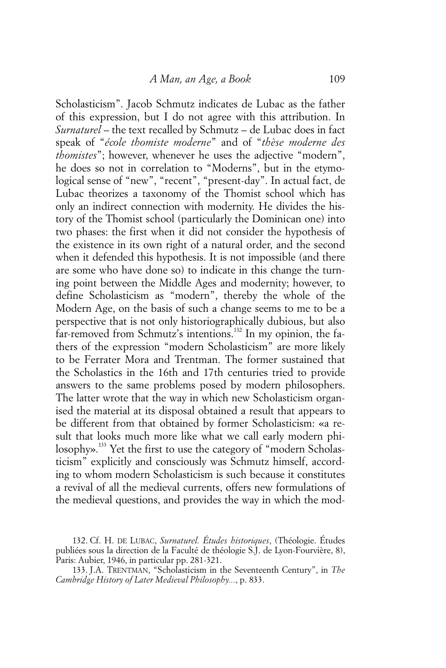Scholasticism". Jacob Schmutz indicates de Lubac as the father of this expression, but I do not agree with this attribution. In *Surnaturel* – the text recalled by Schmutz – de Lubac does in fact speak of "*école thomiste moderne*" and of "*thèse moderne des thomistes*"; however, whenever he uses the adjective "modern", he does so not in correlation to "Moderns", but in the etymological sense of "new", "recent", "present-day". In actual fact, de Lubac theorizes a taxonomy of the Thomist school which has only an indirect connection with modernity. He divides the history of the Thomist school (particularly the Dominican one) into two phases: the first when it did not consider the hypothesis of the existence in its own right of a natural order, and the second when it defended this hypothesis. It is not impossible (and there are some who have done so) to indicate in this change the turning point between the Middle Ages and modernity; however, to define Scholasticism as "modern", thereby the whole of the Modern Age, on the basis of such a change seems to me to be a perspective that is not only historiographically dubious, but also far-removed from Schmutz's intentions.<sup>132</sup> In my opinion, the fathers of the expression "modern Scholasticism" are more likely to be Ferrater Mora and Trentman. The former sustained that the Scholastics in the 16th and 17th centuries tried to provide answers to the same problems posed by modern philosophers. The latter wrote that the way in which new Scholasticism organised the material at its disposal obtained a result that appears to be different from that obtained by former Scholasticism: «a result that looks much more like what we call early modern philosophy».<sup>133</sup> Yet the first to use the category of "modern Scholasticism" explicitly and consciously was Schmutz himself, according to whom modern Scholasticism is such because it constitutes a revival of all the medieval currents, offers new formulations of the medieval questions, and provides the way in which the mod-

<sup>132.</sup> Cf. H. DE LUBAC, *Surnaturel. Études historiques*, (Théologie. Études publiées sous la direction de la Faculté de théologie S.J. de Lyon-Fourvière, 8), Paris: Aubier, 1946, in particular pp. 281-321.

<sup>133.</sup> J.A. TRENTMAN, "Scholasticism in the Seventeenth Century", in *The Cambridge History of Later Medieval Philosophy...*, p. 833.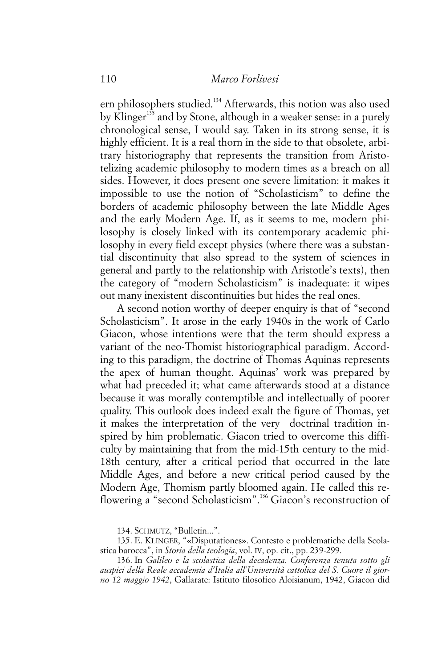ern philosophers studied.<sup>134</sup> Afterwards, this notion was also used by Klinger<sup>135</sup> and by Stone, although in a weaker sense: in a purely chronological sense, I would say. Taken in its strong sense, it is highly efficient. It is a real thorn in the side to that obsolete, arbitrary historiography that represents the transition from Aristotelizing academic philosophy to modern times as a breach on all sides. However, it does present one severe limitation: it makes it impossible to use the notion of "Scholasticism" to define the borders of academic philosophy between the late Middle Ages and the early Modern Age. If, as it seems to me, modern philosophy is closely linked with its contemporary academic philosophy in every field except physics (where there was a substantial discontinuity that also spread to the system of sciences in general and partly to the relationship with Aristotle's texts), then the category of "modern Scholasticism" is inadequate: it wipes out many inexistent discontinuities but hides the real ones.

A second notion worthy of deeper enquiry is that of "second Scholasticism". It arose in the early 1940s in the work of Carlo Giacon, whose intentions were that the term should express a variant of the neo-Thomist historiographical paradigm. According to this paradigm, the doctrine of Thomas Aquinas represents the apex of human thought. Aquinas' work was prepared by what had preceded it; what came afterwards stood at a distance because it was morally contemptible and intellectually of poorer quality. This outlook does indeed exalt the figure of Thomas, yet it makes the interpretation of the very doctrinal tradition inspired by him problematic. Giacon tried to overcome this difficulty by maintaining that from the mid-15th century to the mid-18th century, after a critical period that occurred in the late Middle Ages, and before a new critical period caused by the Modern Age, Thomism partly bloomed again. He called this reflowering a "second Scholasticism".<sup>136</sup> Giacon's reconstruction of

134. SCHMUTZ, "Bulletin...".

136. In *Galileo e la scolastica della decadenza. Conferenza tenuta sotto gli auspici della Reale accademia d'Italia all'Università cattolica del S. Cuore il giorno 12 maggio 1942*, Gallarate: Istituto filosofico Aloisianum, 1942, Giacon did

<sup>135.</sup> E. KLINGER, "«Disputationes». Contesto e problematiche della Scolastica barocca", in *Storia della teologia*, vol. IV, op. cit., pp. 239-299.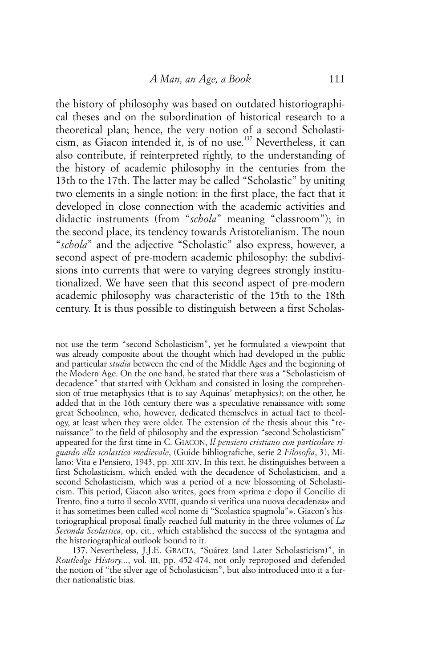the history of philosophy was based on outdated historiographical theses and on the subordination of historical research to a theoretical plan; hence, the very notion of a second Scholasticism, as Giacon intended it, is of no use.137 Nevertheless, it can also contribute, if reinterpreted rightly, to the understanding of the history of academic philosophy in the centuries from the 13th to the 17th. The latter may be called "Scholastic" by uniting two elements in a single notion: in the first place, the fact that it developed in close connection with the academic activities and didactic instruments (from "*schola*" meaning "classroom"); in the second place, its tendency towards Aristotelianism. The noun "*schola*" and the adjective "Scholastic" also express, however, a second aspect of pre-modern academic philosophy: the subdivisions into currents that were to varying degrees strongly institutionalized. We have seen that this second aspect of pre-modern academic philosophy was characteristic of the 15th to the 18th century. It is thus possible to distinguish between a first Scholas-

not use the term "second Scholasticism", yet he formulated a viewpoint that was already composite about the thought which had developed in the public and particular *studia* between the end of the Middle Ages and the beginning of the Modern Age. On the one hand, he stated that there was a "Scholasticism of decadence" that started with Ockham and consisted in losing the comprehension of true metaphysics (that is to say Aquinas' metaphysics); on the other, he added that in the 16th century there was a speculative renaissance with some great Schoolmen, who, however, dedicated themselves in actual fact to theology, at least when they were older. The extension of the thesis about this "renaissance" to the field of philosophy and the expression "second Scholasticism" appeared for the first time in C. GIACON, *Il pensiero cristiano con particolare riguardo alla scolastica medievale*, (Guide bibliografiche, serie 2 *Filosofia*, 3), Milano: Vita e Pensiero, 1943, pp. XIII-XIV. In this text, he distinguishes between a first Scholasticism, which ended with the decadence of Scholasticism, and a second Scholasticism, which was a period of a new blossoming of Scholasticism. This period, Giacon also writes, goes from «prima e dopo il Concilio di Trento, fino a tutto il secolo XVIII, quando si verifica una nuova decadenza» and it has sometimes been called «col nome di "Scolastica spagnola"». Giacon's historiographical proposal finally reached full maturity in the three volumes of *La Seconda Scolastica*, op. cit., which established the success of the syntagma and the historiographical outlook bound to it.

137. Nevertheless, J.J.E. GRACIA, "Suárez (and Later Scholasticism)", in *Routledge History...*, vol. III, pp. 452-474, not only reproposed and defended the notion of "the silver age of Scholasticism", but also introduced into it a further nationalistic bias.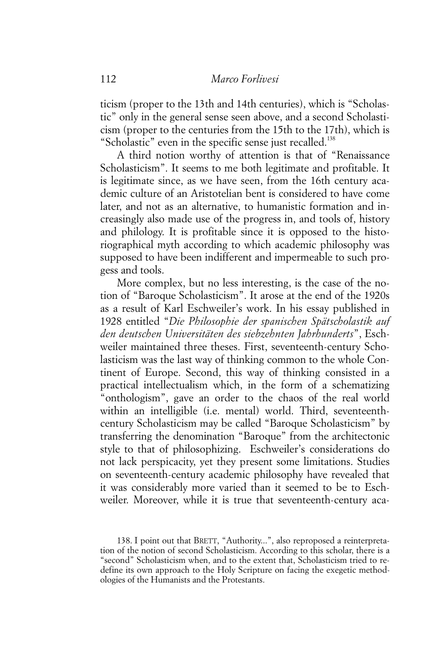ticism (proper to the 13th and 14th centuries), which is "Scholastic" only in the general sense seen above, and a second Scholasticism (proper to the centuries from the 15th to the 17th), which is "Scholastic" even in the specific sense just recalled.<sup>138</sup>

A third notion worthy of attention is that of "Renaissance Scholasticism". It seems to me both legitimate and profitable. It is legitimate since, as we have seen, from the 16th century academic culture of an Aristotelian bent is considered to have come later, and not as an alternative, to humanistic formation and increasingly also made use of the progress in, and tools of, history and philology. It is profitable since it is opposed to the historiographical myth according to which academic philosophy was supposed to have been indifferent and impermeable to such progess and tools.

More complex, but no less interesting, is the case of the notion of "Baroque Scholasticism". It arose at the end of the 1920s as a result of Karl Eschweiler's work. In his essay published in 1928 entitled "*Die Philosophie der spanischen Spätscholastik auf den deutschen Universitäten des siebzehnten Jahrhunderts*", Eschweiler maintained three theses. First, seventeenth-century Scholasticism was the last way of thinking common to the whole Continent of Europe. Second, this way of thinking consisted in a practical intellectualism which, in the form of a schematizing "onthologism", gave an order to the chaos of the real world within an intelligible (i.e. mental) world. Third, seventeenthcentury Scholasticism may be called "Baroque Scholasticism" by transferring the denomination "Baroque" from the architectonic style to that of philosophizing. Eschweiler's considerations do not lack perspicacity, yet they present some limitations. Studies on seventeenth-century academic philosophy have revealed that it was considerably more varied than it seemed to be to Eschweiler. Moreover, while it is true that seventeenth-century aca-

<sup>138.</sup> I point out that BRETT, "Authority...", also reproposed a reinterpretation of the notion of second Scholasticism. According to this scholar, there is a "second" Scholasticism when, and to the extent that, Scholasticism tried to redefine its own approach to the Holy Scripture on facing the exegetic methodologies of the Humanists and the Protestants.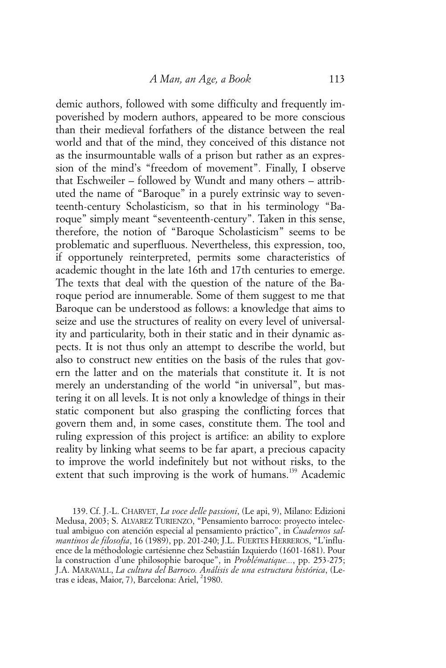demic authors, followed with some difficulty and frequently impoverished by modern authors, appeared to be more conscious than their medieval forfathers of the distance between the real world and that of the mind, they conceived of this distance not as the insurmountable walls of a prison but rather as an expression of the mind's "freedom of movement". Finally, I observe that Eschweiler – followed by Wundt and many others – attributed the name of "Baroque" in a purely extrinsic way to seventeenth-century Scholasticism, so that in his terminology "Baroque" simply meant "seventeenth-century". Taken in this sense, therefore, the notion of "Baroque Scholasticism" seems to be problematic and superfluous. Nevertheless, this expression, too, if opportunely reinterpreted, permits some characteristics of academic thought in the late 16th and 17th centuries to emerge. The texts that deal with the question of the nature of the Baroque period are innumerable. Some of them suggest to me that Baroque can be understood as follows: a knowledge that aims to seize and use the structures of reality on every level of universality and particularity, both in their static and in their dynamic aspects. It is not thus only an attempt to describe the world, but also to construct new entities on the basis of the rules that govern the latter and on the materials that constitute it. It is not merely an understanding of the world "in universal", but mastering it on all levels. It is not only a knowledge of things in their static component but also grasping the conflicting forces that govern them and, in some cases, constitute them. The tool and ruling expression of this project is artifice: an ability to explore reality by linking what seems to be far apart, a precious capacity to improve the world indefinitely but not without risks, to the extent that such improving is the work of humans.<sup>139</sup> Academic

139. Cf. J.-L. CHARVET, *La voce delle passioni*, (Le api, 9), Milano: Edizioni Medusa, 2003; S. ALVAREZ TURIENZO, "Pensamiento barroco: proyecto intelectual ambiguo con atención especial al pensamiento práctico", in *Cuadernos salmantinos de filosofia*, 16 (1989), pp. 201-240; J.L. FUERTES HERREROS, "L'influence de la méthodologie cartésienne chez Sebastián Izquierdo (1601-1681). Pour la construction d'une philosophie baroque", in *Problématique...*, pp. 253-275; J.A. MARAVALL, *La cultura del Barroco. Análisis de una estructura histórica*, (Letras e ideas, Maior, 7), Barcelona: Ariel, <sup>2</sup>1980.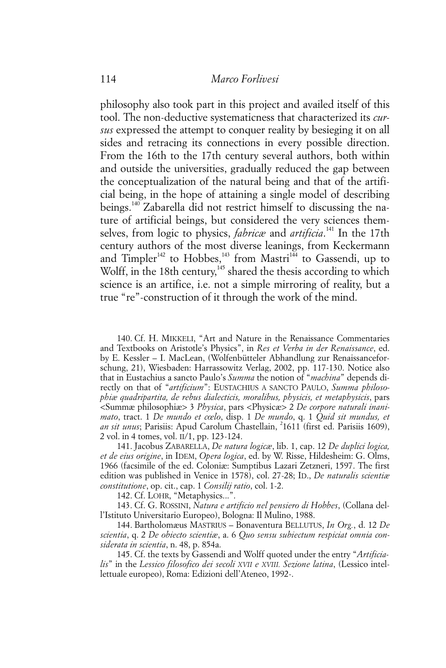philosophy also took part in this project and availed itself of this tool. The non-deductive systematicness that characterized its *cursus* expressed the attempt to conquer reality by besieging it on all sides and retracing its connections in every possible direction. From the 16th to the 17th century several authors, both within and outside the universities, gradually reduced the gap between the conceptualization of the natural being and that of the artificial being, in the hope of attaining a single model of describing beings.140 Zabarella did not restrict himself to discussing the nature of artificial beings, but considered the very sciences themselves, from logic to physics, *fabricæ* and *artificia*. 141 In the 17th century authors of the most diverse leanings, from Keckermann and Timpler<sup>142</sup> to Hobbes,<sup>143</sup> from Mastri<sup>144</sup> to Gassendi, up to Wolff, in the 18th century,  $45$  shared the thesis according to which science is an artifice, i.e. not a simple mirroring of reality, but a true "re"-construction of it through the work of the mind.

140. Cf. H. MIKKELI, "Art and Nature in the Renaissance Commentaries and Textbooks on Aristotle's Physics", in *Res et Verba in der Renaissance*, ed. by E. Kessler – I. MacLean, (Wolfenbütteler Abhandlung zur Renaissanceforschung, 21), Wiesbaden: Harrassowitz Verlag, 2002, pp. 117-130. Notice also that in Eustachius a sancto Paulo's *Summa* the notion of "*machina*" depends directly on that of "*artificium*": EUSTACHIUS A SANCTO PAULO, *Summa philosophiæ quadripartita, de rebus dialecticis, moralibus, physicis, et metaphysicis*, pars <Summæ philosophiæ> 3 *Physica*, pars <Physicæ> 2 *De corpore naturali inanimato*, tract. 1 *De mundo et cœlo*, disp. 1 *De mundo*, q. 1 *Quid sit mundus, et* an sit unus; Parisiis: Apud Carolum Chastellain, <sup>2</sup>1611 (first ed. Parisiis 1609), 2 vol. in 4 tomes, vol. II/1, pp. 123-124.

141. Jacobus ZABARELLA, *De natura logicæ*, lib. 1, cap. 12 *De duplici logica, et de eius origine*, in IDEM, *Opera logica*, ed. by W. Risse, Hildesheim: G. Olms, 1966 (facsimile of the ed. Coloniæ: Sumptibus Lazari Zetzneri, 1597. The first edition was published in Venice in 1578), col. 27-28; ID., *De naturalis scientiæ constitutione*, op. cit., cap. 1 *Consilij ratio*, col. 1-2.

142. Cf. LOHR, "Metaphysics...".

143. Cf. G. ROSSINI, *Natura e artificio nel pensiero di Hobbes*, (Collana dell'Istituto Universitario Europeo), Bologna: Il Mulino, 1988.

144. Bartholomæus MASTRIUS – Bonaventura BELLUTUS, *In Org.*, d. 12 *De scientia*, q. 2 *De obiecto scientiæ*, a. 6 *Quo sensu subiectum respiciat omnia considerata in scientia*, n. 48, p. 854a.

145. Cf. the texts by Gassendi and Wolff quoted under the entry "*Artificialis*" in the *Lessico filosofico dei secoli XVII e XVIII. Sezione latina*, (Lessico intellettuale europeo), Roma: Edizioni dell'Ateneo, 1992-.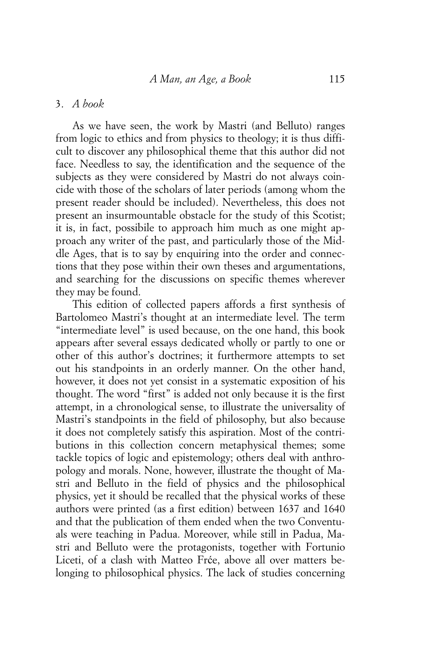## 3. *A book*

As we have seen, the work by Mastri (and Belluto) ranges from logic to ethics and from physics to theology; it is thus difficult to discover any philosophical theme that this author did not face. Needless to say, the identification and the sequence of the subjects as they were considered by Mastri do not always coincide with those of the scholars of later periods (among whom the present reader should be included). Nevertheless, this does not present an insurmountable obstacle for the study of this Scotist; it is, in fact, possibile to approach him much as one might approach any writer of the past, and particularly those of the Middle Ages, that is to say by enquiring into the order and connections that they pose within their own theses and argumentations, and searching for the discussions on specific themes wherever they may be found.

This edition of collected papers affords a first synthesis of Bartolomeo Mastri's thought at an intermediate level. The term "intermediate level" is used because, on the one hand, this book appears after several essays dedicated wholly or partly to one or other of this author's doctrines; it furthermore attempts to set out his standpoints in an orderly manner. On the other hand, however, it does not yet consist in a systematic exposition of his thought. The word "first" is added not only because it is the first attempt, in a chronological sense, to illustrate the universality of Mastri's standpoints in the field of philosophy, but also because it does not completely satisfy this aspiration. Most of the contributions in this collection concern metaphysical themes; some tackle topics of logic and epistemology; others deal with anthropology and morals. None, however, illustrate the thought of Mastri and Belluto in the field of physics and the philosophical physics, yet it should be recalled that the physical works of these authors were printed (as a first edition) between 1637 and 1640 and that the publication of them ended when the two Conventuals were teaching in Padua. Moreover, while still in Padua, Mastri and Belluto were the protagonists, together with Fortunio Liceti, of a clash with Matteo Frće, above all over matters belonging to philosophical physics. The lack of studies concerning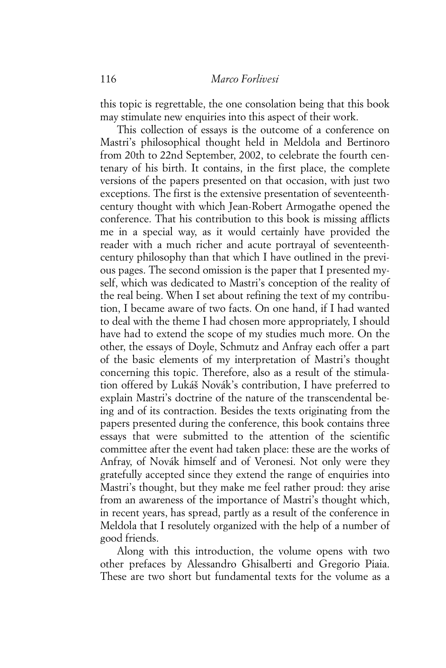this topic is regrettable, the one consolation being that this book may stimulate new enquiries into this aspect of their work.

This collection of essays is the outcome of a conference on Mastri's philosophical thought held in Meldola and Bertinoro from 20th to 22nd September, 2002, to celebrate the fourth centenary of his birth. It contains, in the first place, the complete versions of the papers presented on that occasion, with just two exceptions. The first is the extensive presentation of seventeenthcentury thought with which Jean-Robert Armogathe opened the conference. That his contribution to this book is missing afflicts me in a special way, as it would certainly have provided the reader with a much richer and acute portrayal of seventeenthcentury philosophy than that which I have outlined in the previous pages. The second omission is the paper that I presented myself, which was dedicated to Mastri's conception of the reality of the real being. When I set about refining the text of my contribution, I became aware of two facts. On one hand, if I had wanted to deal with the theme I had chosen more appropriately, I should have had to extend the scope of my studies much more. On the other, the essays of Doyle, Schmutz and Anfray each offer a part of the basic elements of my interpretation of Mastri's thought concerning this topic. Therefore, also as a result of the stimulation offered by Lukáš Novák's contribution, I have preferred to explain Mastri's doctrine of the nature of the transcendental being and of its contraction. Besides the texts originating from the papers presented during the conference, this book contains three essays that were submitted to the attention of the scientific committee after the event had taken place: these are the works of Anfray, of Novák himself and of Veronesi. Not only were they gratefully accepted since they extend the range of enquiries into Mastri's thought, but they make me feel rather proud: they arise from an awareness of the importance of Mastri's thought which, in recent years, has spread, partly as a result of the conference in Meldola that I resolutely organized with the help of a number of good friends.

Along with this introduction, the volume opens with two other prefaces by Alessandro Ghisalberti and Gregorio Piaia. These are two short but fundamental texts for the volume as a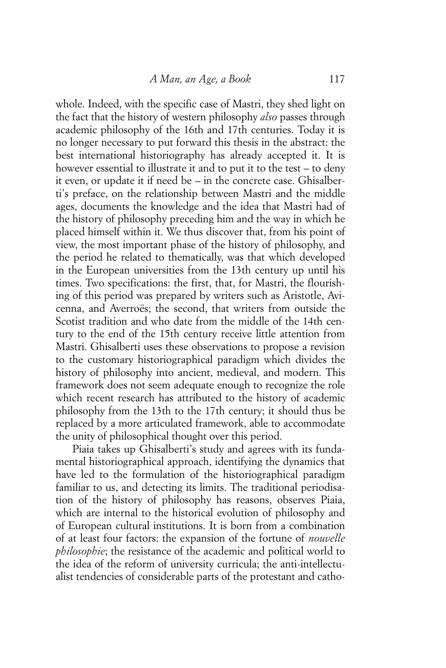whole. Indeed, with the specific case of Mastri, they shed light on the fact that the history of western philosophy *also* passes through academic philosophy of the 16th and 17th centuries. Today it is no longer necessary to put forward this thesis in the abstract: the best international historiography has already accepted it. It is however essential to illustrate it and to put it to the test – to deny it even, or update it if need be – in the concrete case. Ghisalberti's preface, on the relationship between Mastri and the middle ages, documents the knowledge and the idea that Mastri had of the history of philosophy preceding him and the way in which he placed himself within it. We thus discover that, from his point of view, the most important phase of the history of philosophy, and the period he related to thematically, was that which developed in the European universities from the 13th century up until his times. Two specifications: the first, that, for Mastri, the flourishing of this period was prepared by writers such as Aristotle, Avicenna, and Averroës; the second, that writers from outside the Scotist tradition and who date from the middle of the 14th century to the end of the 15th century receive little attention from Mastri. Ghisalberti uses these observations to propose a revision to the customary historiographical paradigm which divides the history of philosophy into ancient, medieval, and modern. This framework does not seem adequate enough to recognize the role which recent research has attributed to the history of academic philosophy from the 13th to the 17th century; it should thus be replaced by a more articulated framework, able to accommodate the unity of philosophical thought over this period.

Piaia takes up Ghisalberti's study and agrees with its fundamental historiographical approach, identifying the dynamics that have led to the formulation of the historiographical paradigm familiar to us, and detecting its limits. The traditional periodisation of the history of philosophy has reasons, observes Piaia, which are internal to the historical evolution of philosophy and of European cultural institutions. It is born from a combination of at least four factors: the expansion of the fortune of *nouvelle philosophie*; the resistance of the academic and political world to the idea of the reform of university curricula; the anti-intellectualist tendencies of considerable parts of the protestant and catho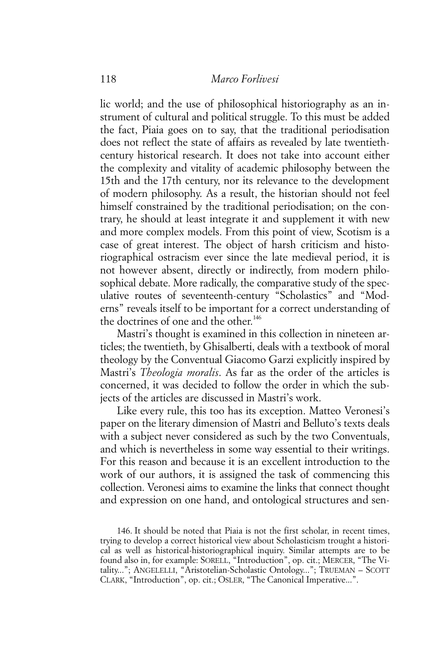lic world; and the use of philosophical historiography as an instrument of cultural and political struggle. To this must be added the fact, Piaia goes on to say, that the traditional periodisation does not reflect the state of affairs as revealed by late twentiethcentury historical research. It does not take into account either the complexity and vitality of academic philosophy between the 15th and the 17th century, nor its relevance to the development of modern philosophy. As a result, the historian should not feel himself constrained by the traditional periodisation; on the contrary, he should at least integrate it and supplement it with new and more complex models. From this point of view, Scotism is a case of great interest. The object of harsh criticism and historiographical ostracism ever since the late medieval period, it is not however absent, directly or indirectly, from modern philosophical debate. More radically, the comparative study of the speculative routes of seventeenth-century "Scholastics" and "Moderns" reveals itself to be important for a correct understanding of the doctrines of one and the other.<sup>146</sup>

Mastri's thought is examined in this collection in nineteen articles; the twentieth, by Ghisalberti, deals with a textbook of moral theology by the Conventual Giacomo Garzi explicitly inspired by Mastri's *Theologia moralis*. As far as the order of the articles is concerned, it was decided to follow the order in which the subjects of the articles are discussed in Mastri's work.

Like every rule, this too has its exception. Matteo Veronesi's paper on the literary dimension of Mastri and Belluto's texts deals with a subject never considered as such by the two Conventuals, and which is nevertheless in some way essential to their writings. For this reason and because it is an excellent introduction to the work of our authors, it is assigned the task of commencing this collection. Veronesi aims to examine the links that connect thought and expression on one hand, and ontological structures and sen-

<sup>146.</sup> It should be noted that Piaia is not the first scholar, in recent times, trying to develop a correct historical view about Scholasticism trought a historical as well as historical-historiographical inquiry. Similar attempts are to be found also in, for example: SORELL, "Introduction", op. cit.; MERCER, "The Vitality..."; ANGELELLI, "Aristotelian-Scholastic Ontology..."; TRUEMAN – SCOTT CLARK, "Introduction", op. cit.; OSLER, "The Canonical Imperative...".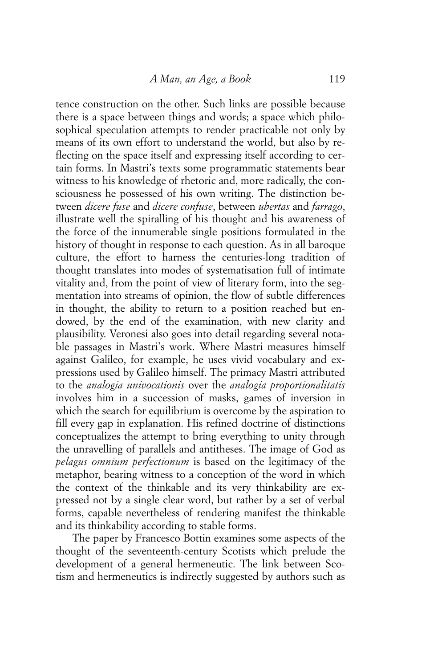tence construction on the other. Such links are possible because there is a space between things and words; a space which philosophical speculation attempts to render practicable not only by means of its own effort to understand the world, but also by reflecting on the space itself and expressing itself according to certain forms. In Mastri's texts some programmatic statements bear witness to his knowledge of rhetoric and, more radically, the consciousness he possessed of his own writing. The distinction between *dicere fuse* and *dicere confuse*, between *ubertas* and *farrago*, illustrate well the spiralling of his thought and his awareness of the force of the innumerable single positions formulated in the history of thought in response to each question. As in all baroque culture, the effort to harness the centuries-long tradition of thought translates into modes of systematisation full of intimate vitality and, from the point of view of literary form, into the segmentation into streams of opinion, the flow of subtle differences in thought, the ability to return to a position reached but endowed, by the end of the examination, with new clarity and plausibility. Veronesi also goes into detail regarding several notable passages in Mastri's work. Where Mastri measures himself against Galileo, for example, he uses vivid vocabulary and expressions used by Galileo himself. The primacy Mastri attributed to the *analogia univocationis* over the *analogia proportionalitatis* involves him in a succession of masks, games of inversion in which the search for equilibrium is overcome by the aspiration to fill every gap in explanation. His refined doctrine of distinctions conceptualizes the attempt to bring everything to unity through the unravelling of parallels and antitheses. The image of God as *pelagus omnium perfectionum* is based on the legitimacy of the metaphor, bearing witness to a conception of the word in which the context of the thinkable and its very thinkability are expressed not by a single clear word, but rather by a set of verbal forms, capable nevertheless of rendering manifest the thinkable and its thinkability according to stable forms.

The paper by Francesco Bottin examines some aspects of the thought of the seventeenth-century Scotists which prelude the development of a general hermeneutic. The link between Scotism and hermeneutics is indirectly suggested by authors such as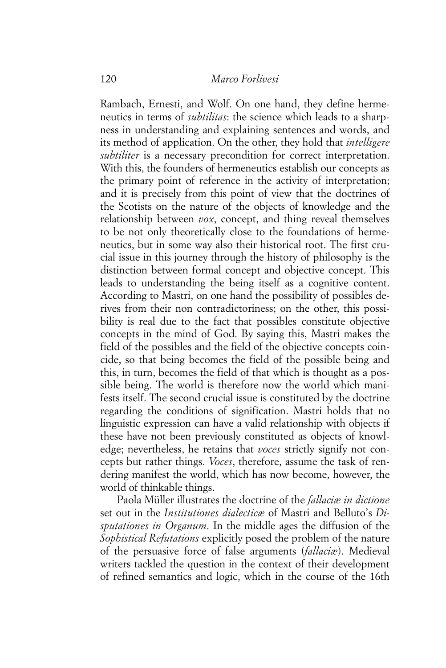Rambach, Ernesti, and Wolf. On one hand, they define hermeneutics in terms of *subtilitas*: the science which leads to a sharpness in understanding and explaining sentences and words, and its method of application. On the other, they hold that *intelligere subtiliter* is a necessary precondition for correct interpretation. With this, the founders of hermeneutics establish our concepts as the primary point of reference in the activity of interpretation; and it is precisely from this point of view that the doctrines of the Scotists on the nature of the objects of knowledge and the relationship between *vox*, concept, and thing reveal themselves to be not only theoretically close to the foundations of hermeneutics, but in some way also their historical root. The first crucial issue in this journey through the history of philosophy is the distinction between formal concept and objective concept. This leads to understanding the being itself as a cognitive content. According to Mastri, on one hand the possibility of possibles derives from their non contradictoriness; on the other, this possibility is real due to the fact that possibles constitute objective concepts in the mind of God. By saying this, Mastri makes the field of the possibles and the field of the objective concepts coincide, so that being becomes the field of the possible being and this, in turn, becomes the field of that which is thought as a possible being. The world is therefore now the world which manifests itself. The second crucial issue is constituted by the doctrine regarding the conditions of signification. Mastri holds that no linguistic expression can have a valid relationship with objects if these have not been previously constituted as objects of knowledge; nevertheless, he retains that *voces* strictly signify not concepts but rather things. *Voces*, therefore, assume the task of rendering manifest the world, which has now become, however, the world of thinkable things.

Paola Müller illustrates the doctrine of the *fallaciæ in dictione* set out in the *Institutiones dialecticæ* of Mastri and Belluto's *Disputationes in Organum*. In the middle ages the diffusion of the *Sophistical Refutations* explicitly posed the problem of the nature of the persuasive force of false arguments (*fallaciæ*). Medieval writers tackled the question in the context of their development of refined semantics and logic, which in the course of the 16th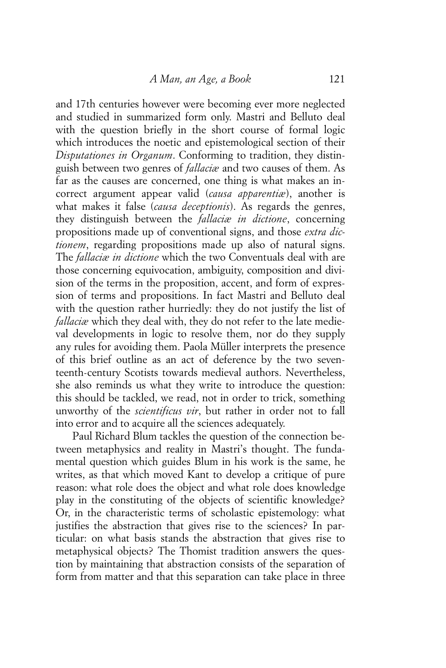and 17th centuries however were becoming ever more neglected and studied in summarized form only. Mastri and Belluto deal with the question briefly in the short course of formal logic which introduces the noetic and epistemological section of their *Disputationes in Organum*. Conforming to tradition, they distinguish between two genres of *fallaciæ* and two causes of them. As far as the causes are concerned, one thing is what makes an incorrect argument appear valid (*causa apparentiæ*), another is what makes it false (*causa deceptionis*). As regards the genres, they distinguish between the *fallaciæ in dictione*, concerning propositions made up of conventional signs, and those *extra dictionem*, regarding propositions made up also of natural signs. The *fallaciæ in dictione* which the two Conventuals deal with are those concerning equivocation, ambiguity, composition and division of the terms in the proposition, accent, and form of expression of terms and propositions. In fact Mastri and Belluto deal with the question rather hurriedly: they do not justify the list of *fallaciæ* which they deal with, they do not refer to the late medieval developments in logic to resolve them, nor do they supply any rules for avoiding them. Paola Müller interprets the presence of this brief outline as an act of deference by the two seventeenth-century Scotists towards medieval authors. Nevertheless, she also reminds us what they write to introduce the question: this should be tackled, we read, not in order to trick, something unworthy of the *scientificus vir*, but rather in order not to fall into error and to acquire all the sciences adequately.

Paul Richard Blum tackles the question of the connection between metaphysics and reality in Mastri's thought. The fundamental question which guides Blum in his work is the same, he writes, as that which moved Kant to develop a critique of pure reason: what role does the object and what role does knowledge play in the constituting of the objects of scientific knowledge? Or, in the characteristic terms of scholastic epistemology: what justifies the abstraction that gives rise to the sciences? In particular: on what basis stands the abstraction that gives rise to metaphysical objects? The Thomist tradition answers the question by maintaining that abstraction consists of the separation of form from matter and that this separation can take place in three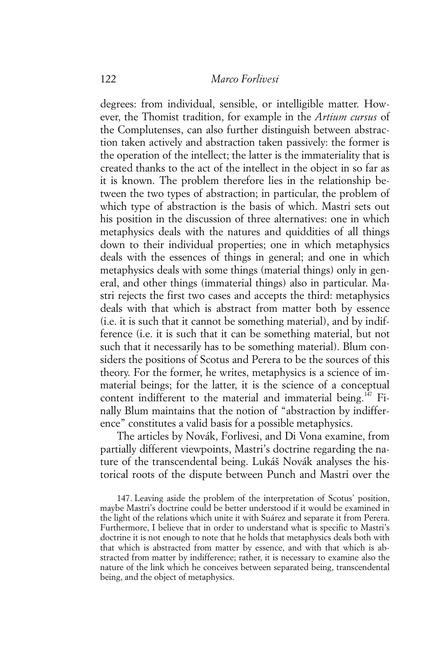degrees: from individual, sensible, or intelligible matter. However, the Thomist tradition, for example in the *Artium cursus* of the Complutenses, can also further distinguish between abstraction taken actively and abstraction taken passively: the former is the operation of the intellect; the latter is the immateriality that is created thanks to the act of the intellect in the object in so far as it is known. The problem therefore lies in the relationship between the two types of abstraction; in particular, the problem of which type of abstraction is the basis of which. Mastri sets out his position in the discussion of three alternatives: one in which metaphysics deals with the natures and quiddities of all things down to their individual properties; one in which metaphysics deals with the essences of things in general; and one in which metaphysics deals with some things (material things) only in general, and other things (immaterial things) also in particular. Mastri rejects the first two cases and accepts the third: metaphysics deals with that which is abstract from matter both by essence (i.e. it is such that it cannot be something material), and by indifference (i.e. it is such that it can be something material, but not such that it necessarily has to be something material). Blum considers the positions of Scotus and Perera to be the sources of this theory. For the former, he writes, metaphysics is a science of immaterial beings; for the latter, it is the science of a conceptual content indifferent to the material and immaterial being.<sup>147</sup> Finally Blum maintains that the notion of "abstraction by indifference" constitutes a valid basis for a possible metaphysics.

The articles by Novák, Forlivesi, and Di Vona examine, from partially different viewpoints, Mastri's doctrine regarding the nature of the transcendental being. Lukáš Novák analyses the historical roots of the dispute between Punch and Mastri over the

<sup>147.</sup> Leaving aside the problem of the interpretation of Scotus' position, maybe Mastri's doctrine could be better understood if it would be examined in the light of the relations which unite it with Suárez and separate it from Perera. Furthermore, I believe that in order to understand what is specific to Mastri's doctrine it is not enough to note that he holds that metaphysics deals both with that which is abstracted from matter by essence, and with that which is abstracted from matter by indifference; rather, it is necessary to examine also the nature of the link which he conceives between separated being, transcendental being, and the object of metaphysics.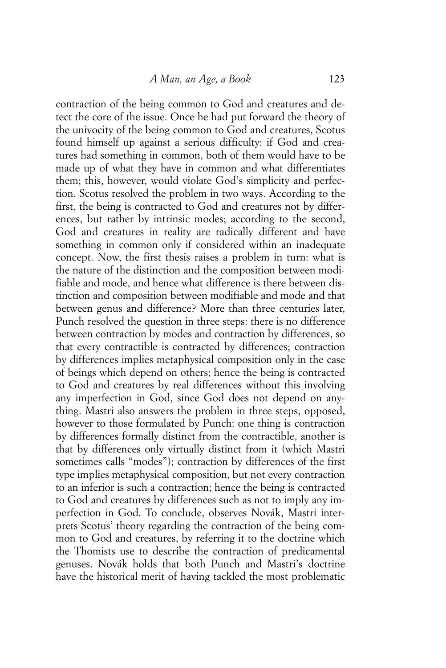contraction of the being common to God and creatures and detect the core of the issue. Once he had put forward the theory of the univocity of the being common to God and creatures, Scotus found himself up against a serious difficulty: if God and creatures had something in common, both of them would have to be made up of what they have in common and what differentiates them; this, however, would violate God's simplicity and perfection. Scotus resolved the problem in two ways. According to the first, the being is contracted to God and creatures not by differences, but rather by intrinsic modes; according to the second, God and creatures in reality are radically different and have something in common only if considered within an inadequate concept. Now, the first thesis raises a problem in turn: what is the nature of the distinction and the composition between modifiable and mode, and hence what difference is there between distinction and composition between modifiable and mode and that between genus and difference? More than three centuries later, Punch resolved the question in three steps: there is no difference between contraction by modes and contraction by differences, so that every contractible is contracted by differences; contraction by differences implies metaphysical composition only in the case of beings which depend on others; hence the being is contracted to God and creatures by real differences without this involving any imperfection in God, since God does not depend on anything. Mastri also answers the problem in three steps, opposed, however to those formulated by Punch: one thing is contraction by differences formally distinct from the contractible, another is that by differences only virtually distinct from it (which Mastri sometimes calls "modes"); contraction by differences of the first type implies metaphysical composition, but not every contraction to an inferior is such a contraction; hence the being is contracted to God and creatures by differences such as not to imply any imperfection in God. To conclude, observes Novák, Mastri interprets Scotus' theory regarding the contraction of the being common to God and creatures, by referring it to the doctrine which the Thomists use to describe the contraction of predicamental genuses. Novák holds that both Punch and Mastri's doctrine have the historical merit of having tackled the most problematic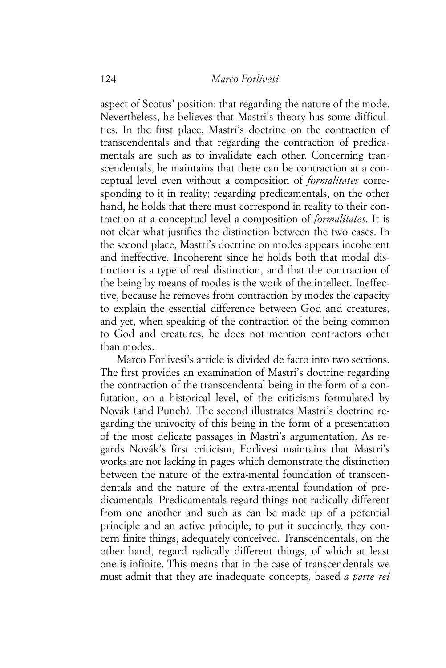aspect of Scotus' position: that regarding the nature of the mode. Nevertheless, he believes that Mastri's theory has some difficulties. In the first place, Mastri's doctrine on the contraction of transcendentals and that regarding the contraction of predicamentals are such as to invalidate each other. Concerning transcendentals, he maintains that there can be contraction at a conceptual level even without a composition of *formalitates* corresponding to it in reality; regarding predicamentals, on the other hand, he holds that there must correspond in reality to their contraction at a conceptual level a composition of *formalitates*. It is not clear what justifies the distinction between the two cases. In the second place, Mastri's doctrine on modes appears incoherent and ineffective. Incoherent since he holds both that modal distinction is a type of real distinction, and that the contraction of the being by means of modes is the work of the intellect. Ineffective, because he removes from contraction by modes the capacity to explain the essential difference between God and creatures, and yet, when speaking of the contraction of the being common to God and creatures, he does not mention contractors other than modes.

Marco Forlivesi's article is divided de facto into two sections. The first provides an examination of Mastri's doctrine regarding the contraction of the transcendental being in the form of a confutation, on a historical level, of the criticisms formulated by Novák (and Punch). The second illustrates Mastri's doctrine regarding the univocity of this being in the form of a presentation of the most delicate passages in Mastri's argumentation. As regards Novák's first criticism, Forlivesi maintains that Mastri's works are not lacking in pages which demonstrate the distinction between the nature of the extra-mental foundation of transcendentals and the nature of the extra-mental foundation of predicamentals. Predicamentals regard things not radically different from one another and such as can be made up of a potential principle and an active principle; to put it succinctly, they concern finite things, adequately conceived. Transcendentals, on the other hand, regard radically different things, of which at least one is infinite. This means that in the case of transcendentals we must admit that they are inadequate concepts, based *a parte rei*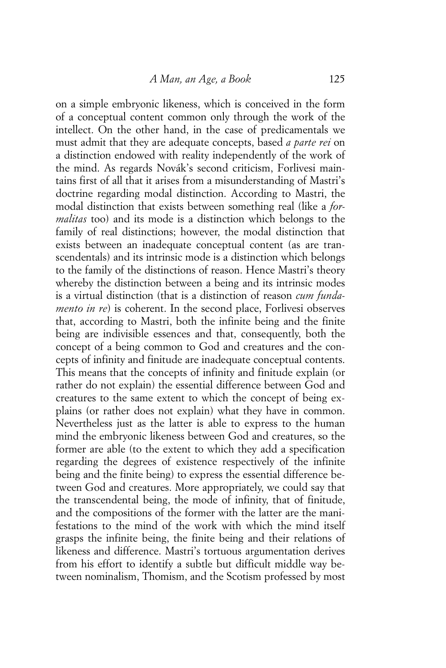on a simple embryonic likeness, which is conceived in the form of a conceptual content common only through the work of the intellect. On the other hand, in the case of predicamentals we must admit that they are adequate concepts, based *a parte rei* on a distinction endowed with reality independently of the work of the mind. As regards Novák's second criticism, Forlivesi maintains first of all that it arises from a misunderstanding of Mastri's doctrine regarding modal distinction. According to Mastri, the modal distinction that exists between something real (like a *formalitas* too) and its mode is a distinction which belongs to the family of real distinctions; however, the modal distinction that exists between an inadequate conceptual content (as are transcendentals) and its intrinsic mode is a distinction which belongs to the family of the distinctions of reason. Hence Mastri's theory whereby the distinction between a being and its intrinsic modes is a virtual distinction (that is a distinction of reason *cum fundamento in re*) is coherent. In the second place, Forlivesi observes that, according to Mastri, both the infinite being and the finite being are indivisible essences and that, consequently, both the concept of a being common to God and creatures and the concepts of infinity and finitude are inadequate conceptual contents. This means that the concepts of infinity and finitude explain (or rather do not explain) the essential difference between God and creatures to the same extent to which the concept of being explains (or rather does not explain) what they have in common. Nevertheless just as the latter is able to express to the human mind the embryonic likeness between God and creatures, so the former are able (to the extent to which they add a specification regarding the degrees of existence respectively of the infinite being and the finite being) to express the essential difference between God and creatures. More appropriately, we could say that the transcendental being, the mode of infinity, that of finitude, and the compositions of the former with the latter are the manifestations to the mind of the work with which the mind itself grasps the infinite being, the finite being and their relations of likeness and difference. Mastri's tortuous argumentation derives from his effort to identify a subtle but difficult middle way between nominalism, Thomism, and the Scotism professed by most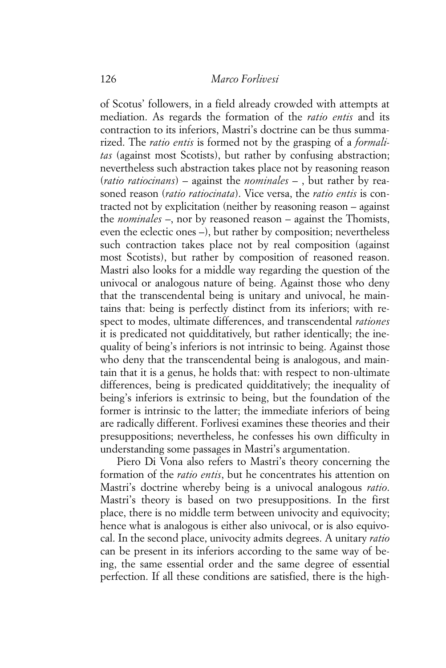of Scotus' followers, in a field already crowded with attempts at mediation. As regards the formation of the *ratio entis* and its contraction to its inferiors, Mastri's doctrine can be thus summarized. The *ratio entis* is formed not by the grasping of a *formalitas* (against most Scotists), but rather by confusing abstraction; nevertheless such abstraction takes place not by reasoning reason (*ratio ratiocinans*) – against the *nominales* – , but rather by reasoned reason (*ratio ratiocinata*). Vice versa, the *ratio entis* is contracted not by explicitation (neither by reasoning reason – against the *nominales* –, nor by reasoned reason – against the Thomists, even the eclectic ones –), but rather by composition; nevertheless such contraction takes place not by real composition (against most Scotists), but rather by composition of reasoned reason. Mastri also looks for a middle way regarding the question of the univocal or analogous nature of being. Against those who deny that the transcendental being is unitary and univocal, he maintains that: being is perfectly distinct from its inferiors; with respect to modes, ultimate differences, and transcendental *rationes* it is predicated not quidditatively, but rather identically; the inequality of being's inferiors is not intrinsic to being. Against those who deny that the transcendental being is analogous, and maintain that it is a genus, he holds that: with respect to non-ultimate differences, being is predicated quidditatively; the inequality of being's inferiors is extrinsic to being, but the foundation of the former is intrinsic to the latter; the immediate inferiors of being are radically different. Forlivesi examines these theories and their presuppositions; nevertheless, he confesses his own difficulty in understanding some passages in Mastri's argumentation.

Piero Di Vona also refers to Mastri's theory concerning the formation of the *ratio entis*, but he concentrates his attention on Mastri's doctrine whereby being is a univocal analogous *ratio*. Mastri's theory is based on two presuppositions. In the first place, there is no middle term between univocity and equivocity; hence what is analogous is either also univocal, or is also equivocal. In the second place, univocity admits degrees. A unitary *ratio* can be present in its inferiors according to the same way of being, the same essential order and the same degree of essential perfection. If all these conditions are satisfied, there is the high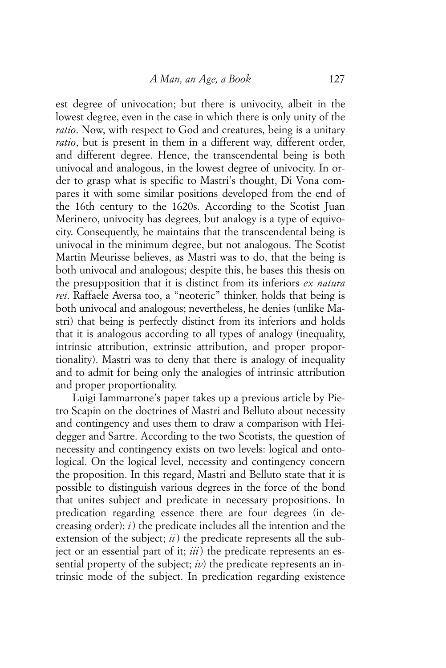est degree of univocation; but there is univocity, albeit in the lowest degree, even in the case in which there is only unity of the *ratio*. Now, with respect to God and creatures, being is a unitary *ratio*, but is present in them in a different way, different order, and different degree. Hence, the transcendental being is both univocal and analogous, in the lowest degree of univocity. In order to grasp what is specific to Mastri's thought, Di Vona compares it with some similar positions developed from the end of the 16th century to the 1620s. According to the Scotist Juan Merinero, univocity has degrees, but analogy is a type of equivocity. Consequently, he maintains that the transcendental being is univocal in the minimum degree, but not analogous. The Scotist Martin Meurisse believes, as Mastri was to do, that the being is both univocal and analogous; despite this, he bases this thesis on the presupposition that it is distinct from its inferiors *ex natura rei*. Raffaele Aversa too, a "neoteric" thinker, holds that being is both univocal and analogous; nevertheless, he denies (unlike Mastri) that being is perfectly distinct from its inferiors and holds that it is analogous according to all types of analogy (inequality, intrinsic attribution, extrinsic attribution, and proper proportionality). Mastri was to deny that there is analogy of inequality and to admit for being only the analogies of intrinsic attribution and proper proportionality.

Luigi Iammarrone's paper takes up a previous article by Pietro Scapin on the doctrines of Mastri and Belluto about necessity and contingency and uses them to draw a comparison with Heidegger and Sartre. According to the two Scotists, the question of necessity and contingency exists on two levels: logical and ontological. On the logical level, necessity and contingency concern the proposition. In this regard, Mastri and Belluto state that it is possible to distinguish various degrees in the force of the bond that unites subject and predicate in necessary propositions. In predication regarding essence there are four degrees (in decreasing order): *i*) the predicate includes all the intention and the extension of the subject; *ii*) the predicate represents all the subject or an essential part of it; *iii*) the predicate represents an essential property of the subject; *iv*) the predicate represents an intrinsic mode of the subject. In predication regarding existence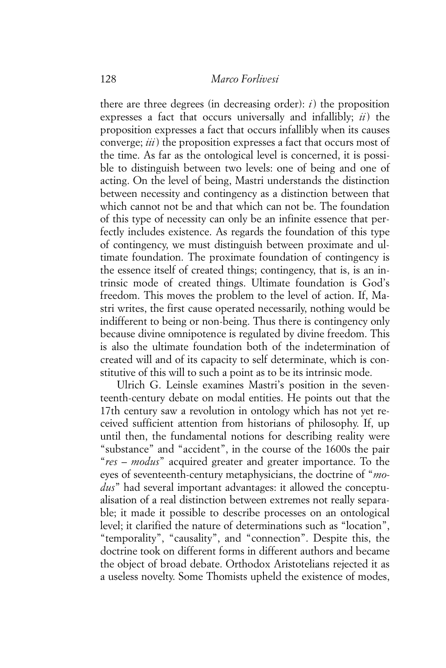there are three degrees (in decreasing order): *i*) the proposition expresses a fact that occurs universally and infallibly; *ii*) the proposition expresses a fact that occurs infallibly when its causes converge; *iii*) the proposition expresses a fact that occurs most of the time. As far as the ontological level is concerned, it is possible to distinguish between two levels: one of being and one of acting. On the level of being, Mastri understands the distinction between necessity and contingency as a distinction between that which cannot not be and that which can not be. The foundation of this type of necessity can only be an infinite essence that perfectly includes existence. As regards the foundation of this type of contingency, we must distinguish between proximate and ultimate foundation. The proximate foundation of contingency is the essence itself of created things; contingency, that is, is an intrinsic mode of created things. Ultimate foundation is God's freedom. This moves the problem to the level of action. If, Mastri writes, the first cause operated necessarily, nothing would be indifferent to being or non-being. Thus there is contingency only because divine omnipotence is regulated by divine freedom. This is also the ultimate foundation both of the indetermination of created will and of its capacity to self determinate, which is constitutive of this will to such a point as to be its intrinsic mode.

Ulrich G. Leinsle examines Mastri's position in the seventeenth-century debate on modal entities. He points out that the 17th century saw a revolution in ontology which has not yet received sufficient attention from historians of philosophy. If, up until then, the fundamental notions for describing reality were "substance" and "accident", in the course of the 1600s the pair "*res* – *modus*" acquired greater and greater importance. To the eyes of seventeenth-century metaphysicians, the doctrine of "*modus*" had several important advantages: it allowed the conceptualisation of a real distinction between extremes not really separable; it made it possible to describe processes on an ontological level; it clarified the nature of determinations such as "location", "temporality", "causality", and "connection". Despite this, the doctrine took on different forms in different authors and became the object of broad debate. Orthodox Aristotelians rejected it as a useless novelty. Some Thomists upheld the existence of modes,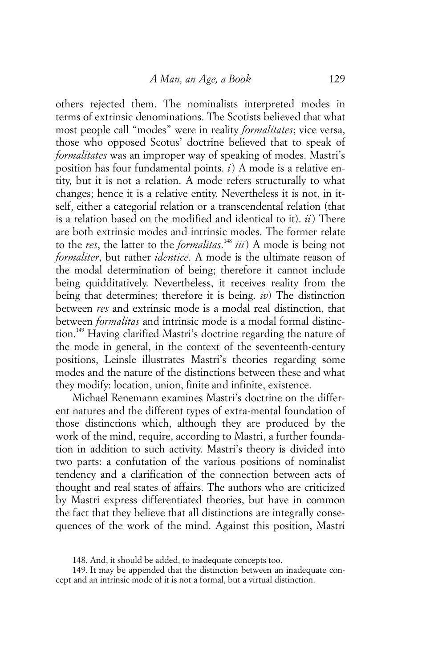others rejected them. The nominalists interpreted modes in terms of extrinsic denominations. The Scotists believed that what most people call "modes" were in reality *formalitates*; vice versa, those who opposed Scotus' doctrine believed that to speak of *formalitates* was an improper way of speaking of modes. Mastri's position has four fundamental points. *i*) A mode is a relative entity, but it is not a relation. A mode refers structurally to what changes; hence it is a relative entity. Nevertheless it is not, in itself, either a categorial relation or a transcendental relation (that is a relation based on the modified and identical to it). *ii*) There are both extrinsic modes and intrinsic modes. The former relate to the *res*, the latter to the *formalitas*. <sup>148</sup> *iii*) A mode is being not *formaliter*, but rather *identice*. A mode is the ultimate reason of the modal determination of being; therefore it cannot include being quidditatively. Nevertheless, it receives reality from the being that determines; therefore it is being. *iv*) The distinction between *res* and extrinsic mode is a modal real distinction, that between *formalitas* and intrinsic mode is a modal formal distinction.149 Having clarified Mastri's doctrine regarding the nature of the mode in general, in the context of the seventeenth-century positions, Leinsle illustrates Mastri's theories regarding some modes and the nature of the distinctions between these and what they modify: location, union, finite and infinite, existence.

Michael Renemann examines Mastri's doctrine on the different natures and the different types of extra-mental foundation of those distinctions which, although they are produced by the work of the mind, require, according to Mastri, a further foundation in addition to such activity. Mastri's theory is divided into two parts: a confutation of the various positions of nominalist tendency and a clarification of the connection between acts of thought and real states of affairs. The authors who are criticized by Mastri express differentiated theories, but have in common the fact that they believe that all distinctions are integrally consequences of the work of the mind. Against this position, Mastri

<sup>148.</sup> And, it should be added, to inadequate concepts too.

<sup>149.</sup> It may be appended that the distinction between an inadequate concept and an intrinsic mode of it is not a formal, but a virtual distinction.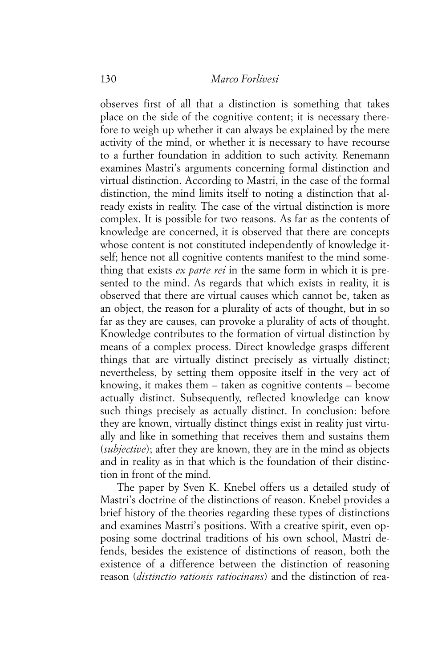observes first of all that a distinction is something that takes place on the side of the cognitive content; it is necessary therefore to weigh up whether it can always be explained by the mere activity of the mind, or whether it is necessary to have recourse to a further foundation in addition to such activity. Renemann examines Mastri's arguments concerning formal distinction and virtual distinction. According to Mastri, in the case of the formal distinction, the mind limits itself to noting a distinction that already exists in reality. The case of the virtual distinction is more complex. It is possible for two reasons. As far as the contents of knowledge are concerned, it is observed that there are concepts whose content is not constituted independently of knowledge itself; hence not all cognitive contents manifest to the mind something that exists *ex parte rei* in the same form in which it is presented to the mind. As regards that which exists in reality, it is observed that there are virtual causes which cannot be, taken as an object, the reason for a plurality of acts of thought, but in so far as they are causes, can provoke a plurality of acts of thought. Knowledge contributes to the formation of virtual distinction by means of a complex process. Direct knowledge grasps different things that are virtually distinct precisely as virtually distinct; nevertheless, by setting them opposite itself in the very act of knowing, it makes them – taken as cognitive contents – become actually distinct. Subsequently, reflected knowledge can know such things precisely as actually distinct. In conclusion: before they are known, virtually distinct things exist in reality just virtually and like in something that receives them and sustains them (*subjective*); after they are known, they are in the mind as objects and in reality as in that which is the foundation of their distinction in front of the mind.

The paper by Sven K. Knebel offers us a detailed study of Mastri's doctrine of the distinctions of reason. Knebel provides a brief history of the theories regarding these types of distinctions and examines Mastri's positions. With a creative spirit, even opposing some doctrinal traditions of his own school, Mastri defends, besides the existence of distinctions of reason, both the existence of a difference between the distinction of reasoning reason (*distinctio rationis ratiocinans*) and the distinction of rea-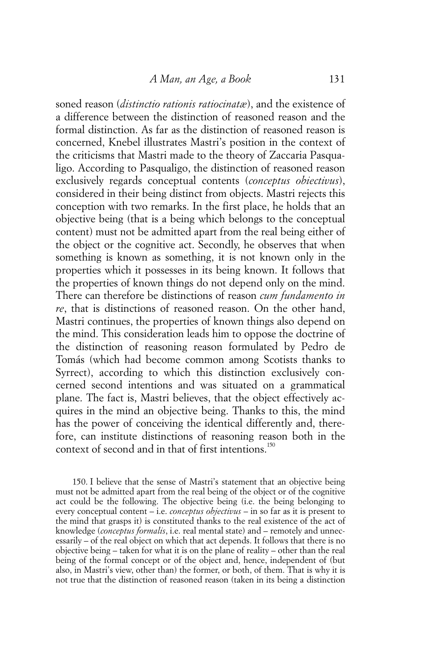soned reason (*distinctio rationis ratiocinatæ*), and the existence of a difference between the distinction of reasoned reason and the formal distinction. As far as the distinction of reasoned reason is concerned, Knebel illustrates Mastri's position in the context of the criticisms that Mastri made to the theory of Zaccaria Pasqualigo. According to Pasqualigo, the distinction of reasoned reason exclusively regards conceptual contents (*conceptus obiectivus*), considered in their being distinct from objects. Mastri rejects this conception with two remarks. In the first place, he holds that an objective being (that is a being which belongs to the conceptual content) must not be admitted apart from the real being either of the object or the cognitive act. Secondly, he observes that when something is known as something, it is not known only in the properties which it possesses in its being known. It follows that the properties of known things do not depend only on the mind. There can therefore be distinctions of reason *cum fundamento in re*, that is distinctions of reasoned reason. On the other hand, Mastri continues, the properties of known things also depend on the mind. This consideration leads him to oppose the doctrine of the distinction of reasoning reason formulated by Pedro de Tomás (which had become common among Scotists thanks to Syrrect), according to which this distinction exclusively concerned second intentions and was situated on a grammatical plane. The fact is, Mastri believes, that the object effectively acquires in the mind an objective being. Thanks to this, the mind has the power of conceiving the identical differently and, therefore, can institute distinctions of reasoning reason both in the context of second and in that of first intentions.<sup>150</sup>

150. I believe that the sense of Mastri's statement that an objective being must not be admitted apart from the real being of the object or of the cognitive act could be the following. The objective being (i.e. the being belonging to every conceptual content – i.e. *conceptus objectivus* – in so far as it is present to the mind that grasps it) is constituted thanks to the real existence of the act of knowledge (*conceptus formalis*, i.e. real mental state) and – remotely and unnecessarily – of the real object on which that act depends. It follows that there is no objective being – taken for what it is on the plane of reality – other than the real being of the formal concept or of the object and, hence, independent of (but also, in Mastri's view, other than) the former, or both, of them. That is why it is not true that the distinction of reasoned reason (taken in its being a distinction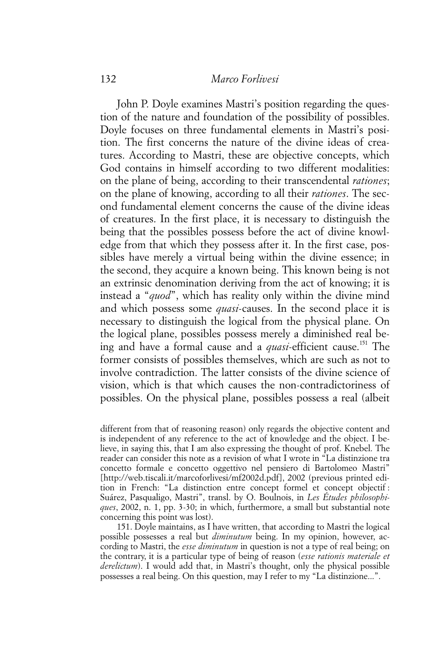## 132 *Marco Forlivesi*

John P. Doyle examines Mastri's position regarding the question of the nature and foundation of the possibility of possibles. Doyle focuses on three fundamental elements in Mastri's position. The first concerns the nature of the divine ideas of creatures. According to Mastri, these are objective concepts, which God contains in himself according to two different modalities: on the plane of being, according to their transcendental *rationes*; on the plane of knowing, according to all their *rationes*. The second fundamental element concerns the cause of the divine ideas of creatures. In the first place, it is necessary to distinguish the being that the possibles possess before the act of divine knowledge from that which they possess after it. In the first case, possibles have merely a virtual being within the divine essence; in the second, they acquire a known being. This known being is not an extrinsic denomination deriving from the act of knowing; it is instead a "*quod*", which has reality only within the divine mind and which possess some *quasi*-causes. In the second place it is necessary to distinguish the logical from the physical plane. On the logical plane, possibles possess merely a diminished real being and have a formal cause and a *quasi*-efficient cause.<sup>151</sup> The former consists of possibles themselves, which are such as not to involve contradiction. The latter consists of the divine science of vision, which is that which causes the non-contradictoriness of possibles. On the physical plane, possibles possess a real (albeit

151. Doyle maintains, as I have written, that according to Mastri the logical possible possesses a real but *diminutum* being. In my opinion, however, according to Mastri, the *esse diminutum* in question is not a type of real being; on the contrary, it is a particular type of being of reason (*esse rationis materiale et derelictum*). I would add that, in Mastri's thought, only the physical possible possesses a real being. On this question, may I refer to my "La distinzione...".

different from that of reasoning reason) only regards the objective content and is independent of any reference to the act of knowledge and the object. I believe, in saying this, that I am also expressing the thought of prof. Knebel. The reader can consider this note as a revision of what I wrote in "La distinzione tra concetto formale e concetto oggettivo nel pensiero di Bartolomeo Mastri" [http://web.tiscali.it/marcoforlivesi/mf2002d.pdf], 2002 (previous printed edition in French: "La distinction entre concept formel et concept objectif : Suárez, Pasqualigo, Mastri", transl. by O. Boulnois, in *Les Études philosophiques*, 2002, n. 1, pp. 3-30; in which, furthermore, a small but substantial note concerning this point was lost).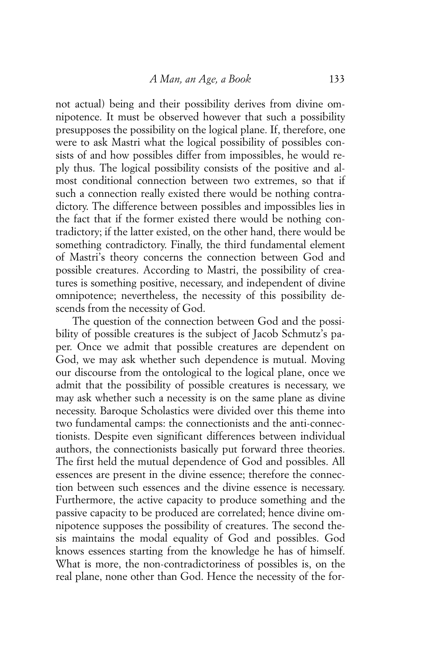not actual) being and their possibility derives from divine omnipotence. It must be observed however that such a possibility presupposes the possibility on the logical plane. If, therefore, one were to ask Mastri what the logical possibility of possibles consists of and how possibles differ from impossibles, he would reply thus. The logical possibility consists of the positive and almost conditional connection between two extremes, so that if such a connection really existed there would be nothing contradictory. The difference between possibles and impossibles lies in the fact that if the former existed there would be nothing contradictory; if the latter existed, on the other hand, there would be something contradictory. Finally, the third fundamental element of Mastri's theory concerns the connection between God and possible creatures. According to Mastri, the possibility of creatures is something positive, necessary, and independent of divine omnipotence; nevertheless, the necessity of this possibility descends from the necessity of God.

The question of the connection between God and the possibility of possible creatures is the subject of Jacob Schmutz's paper. Once we admit that possible creatures are dependent on God, we may ask whether such dependence is mutual. Moving our discourse from the ontological to the logical plane, once we admit that the possibility of possible creatures is necessary, we may ask whether such a necessity is on the same plane as divine necessity. Baroque Scholastics were divided over this theme into two fundamental camps: the connectionists and the anti-connectionists. Despite even significant differences between individual authors, the connectionists basically put forward three theories. The first held the mutual dependence of God and possibles. All essences are present in the divine essence; therefore the connection between such essences and the divine essence is necessary. Furthermore, the active capacity to produce something and the passive capacity to be produced are correlated; hence divine omnipotence supposes the possibility of creatures. The second thesis maintains the modal equality of God and possibles. God knows essences starting from the knowledge he has of himself. What is more, the non-contradictoriness of possibles is, on the real plane, none other than God. Hence the necessity of the for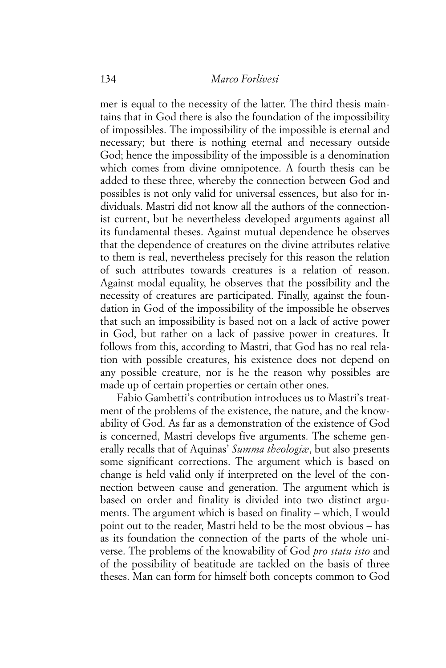mer is equal to the necessity of the latter. The third thesis maintains that in God there is also the foundation of the impossibility of impossibles. The impossibility of the impossible is eternal and necessary; but there is nothing eternal and necessary outside God; hence the impossibility of the impossible is a denomination which comes from divine omnipotence. A fourth thesis can be added to these three, whereby the connection between God and possibles is not only valid for universal essences, but also for individuals. Mastri did not know all the authors of the connectionist current, but he nevertheless developed arguments against all its fundamental theses. Against mutual dependence he observes that the dependence of creatures on the divine attributes relative to them is real, nevertheless precisely for this reason the relation of such attributes towards creatures is a relation of reason. Against modal equality, he observes that the possibility and the necessity of creatures are participated. Finally, against the foundation in God of the impossibility of the impossible he observes that such an impossibility is based not on a lack of active power in God, but rather on a lack of passive power in creatures. It follows from this, according to Mastri, that God has no real relation with possible creatures, his existence does not depend on any possible creature, nor is he the reason why possibles are made up of certain properties or certain other ones.

Fabio Gambetti's contribution introduces us to Mastri's treatment of the problems of the existence, the nature, and the knowability of God. As far as a demonstration of the existence of God is concerned, Mastri develops five arguments. The scheme generally recalls that of Aquinas' *Summa theologiæ*, but also presents some significant corrections. The argument which is based on change is held valid only if interpreted on the level of the connection between cause and generation. The argument which is based on order and finality is divided into two distinct arguments. The argument which is based on finality – which, I would point out to the reader, Mastri held to be the most obvious – has as its foundation the connection of the parts of the whole universe. The problems of the knowability of God *pro statu isto* and of the possibility of beatitude are tackled on the basis of three theses. Man can form for himself both concepts common to God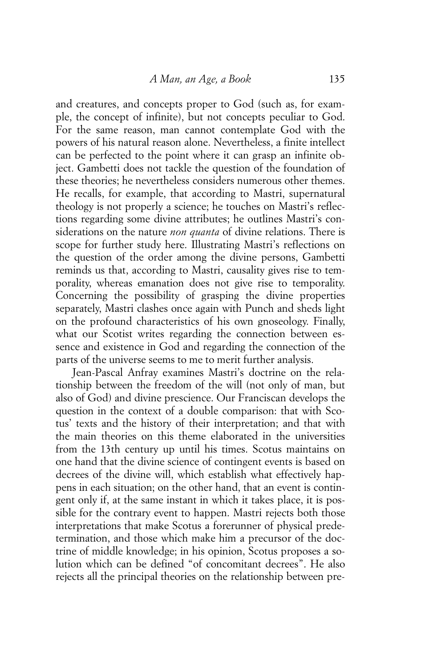and creatures, and concepts proper to God (such as, for example, the concept of infinite), but not concepts peculiar to God. For the same reason, man cannot contemplate God with the powers of his natural reason alone. Nevertheless, a finite intellect can be perfected to the point where it can grasp an infinite object. Gambetti does not tackle the question of the foundation of these theories; he nevertheless considers numerous other themes. He recalls, for example, that according to Mastri, supernatural theology is not properly a science; he touches on Mastri's reflections regarding some divine attributes; he outlines Mastri's considerations on the nature *non quanta* of divine relations. There is scope for further study here. Illustrating Mastri's reflections on the question of the order among the divine persons, Gambetti reminds us that, according to Mastri, causality gives rise to temporality, whereas emanation does not give rise to temporality. Concerning the possibility of grasping the divine properties separately, Mastri clashes once again with Punch and sheds light on the profound characteristics of his own gnoseology. Finally, what our Scotist writes regarding the connection between essence and existence in God and regarding the connection of the parts of the universe seems to me to merit further analysis.

Jean-Pascal Anfray examines Mastri's doctrine on the relationship between the freedom of the will (not only of man, but also of God) and divine prescience. Our Franciscan develops the question in the context of a double comparison: that with Scotus' texts and the history of their interpretation; and that with the main theories on this theme elaborated in the universities from the 13th century up until his times. Scotus maintains on one hand that the divine science of contingent events is based on decrees of the divine will, which establish what effectively happens in each situation; on the other hand, that an event is contingent only if, at the same instant in which it takes place, it is possible for the contrary event to happen. Mastri rejects both those interpretations that make Scotus a forerunner of physical predetermination, and those which make him a precursor of the doctrine of middle knowledge; in his opinion, Scotus proposes a solution which can be defined "of concomitant decrees". He also rejects all the principal theories on the relationship between pre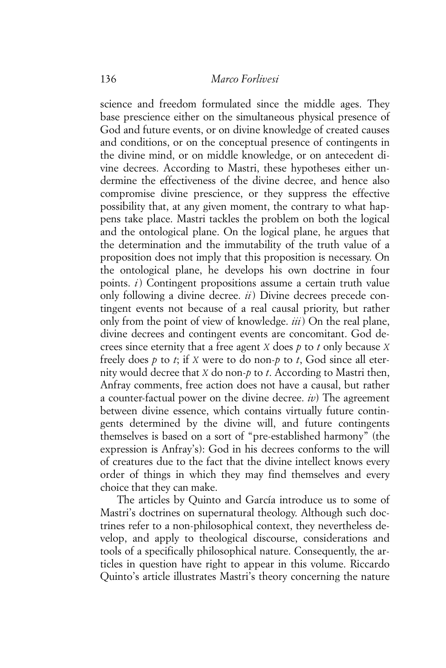science and freedom formulated since the middle ages. They base prescience either on the simultaneous physical presence of God and future events, or on divine knowledge of created causes and conditions, or on the conceptual presence of contingents in the divine mind, or on middle knowledge, or on antecedent divine decrees. According to Mastri, these hypotheses either undermine the effectiveness of the divine decree, and hence also compromise divine prescience, or they suppress the effective possibility that, at any given moment, the contrary to what happens take place. Mastri tackles the problem on both the logical and the ontological plane. On the logical plane, he argues that the determination and the immutability of the truth value of a proposition does not imply that this proposition is necessary. On the ontological plane, he develops his own doctrine in four points. *i*) Contingent propositions assume a certain truth value only following a divine decree. *ii*) Divine decrees precede contingent events not because of a real causal priority, but rather only from the point of view of knowledge. *iii*) On the real plane, divine decrees and contingent events are concomitant. God decrees since eternity that a free agent *X* does *p* to *t* only because *X* freely does *p* to *t*; if *X* were to do non-*p* to *t*, God since all eternity would decree that *X* do non-*p* to *t*. According to Mastri then, Anfray comments, free action does not have a causal, but rather a counter-factual power on the divine decree. *iv*) The agreement between divine essence, which contains virtually future contingents determined by the divine will, and future contingents themselves is based on a sort of "pre-established harmony" (the expression is Anfray's): God in his decrees conforms to the will of creatures due to the fact that the divine intellect knows every order of things in which they may find themselves and every choice that they can make.

The articles by Quinto and García introduce us to some of Mastri's doctrines on supernatural theology. Although such doctrines refer to a non-philosophical context, they nevertheless develop, and apply to theological discourse, considerations and tools of a specifically philosophical nature. Consequently, the articles in question have right to appear in this volume. Riccardo Quinto's article illustrates Mastri's theory concerning the nature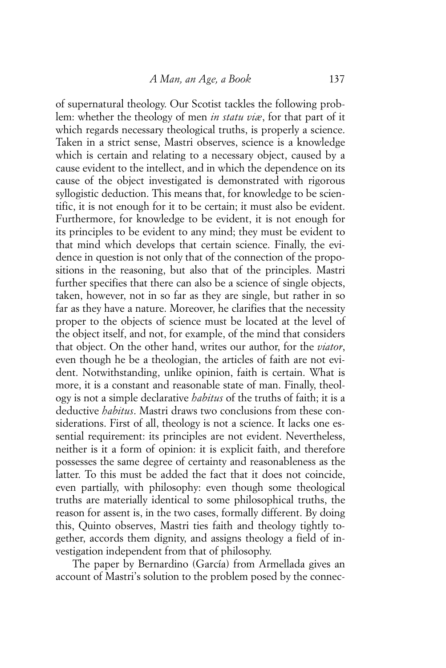of supernatural theology. Our Scotist tackles the following problem: whether the theology of men *in statu viæ*, for that part of it which regards necessary theological truths, is properly a science. Taken in a strict sense, Mastri observes, science is a knowledge which is certain and relating to a necessary object, caused by a cause evident to the intellect, and in which the dependence on its cause of the object investigated is demonstrated with rigorous syllogistic deduction. This means that, for knowledge to be scientific, it is not enough for it to be certain; it must also be evident. Furthermore, for knowledge to be evident, it is not enough for its principles to be evident to any mind; they must be evident to that mind which develops that certain science. Finally, the evidence in question is not only that of the connection of the propositions in the reasoning, but also that of the principles. Mastri further specifies that there can also be a science of single objects, taken, however, not in so far as they are single, but rather in so far as they have a nature. Moreover, he clarifies that the necessity proper to the objects of science must be located at the level of the object itself, and not, for example, of the mind that considers that object. On the other hand, writes our author, for the *viator*, even though he be a theologian, the articles of faith are not evident. Notwithstanding, unlike opinion, faith is certain. What is more, it is a constant and reasonable state of man. Finally, theology is not a simple declarative *habitus* of the truths of faith; it is a deductive *habitus*. Mastri draws two conclusions from these considerations. First of all, theology is not a science. It lacks one essential requirement: its principles are not evident. Nevertheless, neither is it a form of opinion: it is explicit faith, and therefore possesses the same degree of certainty and reasonableness as the latter. To this must be added the fact that it does not coincide, even partially, with philosophy: even though some theological truths are materially identical to some philosophical truths, the reason for assent is, in the two cases, formally different. By doing this, Quinto observes, Mastri ties faith and theology tightly together, accords them dignity, and assigns theology a field of investigation independent from that of philosophy.

The paper by Bernardino (García) from Armellada gives an account of Mastri's solution to the problem posed by the connec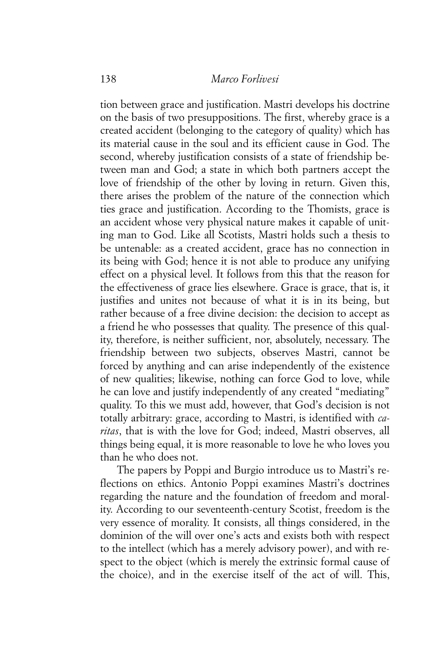tion between grace and justification. Mastri develops his doctrine on the basis of two presuppositions. The first, whereby grace is a created accident (belonging to the category of quality) which has its material cause in the soul and its efficient cause in God. The second, whereby justification consists of a state of friendship between man and God; a state in which both partners accept the love of friendship of the other by loving in return. Given this, there arises the problem of the nature of the connection which ties grace and justification. According to the Thomists, grace is an accident whose very physical nature makes it capable of uniting man to God. Like all Scotists, Mastri holds such a thesis to be untenable: as a created accident, grace has no connection in its being with God; hence it is not able to produce any unifying effect on a physical level. It follows from this that the reason for the effectiveness of grace lies elsewhere. Grace is grace, that is, it justifies and unites not because of what it is in its being, but rather because of a free divine decision: the decision to accept as a friend he who possesses that quality. The presence of this quality, therefore, is neither sufficient, nor, absolutely, necessary. The friendship between two subjects, observes Mastri, cannot be forced by anything and can arise independently of the existence of new qualities; likewise, nothing can force God to love, while he can love and justify independently of any created "mediating" quality. To this we must add, however, that God's decision is not totally arbitrary: grace, according to Mastri, is identified with *caritas*, that is with the love for God; indeed, Mastri observes, all things being equal, it is more reasonable to love he who loves you than he who does not.

The papers by Poppi and Burgio introduce us to Mastri's reflections on ethics. Antonio Poppi examines Mastri's doctrines regarding the nature and the foundation of freedom and morality. According to our seventeenth-century Scotist, freedom is the very essence of morality. It consists, all things considered, in the dominion of the will over one's acts and exists both with respect to the intellect (which has a merely advisory power), and with respect to the object (which is merely the extrinsic formal cause of the choice), and in the exercise itself of the act of will. This,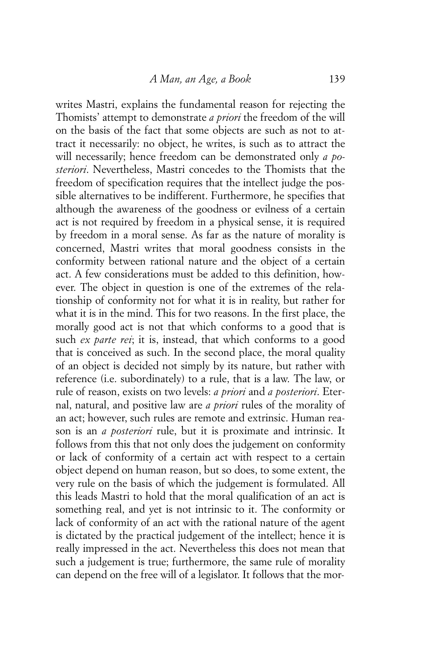writes Mastri, explains the fundamental reason for rejecting the Thomists' attempt to demonstrate *a priori* the freedom of the will on the basis of the fact that some objects are such as not to attract it necessarily: no object, he writes, is such as to attract the will necessarily; hence freedom can be demonstrated only *a posteriori*. Nevertheless, Mastri concedes to the Thomists that the freedom of specification requires that the intellect judge the possible alternatives to be indifferent. Furthermore, he specifies that although the awareness of the goodness or evilness of a certain act is not required by freedom in a physical sense, it is required by freedom in a moral sense. As far as the nature of morality is concerned, Mastri writes that moral goodness consists in the conformity between rational nature and the object of a certain act. A few considerations must be added to this definition, however. The object in question is one of the extremes of the relationship of conformity not for what it is in reality, but rather for what it is in the mind. This for two reasons. In the first place, the morally good act is not that which conforms to a good that is such *ex parte rei*; it is, instead, that which conforms to a good that is conceived as such. In the second place, the moral quality of an object is decided not simply by its nature, but rather with reference (i.e. subordinately) to a rule, that is a law. The law, or rule of reason, exists on two levels: *a priori* and *a posteriori*. Eternal, natural, and positive law are *a priori* rules of the morality of an act; however, such rules are remote and extrinsic. Human reason is an *a posteriori* rule, but it is proximate and intrinsic. It follows from this that not only does the judgement on conformity or lack of conformity of a certain act with respect to a certain object depend on human reason, but so does, to some extent, the very rule on the basis of which the judgement is formulated. All this leads Mastri to hold that the moral qualification of an act is something real, and yet is not intrinsic to it. The conformity or lack of conformity of an act with the rational nature of the agent is dictated by the practical judgement of the intellect; hence it is really impressed in the act. Nevertheless this does not mean that such a judgement is true; furthermore, the same rule of morality can depend on the free will of a legislator. It follows that the mor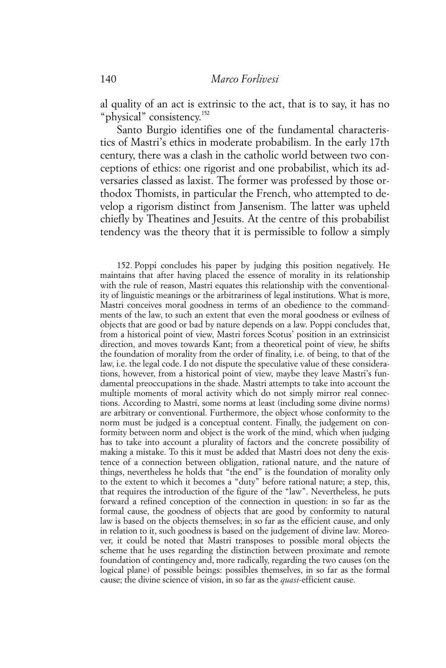al quality of an act is extrinsic to the act, that is to say, it has no "physical" consistency.<sup>152</sup>

Santo Burgio identifies one of the fundamental characteristics of Mastri's ethics in moderate probabilism. In the early 17th century, there was a clash in the catholic world between two conceptions of ethics: one rigorist and one probabilist, which its adversaries classed as laxist. The former was professed by those orthodox Thomists, in particular the French, who attempted to develop a rigorism distinct from Jansenism. The latter was upheld chiefly by Theatines and Jesuits. At the centre of this probabilist tendency was the theory that it is permissible to follow a simply

152. Poppi concludes his paper by judging this position negatively. He maintains that after having placed the essence of morality in its relationship with the rule of reason, Mastri equates this relationship with the conventionality of linguistic meanings or the arbitrariness of legal institutions. What is more, Mastri conceives moral goodness in terms of an obedience to the commandments of the law, to such an extent that even the moral goodness or evilness of objects that are good or bad by nature depends on a law. Poppi concludes that, from a historical point of view, Mastri forces Scotus' position in an extrinsicist direction, and moves towards Kant; from a theoretical point of view, he shifts the foundation of morality from the order of finality, i.e. of being, to that of the law, i.e. the legal code. I do not dispute the speculative value of these considerations, however, from a historical point of view, maybe they leave Mastri's fundamental preoccupations in the shade. Mastri attempts to take into account the multiple moments of moral activity which do not simply mirror real connections. According to Mastri, some norms at least (including some divine norms) are arbitrary or conventional. Furthermore, the object whose conformity to the norm must be judged is a conceptual content. Finally, the judgement on conformity between norm and object is the work of the mind, which when judging has to take into account a plurality of factors and the concrete possibility of making a mistake. To this it must be added that Mastri does not deny the existence of a connection between obligation, rational nature, and the nature of things, nevertheless he holds that "the end" is the foundation of morality only to the extent to which it becomes a "duty" before rational nature; a step, this, that requires the introduction of the figure of the "law". Nevertheless, he puts forward a refined conception of the connection in question: in so far as the formal cause, the goodness of objects that are good by conformity to natural law is based on the objects themselves; in so far as the efficient cause, and only in relation to it, such goodness is based on the judgement of divine law. Moreover, it could be noted that Mastri transposes to possible moral objects the scheme that he uses regarding the distinction between proximate and remote foundation of contingency and, more radically, regarding the two causes (on the logical plane) of possible beings: possibles themselves, in so far as the formal cause; the divine science of vision, in so far as the *quasi*-efficient cause.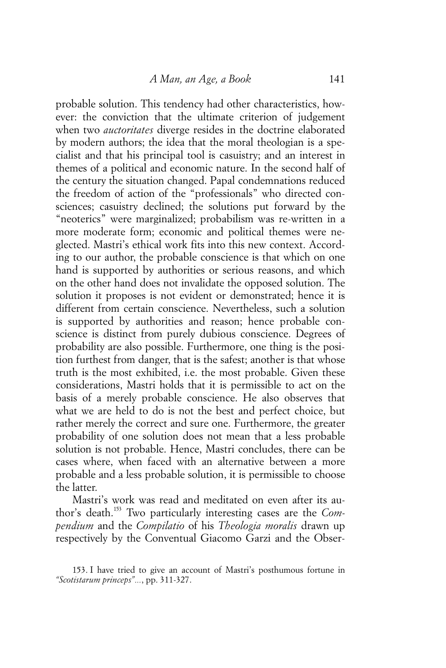probable solution. This tendency had other characteristics, however: the conviction that the ultimate criterion of judgement when two *auctoritates* diverge resides in the doctrine elaborated by modern authors; the idea that the moral theologian is a specialist and that his principal tool is casuistry; and an interest in themes of a political and economic nature. In the second half of the century the situation changed. Papal condemnations reduced the freedom of action of the "professionals" who directed consciences; casuistry declined; the solutions put forward by the "neoterics" were marginalized; probabilism was re-written in a more moderate form; economic and political themes were neglected. Mastri's ethical work fits into this new context. According to our author, the probable conscience is that which on one hand is supported by authorities or serious reasons, and which on the other hand does not invalidate the opposed solution. The solution it proposes is not evident or demonstrated; hence it is different from certain conscience. Nevertheless, such a solution is supported by authorities and reason; hence probable conscience is distinct from purely dubious conscience. Degrees of probability are also possible. Furthermore, one thing is the position furthest from danger, that is the safest; another is that whose truth is the most exhibited, i.e. the most probable. Given these considerations, Mastri holds that it is permissible to act on the basis of a merely probable conscience. He also observes that what we are held to do is not the best and perfect choice, but rather merely the correct and sure one. Furthermore, the greater probability of one solution does not mean that a less probable solution is not probable. Hence, Mastri concludes, there can be cases where, when faced with an alternative between a more probable and a less probable solution, it is permissible to choose the latter.

Mastri's work was read and meditated on even after its author's death.153 Two particularly interesting cases are the *Compendium* and the *Compilatio* of his *Theologia moralis* drawn up respectively by the Conventual Giacomo Garzi and the Obser-

<sup>153.</sup> I have tried to give an account of Mastri's posthumous fortune in *"Scotistarum princeps"...*, pp. 311-327.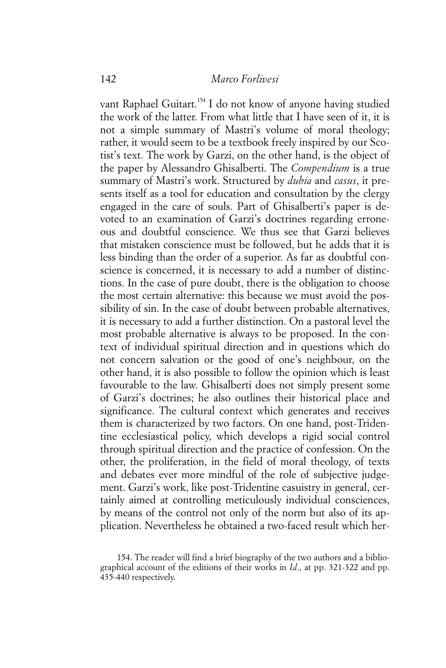vant Raphael Guitart.<sup>154</sup> I do not know of anyone having studied the work of the latter. From what little that I have seen of it, it is not a simple summary of Mastri's volume of moral theology; rather, it would seem to be a textbook freely inspired by our Scotist's text. The work by Garzi, on the other hand, is the object of the paper by Alessandro Ghisalberti. The *Compendium* is a true summary of Mastri's work. Structured by *dubia* and *casus*, it presents itself as a tool for education and consultation by the clergy engaged in the care of souls. Part of Ghisalberti's paper is devoted to an examination of Garzi's doctrines regarding erroneous and doubtful conscience. We thus see that Garzi believes that mistaken conscience must be followed, but he adds that it is less binding than the order of a superior. As far as doubtful conscience is concerned, it is necessary to add a number of distinctions. In the case of pure doubt, there is the obligation to choose the most certain alternative: this because we must avoid the possibility of sin. In the case of doubt between probable alternatives, it is necessary to add a further distinction. On a pastoral level the most probable alternative is always to be proposed. In the context of individual spiritual direction and in questions which do not concern salvation or the good of one's neighbour, on the other hand, it is also possible to follow the opinion which is least favourable to the law. Ghisalberti does not simply present some of Garzi's doctrines; he also outlines their historical place and significance. The cultural context which generates and receives them is characterized by two factors. On one hand, post-Tridentine ecclesiastical policy, which develops a rigid social control through spiritual direction and the practice of confession. On the other, the proliferation, in the field of moral theology, of texts and debates ever more mindful of the role of subjective judgement. Garzi's work, like post-Tridentine casuistry in general, certainly aimed at controlling meticulously individual consciences, by means of the control not only of the norm but also of its application. Nevertheless he obtained a two-faced result which her-

<sup>154.</sup> The reader will find a brief biography of the two authors and a bibliographical account of the editions of their works in *Id*., at pp. 321-322 and pp. 435-440 respectively.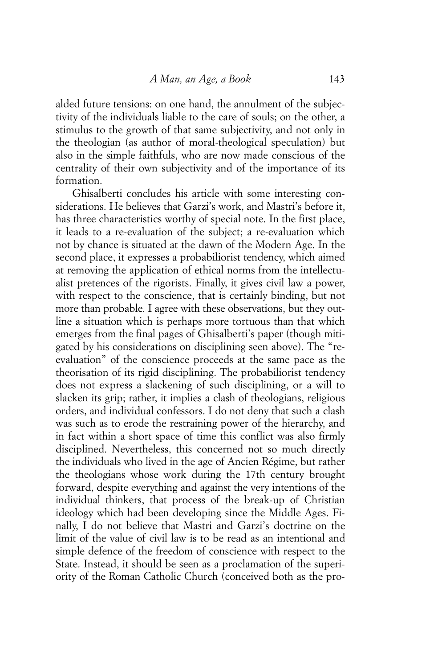alded future tensions: on one hand, the annulment of the subjectivity of the individuals liable to the care of souls; on the other, a stimulus to the growth of that same subjectivity, and not only in the theologian (as author of moral-theological speculation) but also in the simple faithfuls, who are now made conscious of the centrality of their own subjectivity and of the importance of its formation.

Ghisalberti concludes his article with some interesting considerations. He believes that Garzi's work, and Mastri's before it, has three characteristics worthy of special note. In the first place, it leads to a re-evaluation of the subject; a re-evaluation which not by chance is situated at the dawn of the Modern Age. In the second place, it expresses a probabiliorist tendency, which aimed at removing the application of ethical norms from the intellectualist pretences of the rigorists. Finally, it gives civil law a power, with respect to the conscience, that is certainly binding, but not more than probable. I agree with these observations, but they outline a situation which is perhaps more tortuous than that which emerges from the final pages of Ghisalberti's paper (though mitigated by his considerations on disciplining seen above). The "reevaluation" of the conscience proceeds at the same pace as the theorisation of its rigid disciplining. The probabiliorist tendency does not express a slackening of such disciplining, or a will to slacken its grip; rather, it implies a clash of theologians, religious orders, and individual confessors. I do not deny that such a clash was such as to erode the restraining power of the hierarchy, and in fact within a short space of time this conflict was also firmly disciplined. Nevertheless, this concerned not so much directly the individuals who lived in the age of Ancien Régime, but rather the theologians whose work during the 17th century brought forward, despite everything and against the very intentions of the individual thinkers, that process of the break-up of Christian ideology which had been developing since the Middle Ages. Finally, I do not believe that Mastri and Garzi's doctrine on the limit of the value of civil law is to be read as an intentional and simple defence of the freedom of conscience with respect to the State. Instead, it should be seen as a proclamation of the superiority of the Roman Catholic Church (conceived both as the pro